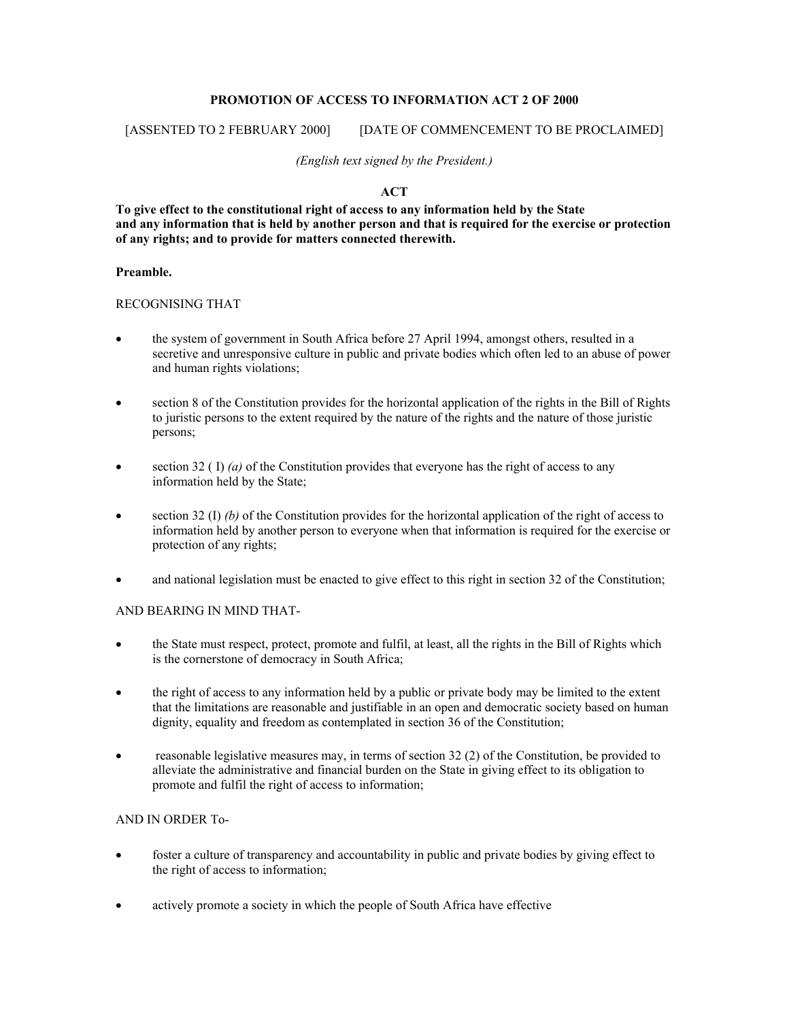## **PROMOTION OF ACCESS TO INFORMATION ACT 2 OF 2000**

## [ASSENTED TO 2 FEBRUARY 2000] [DATE OF COMMENCEMENT TO BE PROCLAIMED]

*(English text signed by the President.)* 

# **ACT**

**To give effect to the constitutional right of access to any information held by the State and any information that is held by another person and that is required for the exercise or protection of any rights; and to provide for matters connected therewith.** 

## **Preamble.**

# RECOGNISING THAT

- the system of government in South Africa before 27 April 1994, amongst others, resulted in a secretive and unresponsive culture in public and private bodies which often led to an abuse of power and human rights violations;
- section 8 of the Constitution provides for the horizontal application of the rights in the Bill of Rights to juristic persons to the extent required by the nature of the rights and the nature of those juristic persons;
- $\bullet$  section 32 ( I) *(a)* of the Constitution provides that everyone has the right of access to any information held by the State;
- section 32 (I) *(b)* of the Constitution provides for the horizontal application of the right of access to information held by another person to everyone when that information is required for the exercise or protection of any rights;
- and national legislation must be enacted to give effect to this right in section 32 of the Constitution;

## AND BEARING IN MIND THAT-

- the State must respect, protect, promote and fulfil, at least, all the rights in the Bill of Rights which is the cornerstone of democracy in South Africa;
- the right of access to any information held by a public or private body may be limited to the extent that the limitations are reasonable and justifiable in an open and democratic society based on human dignity, equality and freedom as contemplated in section 36 of the Constitution;
- reasonable legislative measures may, in terms of section 32 (2) of the Constitution, be provided to alleviate the administrative and financial burden on the State in giving effect to its obligation to promote and fulfil the right of access to information;

## AND IN ORDER To-

- foster a culture of transparency and accountability in public and private bodies by giving effect to the right of access to information;
- actively promote a society in which the people of South Africa have effective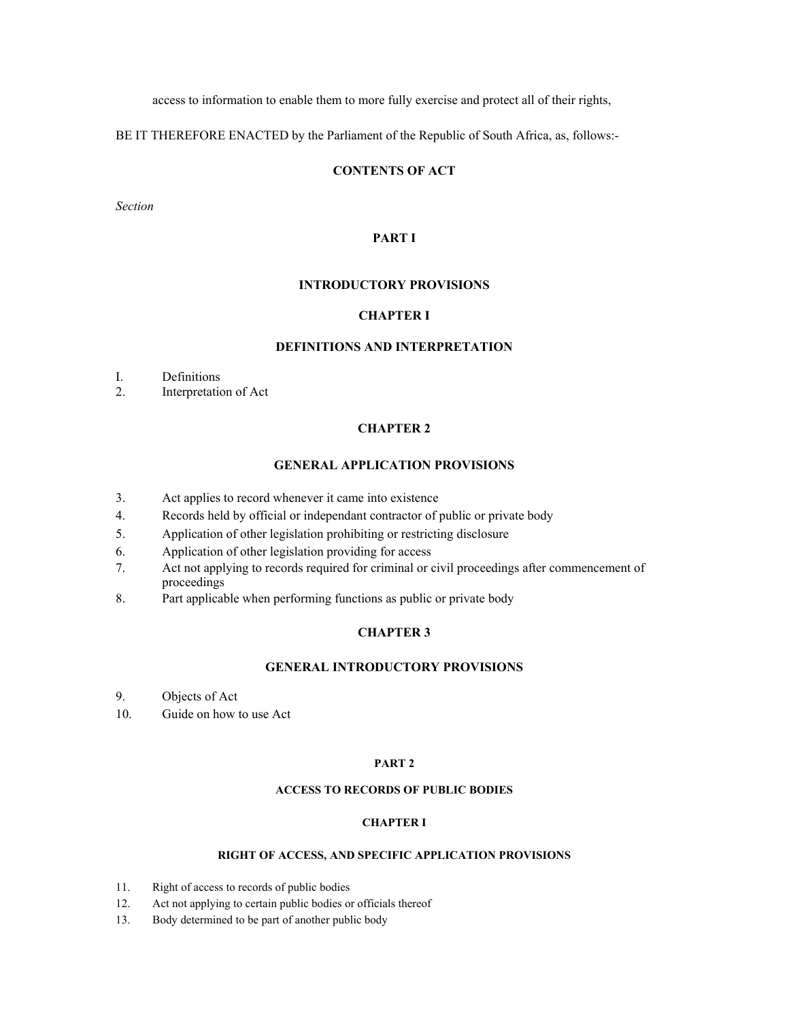access to information to enable them to more fully exercise and protect all of their rights,

BE IT THEREFORE ENACTED by the Parliament of the Republic of South Africa, as, follows:-

# **CONTENTS OF ACT**

*Section* 

### **PART I**

## **INTRODUCTORY PROVISIONS**

## **CHAPTER I**

### **DEFINITIONS AND INTERPRETATION**

- I. Definitions
- 2. Interpretation of Act

#### **CHAPTER 2**

#### **GENERAL APPLICATION PROVISIONS**

- 3. Act applies to record whenever it came into existence
- 4. Records held by official or independant contractor of public or private body
- 5. Application of other legislation prohibiting or restricting disclosure
- 6. Application of other legislation providing for access
- 7. Act not applying to records required for criminal or civil proceedings after commencement of proceedings
- 8. Part applicable when performing functions as public or private body

## **CHAPTER 3**

## **GENERAL INTRODUCTORY PROVISIONS**

- 9. Objects of Act
- 10. Guide on how to use Act

#### **PART 2**

## **ACCESS TO RECORDS OF PUBLIC BODIES**

#### **CHAPTER I**

#### **RIGHT OF ACCESS, AND SPECIFIC APPLICATION PROVISIONS**

- 11. Right of access to records of public bodies
- 12. Act not applying to certain public bodies or officials thereof
- 13. Body determined to be part of another public body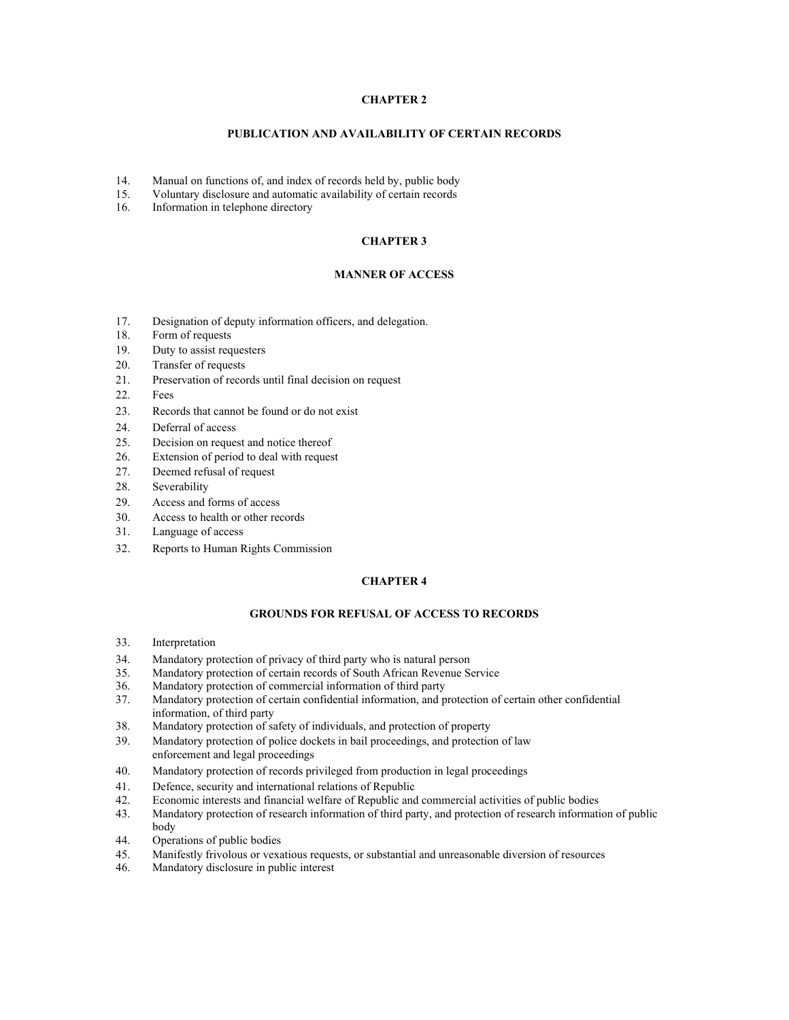#### **CHAPTER 2**

#### **PUBLICATION AND AVAILABILITY OF CERTAIN RECORDS**

- 14. Manual on functions of, and index of records held by, public body
- 15. Voluntary disclosure and automatic availability of certain records
- 16. Information in telephone directory

#### **CHAPTER 3**

#### **MANNER OF ACCESS**

- 17. Designation of deputy information officers, and delegation.
- 18. Form of requests
- 19. Duty to assist requesters
- 20. Transfer of requests
- 21. Preservation of records until final decision on request
- 22. Fees
- 23. Records that cannot be found or do not exist
- 24. Deferral of access
- 25. Decision on request and notice thereof
- 26. Extension of period to deal with request
- 27. Deemed refusal of request
- 28. Severability
- 29. Access and forms of access
- 30. Access to health or other records
- 31. Language of access
- 32. Reports to Human Rights Commission

#### **CHAPTER 4**

#### **GROUNDS FOR REFUSAL OF ACCESS TO RECORDS**

- 33. Interpretation
- 34. Mandatory protection of privacy of third party who is natural person
- 35. Mandatory protection of certain records of South African Revenue Service
- 36. Mandatory protection of commercial information of third party
- 37. Mandatory protection of certain confidential information, and protection of certain other confidential information, of third party
- 38. Mandatory protection of safety of individuals, and protection of property
- 39. Mandatory protection of police dockets in bail proceedings, and protection of law enforcement and legal proceedings
- 40. Mandatory protection of records privileged from production in legal proceedings
- 41. Defence, security and international relations of Republic
- 42. Economic interests and financial welfare of Republic and commercial activities of public bodies
- 43. Mandatory protection of research information of third party, and protection of research information of public body
- 44. Operations of public bodies
- 45. Manifestly frivolous or vexatious requests, or substantial and unreasonable diversion of resources
- 46. Mandatory disclosure in public interest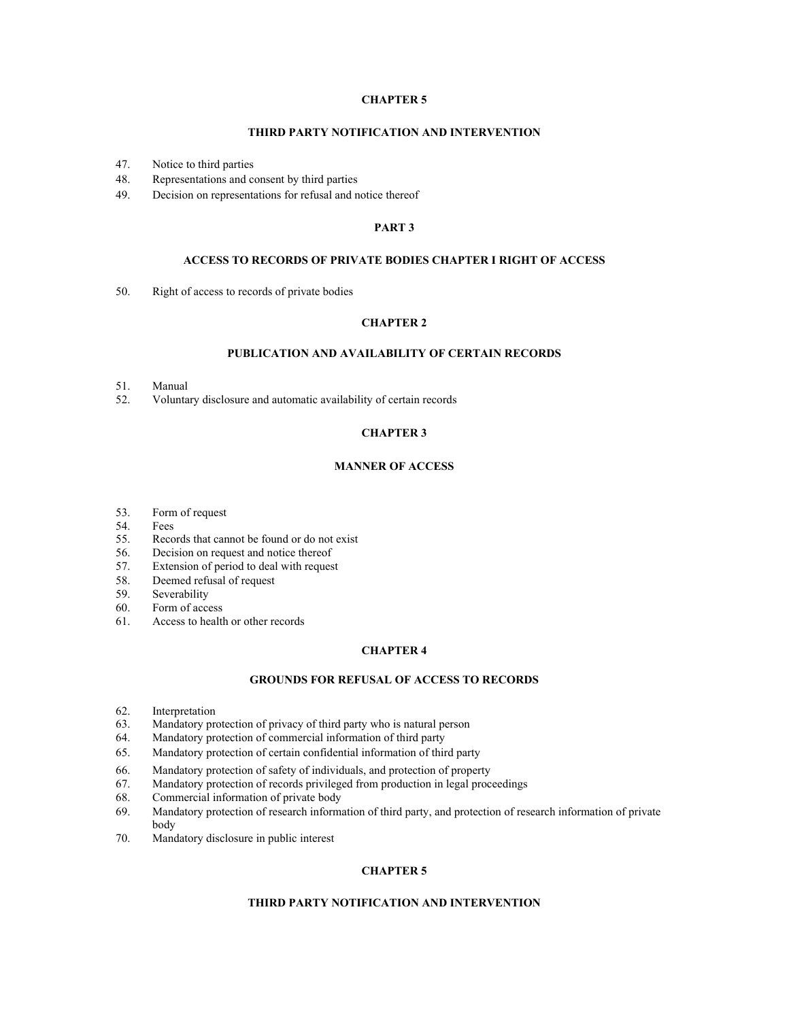### **CHAPTER 5**

#### **THIRD PARTY NOTIFICATION AND INTERVENTION**

- 47. Notice to third parties
- 48. Representations and consent by third parties
- 49. Decision on representations for refusal and notice thereof

#### **PART 3**

#### **ACCESS TO RECORDS OF PRIVATE BODIES CHAPTER I RIGHT OF ACCESS**

50. Right of access to records of private bodies

#### **CHAPTER 2**

#### **PUBLICATION AND AVAILABILITY OF CERTAIN RECORDS**

- 51. Manual
- 52. Voluntary disclosure and automatic availability of certain records

### **CHAPTER 3**

### **MANNER OF ACCESS**

- 53. Form of request
- 54. Fees
- 55. Records that cannot be found or do not exist
- 56. Decision on request and notice thereof
- 57. Extension of period to deal with request
- 58. Deemed refusal of request
- 59. Severability
- 60. Form of access
- 61. Access to health or other records

#### **CHAPTER 4**

#### **GROUNDS FOR REFUSAL OF ACCESS TO RECORDS**

- 62. Interpretation
- 63. Mandatory protection of privacy of third party who is natural person
- 64. Mandatory protection of commercial information of third party
- 65. Mandatory protection of certain confidential information of third party
- 66. Mandatory protection of safety of individuals, and protection of property
- 67. Mandatory protection of records privileged from production in legal proceedings
- 68. Commercial information of private body
- 69. Mandatory protection of research information of third party, and protection of research information of private body
- 70. Mandatory disclosure in public interest

## **CHAPTER 5**

#### **THIRD PARTY NOTIFICATION AND INTERVENTION**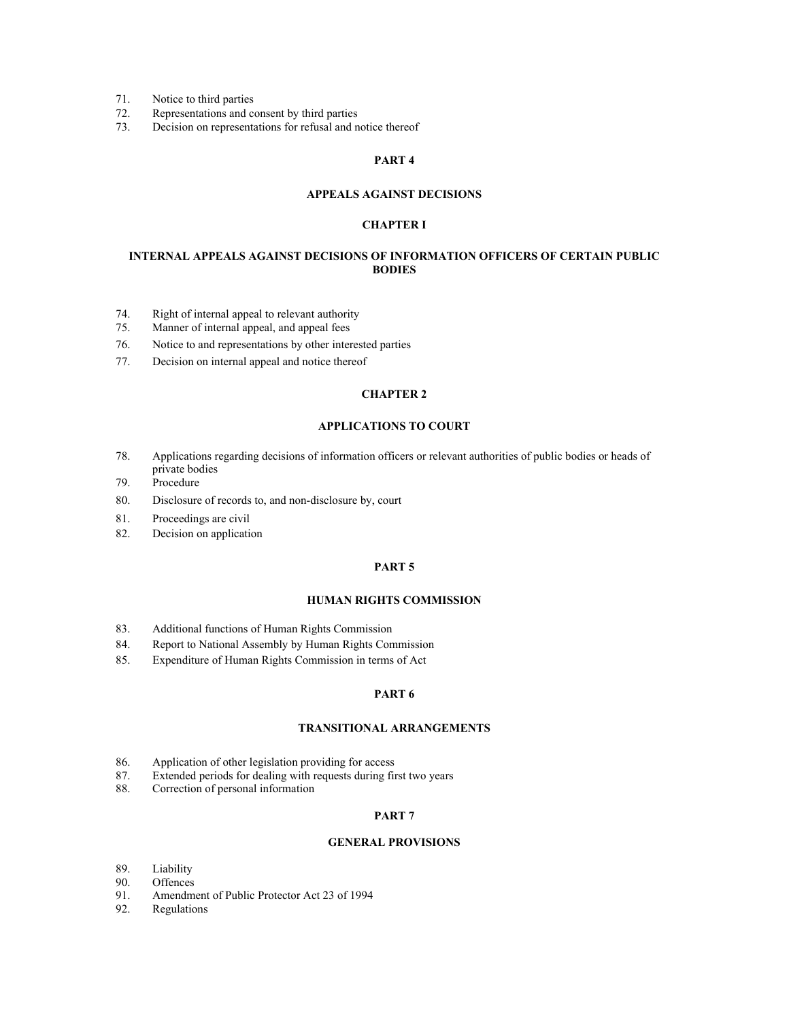- 71. Notice to third parties
- 72. Representations and consent by third parties<br>73. Decision on representations for refusal and n
- Decision on representations for refusal and notice thereof

#### **PART 4**

#### **APPEALS AGAINST DECISIONS**

#### **CHAPTER I**

#### **INTERNAL APPEALS AGAINST DECISIONS OF INFORMATION OFFICERS OF CERTAIN PUBLIC BODIES**

- 74. Right of internal appeal to relevant authority
- 75. Manner of internal appeal, and appeal fees
- 76. Notice to and representations by other interested parties
- 77. Decision on internal appeal and notice thereof

#### **CHAPTER 2**

#### **APPLICATIONS TO COURT**

- 78. Applications regarding decisions of information officers or relevant authorities of public bodies or heads of private bodies
- 79. Procedure
- 80. Disclosure of records to, and non-disclosure by, court
- 81. Proceedings are civil
- 82. Decision on application

#### **PART 5**

#### **HUMAN RIGHTS COMMISSION**

- 83. Additional functions of Human Rights Commission
- 84. Report to National Assembly by Human Rights Commission
- 85. Expenditure of Human Rights Commission in terms of Act

#### **PART 6**

#### **TRANSITIONAL ARRANGEMENTS**

- 86. Application of other legislation providing for access
- 87. Extended periods for dealing with requests during first two years
- 88. Correction of personal information

#### **PART 7**

#### **GENERAL PROVISIONS**

- 89. Liability
- 90. Offences<br>91. Amendm
- Amendment of Public Protector Act 23 of 1994
- 92. Regulations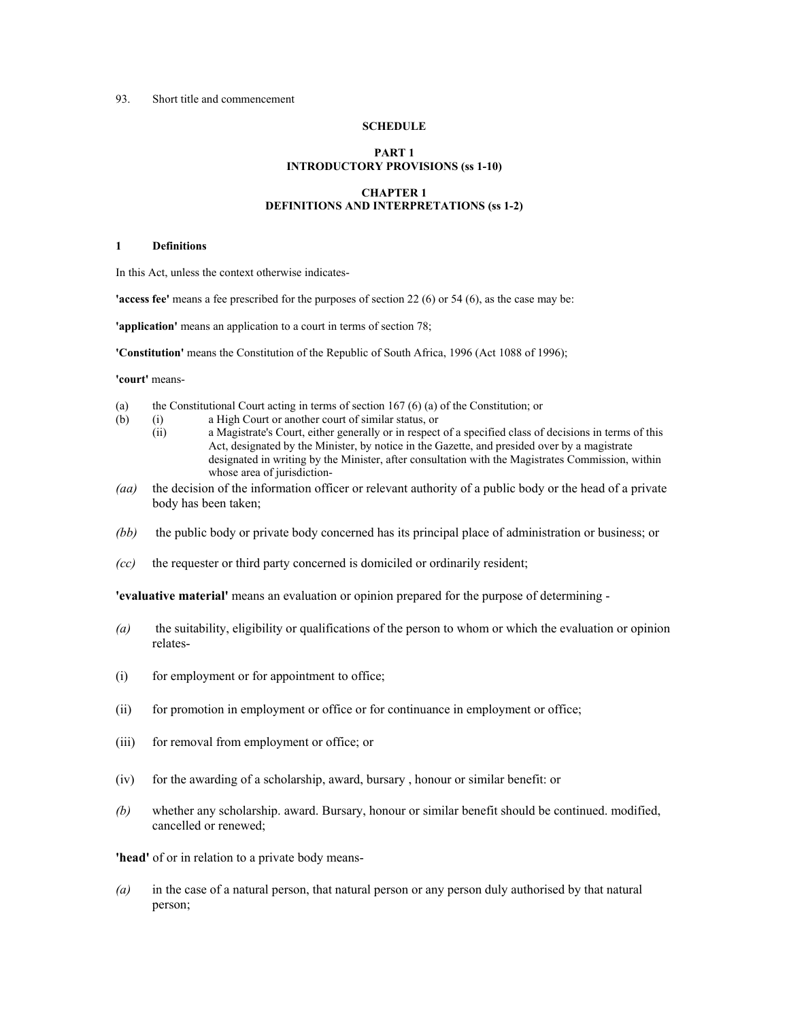## 93. Short title and commencement

#### **SCHEDULE**

#### **PART 1 INTRODUCTORY PROVISIONS (ss 1-10)**

## **CHAPTER 1 DEFINITIONS AND INTERPRETATIONS (ss 1-2)**

#### **1 Definitions**

In this Act, unless the context otherwise indicates-

**'access fee'** means a fee prescribed for the purposes of section 22 (6) or 54 (6), as the case may be:

**'application'** means an application to a court in terms of section 78;

**'Constitution'** means the Constitution of the Republic of South Africa, 1996 (Act 1088 of 1996);

**'court'** means-

- (a) the Constitutional Court acting in terms of section 167 (6) (a) of the Constitution; or
- (b) (i) a High Court or another court of similar status, or
	- (ii) a Magistrate's Court, either generally or in respect of a specified class of decisions in terms of this Act, designated by the Minister, by notice in the Gazette, and presided over by a magistrate designated in writing by the Minister, after consultation with the Magistrates Commission, within whose area of jurisdiction-
- *(aa)* the decision of the information officer or relevant authority of a public body or the head of a private body has been taken;
- *(bb)* the public body or private body concerned has its principal place of administration or business; or
- *(cc)* the requester or third party concerned is domiciled or ordinarily resident;

**'evaluative material'** means an evaluation or opinion prepared for the purpose of determining -

- *(a)* the suitability, eligibility or qualifications of the person to whom or which the evaluation or opinion relates-
- (i) for employment or for appointment to office;
- (ii) for promotion in employment or office or for continuance in employment or office;
- (iii) for removal from employment or office; or
- (iv) for the awarding of a scholarship, award, bursary , honour or similar benefit: or
- *(b)* whether any scholarship. award. Bursary, honour or similar benefit should be continued. modified, cancelled or renewed;

**'head'** of or in relation to a private body means-

*(a)* in the case of a natural person, that natural person or any person duly authorised by that natural person;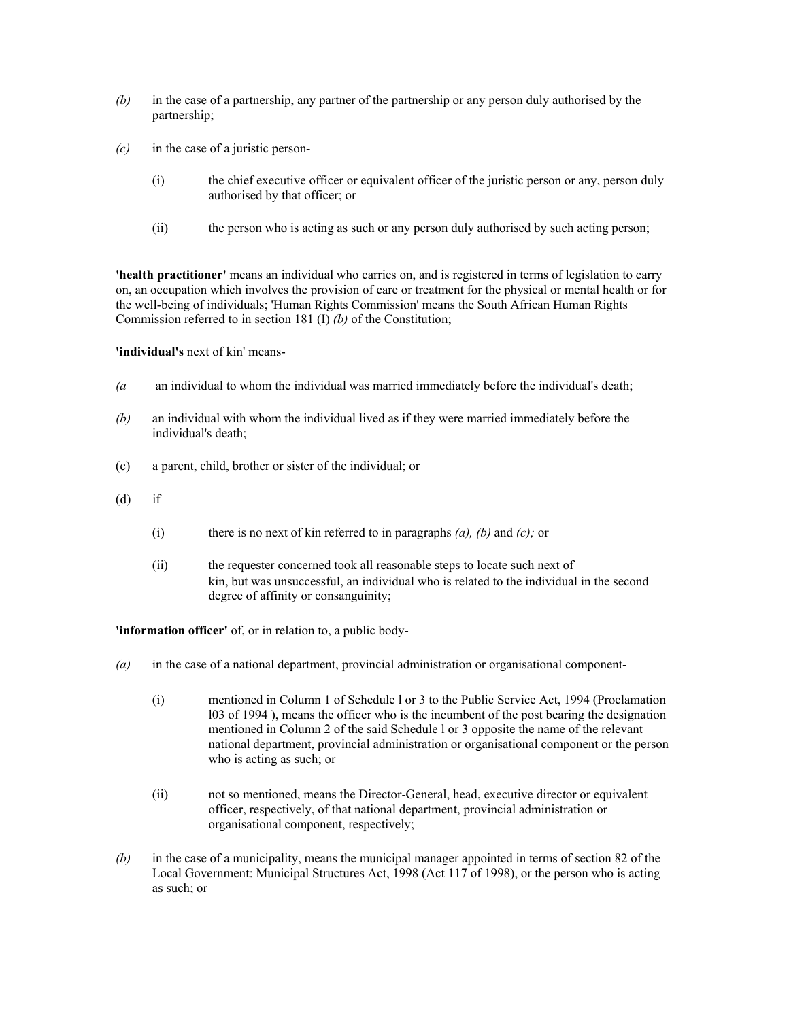- *(b)* in the case of a partnership, any partner of the partnership or any person duly authorised by the partnership;
- *(c)* in the case of a juristic person-
	- (i) the chief executive officer or equivalent officer of the juristic person or any, person duly authorised by that officer; or
	- (ii) the person who is acting as such or any person duly authorised by such acting person;

**'health practitioner'** means an individual who carries on, and is registered in terms of legislation to carry on, an occupation which involves the provision of care or treatment for the physical or mental health or for the well-being of individuals; 'Human Rights Commission' means the South African Human Rights Commission referred to in section 181 (I) *(b)* of the Constitution;

**'individual's** next of kin' means-

- *(a* an individual to whom the individual was married immediately before the individual's death;
- *(b)* an individual with whom the individual lived as if they were married immediately before the individual's death;
- (c) a parent, child, brother or sister of the individual; or
- $(d)$  if
	- (i) there is no next of kin referred to in paragraphs *(a), (b)* and *(c);* or
	- (ii) the requester concerned took all reasonable steps to locate such next of kin, but was unsuccessful, an individual who is related to the individual in the second degree of affinity or consanguinity;

**'information officer'** of, or in relation to, a public body-

- *(a)* in the case of a national department, provincial administration or organisational component-
	- (i) mentioned in Column 1 of Schedule l or 3 to the Public Service Act, 1994 (Proclamation l03 of 1994 ), means the officer who is the incumbent of the post bearing the designation mentioned in Column 2 of the said Schedule l or 3 opposite the name of the relevant national department, provincial administration or organisational component or the person who is acting as such; or
	- (ii) not so mentioned, means the Director-General, head, executive director or equivalent officer, respectively, of that national department, provincial administration or organisational component, respectively;
- *(b)* in the case of a municipality, means the municipal manager appointed in terms of section 82 of the Local Government: Municipal Structures Act, 1998 (Act 117 of 1998), or the person who is acting as such; or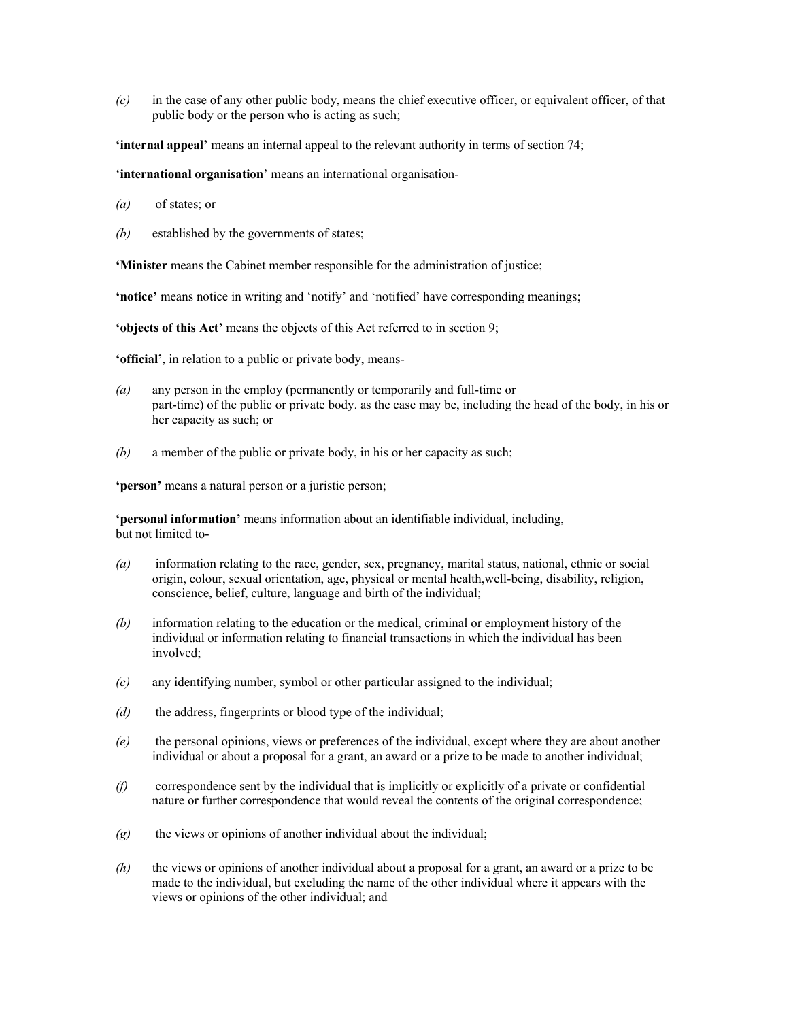*(c)* in the case of any other public body, means the chief executive officer, or equivalent officer, of that public body or the person who is acting as such;

**'internal appeal'** means an internal appeal to the relevant authority in terms of section 74;

'**international organisation**' means an international organisation-

- *(a)* of states; or
- *(b)* established by the governments of states;

**'Minister** means the Cabinet member responsible for the administration of justice;

**'notice'** means notice in writing and 'notify' and 'notified' have corresponding meanings;

**'objects of this Act'** means the objects of this Act referred to in section 9;

**'official'**, in relation to a public or private body, means-

- *(a)* any person in the employ (permanently or temporarily and full-time or part-time) of the public or private body. as the case may be, including the head of the body, in his or her capacity as such; or
- *(b)* a member of the public or private body, in his or her capacity as such;

**'person'** means a natural person or a juristic person;

**'personal information'** means information about an identifiable individual, including, but not limited to-

- *(a)* information relating to the race, gender, sex, pregnancy, marital status, national, ethnic or social origin, colour, sexual orientation, age, physical or mental health,well-being, disability, religion, conscience, belief, culture, language and birth of the individual;
- *(b)* information relating to the education or the medical, criminal or employment history of the individual or information relating to financial transactions in which the individual has been involved;
- *(c)* any identifying number, symbol or other particular assigned to the individual;
- *(d)* the address, fingerprints or blood type of the individual;
- *(e)* the personal opinions, views or preferences of the individual, except where they are about another individual or about a proposal for a grant, an award or a prize to be made to another individual;
- *(f)* correspondence sent by the individual that is implicitly or explicitly of a private or confidential nature or further correspondence that would reveal the contents of the original correspondence;
- *(g)* the views or opinions of another individual about the individual;
- *(h)* the views or opinions of another individual about a proposal for a grant, an award or a prize to be made to the individual, but excluding the name of the other individual where it appears with the views or opinions of the other individual; and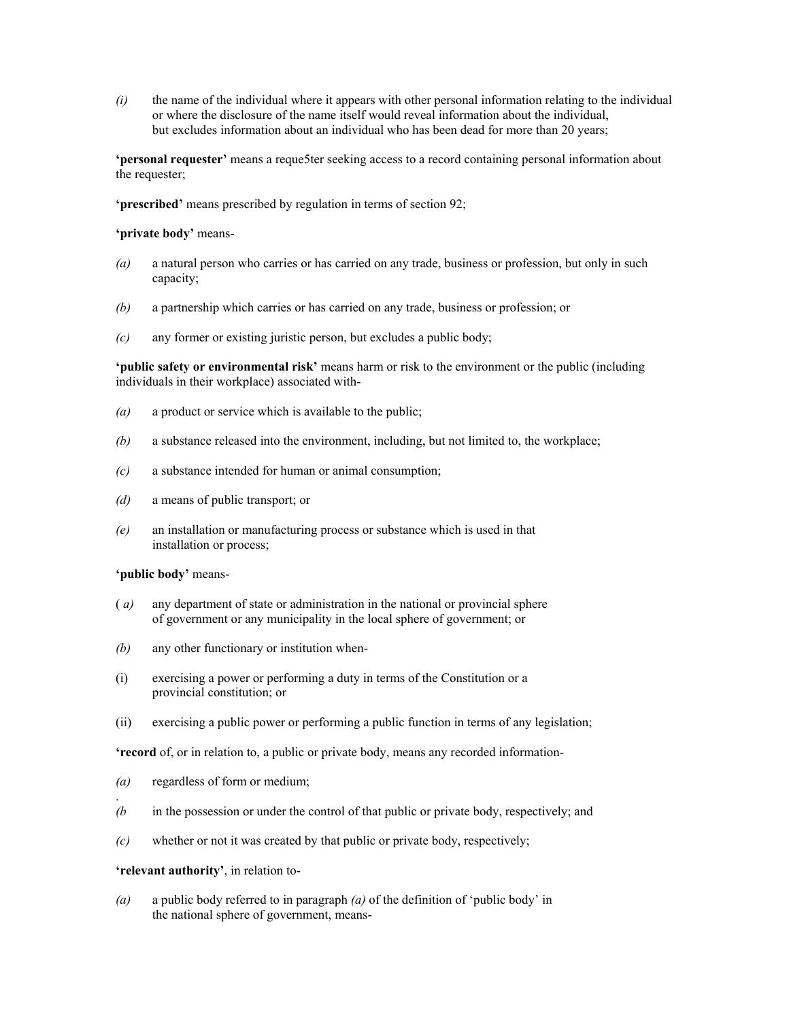*(i)* the name of the individual where it appears with other personal information relating to the individual or where the disclosure of the name itself would reveal information about the individual, but excludes information about an individual who has been dead for more than 20 years;

**'personal requester'** means a reque5ter seeking access to a record containing personal information about the requester;

**'prescribed'** means prescribed by regulation in terms of section 92;

#### **'private body'** means-

- *(a)* a natural person who carries or has carried on any trade, business or profession, but only in such capacity;
- *(b)* a partnership which carries or has carried on any trade, business or profession; or
- *(c)* any former or existing juristic person, but excludes a public body;

**'public safety or environmental risk'** means harm or risk to the environment or the public (including individuals in their workplace) associated with-

- *(a)* a product or service which is available to the public;
- *(b)* a substance released into the environment, including, but not limited to, the workplace;
- *(c)* a substance intended for human or animal consumption;
- *(d)* a means of public transport; or
- *(e)* an installation or manufacturing process or substance which is used in that installation or process;

### **'public body'** means-

- ( *a)* any department of state or administration in the national or provincial sphere of government or any municipality in the local sphere of government; or
- *(b)* any other functionary or institution when-
- (i) exercising a power or performing a duty in terms of the Constitution or a provincial constitution; or
- (ii) exercising a public power or performing a public function in terms of any legislation;

**'record** of, or in relation to, a public or private body, means any recorded information-

*(a)* regardless of form or medium;

.

- *(b* in the possession or under the control of that public or private body, respectively; and
- *(c)* whether or not it was created by that public or private body, respectively;

## **'relevant authority'**, in relation to-

*(a)* a public body referred to in paragraph *(a)* of the definition of 'public body' in the national sphere of government, means-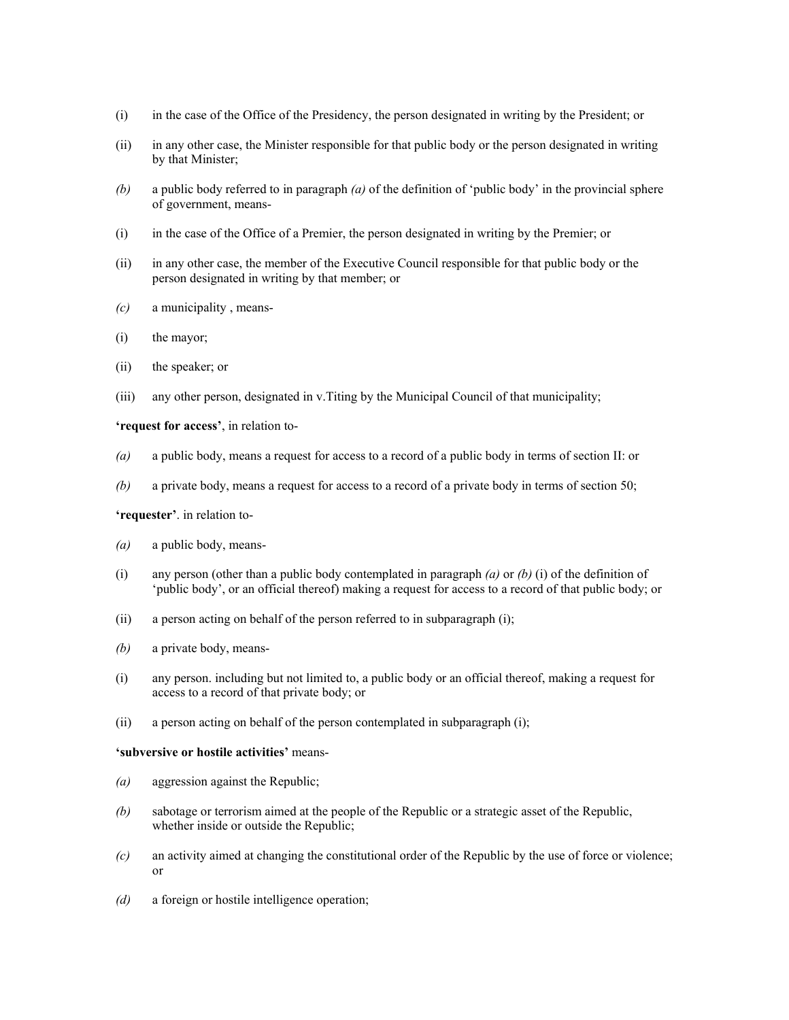- (i) in the case of the Office of the Presidency, the person designated in writing by the President; or
- (ii) in any other case, the Minister responsible for that public body or the person designated in writing by that Minister;
- *(b)* a public body referred to in paragraph *(a)* of the definition of 'public body' in the provincial sphere of government, means-
- (i) in the case of the Office of a Premier, the person designated in writing by the Premier; or
- (ii) in any other case, the member of the Executive Council responsible for that public body or the person designated in writing by that member; or
- *(c)* a municipality , means-
- (i) the mayor;
- (ii) the speaker; or
- (iii) any other person, designated in v.Titing by the Municipal Council of that municipality;

**'request for access'**, in relation to-

- *(a)* a public body, means a request for access to a record of a public body in terms of section II: or
- *(b)* a private body, means a request for access to a record of a private body in terms of section 50;

**'requester'**. in relation to-

- *(a)* a public body, means-
- (i) any person (other than a public body contemplated in paragraph  $(a)$  or  $(b)$  (i) of the definition of 'public body', or an official thereof) making a request for access to a record of that public body; or
- (ii) a person acting on behalf of the person referred to in subparagraph (i);
- *(b)* a private body, means-
- (i) any person. including but not limited to, a public body or an official thereof, making a request for access to a record of that private body; or
- (ii) a person acting on behalf of the person contemplated in subparagraph (i);

#### **'subversive or hostile activities'** means-

- *(a)* aggression against the Republic;
- *(b)* sabotage or terrorism aimed at the people of the Republic or a strategic asset of the Republic, whether inside or outside the Republic;
- *(c)* an activity aimed at changing the constitutional order of the Republic by the use of force or violence; or
- *(d)* a foreign or hostile intelligence operation;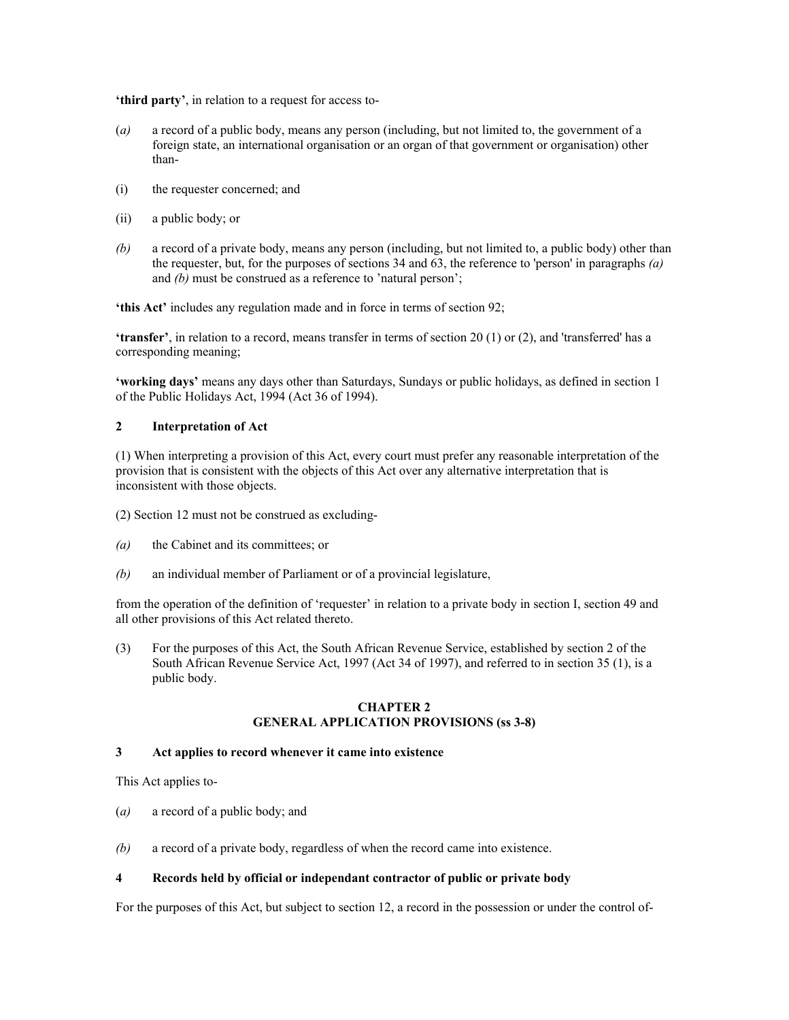**'third party'**, in relation to a request for access to-

- (*a)* a record of a public body, means any person (including, but not limited to, the government of a foreign state, an international organisation or an organ of that government or organisation) other than-
- (i) the requester concerned; and
- (ii) a public body; or
- *(b)* a record of a private body, means any person (including, but not limited to, a public body) other than the requester, but, for the purposes of sections 34 and 63, the reference to 'person' in paragraphs *(a)*  and *(b)* must be construed as a reference to 'natural person';

**'this Act'** includes any regulation made and in force in terms of section 92;

**'transfer'**, in relation to a record, means transfer in terms of section 20 (1) or (2), and 'transferred' has a corresponding meaning;

**'working days'** means any days other than Saturdays, Sundays or public holidays, as defined in section 1 of the Public Holidays Act, 1994 (Act 36 of 1994).

### **2 Interpretation of Act**

(1) When interpreting a provision of this Act, every court must prefer any reasonable interpretation of the provision that is consistent with the objects of this Act over any alternative interpretation that is inconsistent with those objects.

(2) Section 12 must not be construed as excluding-

- *(a)* the Cabinet and its committees; or
- *(b)* an individual member of Parliament or of a provincial legislature,

from the operation of the definition of 'requester' in relation to a private body in section I, section 49 and all other provisions of this Act related thereto.

(3) For the purposes of this Act, the South African Revenue Service, established by section 2 of the South African Revenue Service Act, 1997 (Act 34 of 1997), and referred to in section 35 (1), is a public body.

#### **CHAPTER 2 GENERAL APPLICATION PROVISIONS (ss 3-8)**

### **3 Act applies to record whenever it came into existence**

This Act applies to-

- (*a)* a record of a public body; and
- *(b)* a record of a private body, regardless of when the record came into existence.

## **4 Records held by official or independant contractor of public or private body**

For the purposes of this Act, but subject to section 12, a record in the possession or under the control of-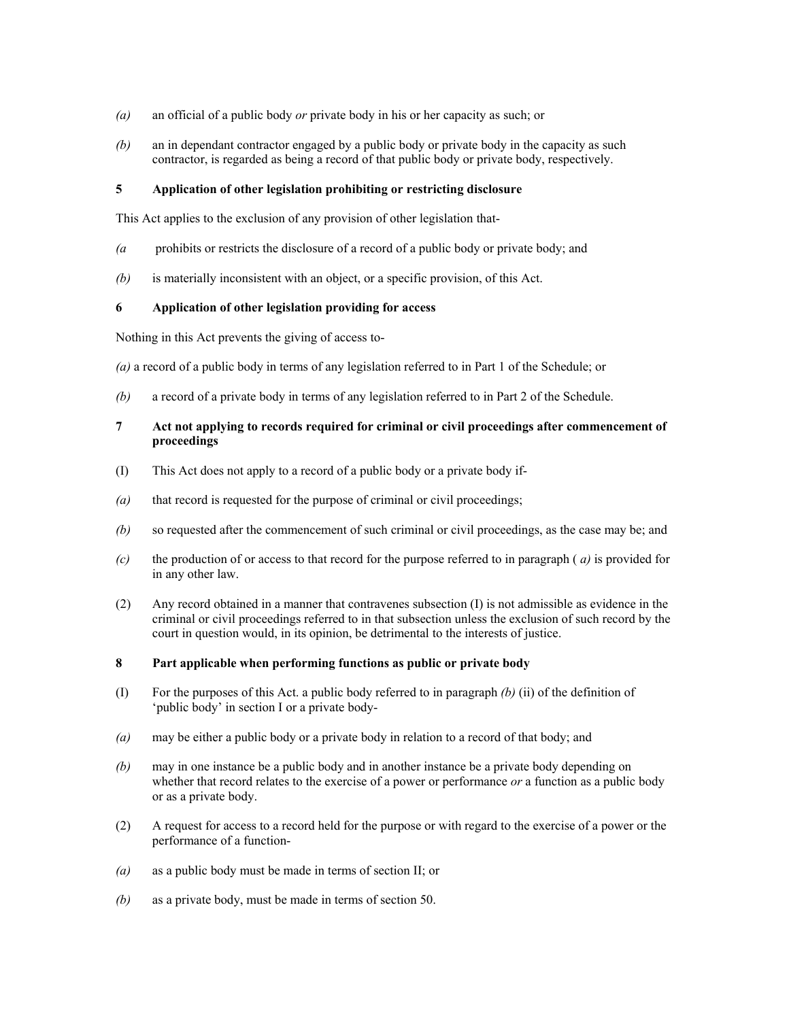- *(a)* an official of a public body *or* private body in his or her capacity as such; or
- *(b)* an in dependant contractor engaged by a public body or private body in the capacity as such contractor, is regarded as being a record of that public body or private body, respectively.

## **5 Application of other legislation prohibiting or restricting disclosure**

This Act applies to the exclusion of any provision of other legislation that-

- *(a* prohibits or restricts the disclosure of a record of a public body or private body; and
- *(b)* is materially inconsistent with an object, or a specific provision, of this Act.

### **6 Application of other legislation providing for access**

Nothing in this Act prevents the giving of access to-

*(a)* a record of a public body in terms of any legislation referred to in Part 1 of the Schedule; or

*(b)* a record of a private body in terms of any legislation referred to in Part 2 of the Schedule.

## **7 Act not applying to records required for criminal or civil proceedings after commencement of proceedings**

- (I) This Act does not apply to a record of a public body or a private body if-
- *(a)* that record is requested for the purpose of criminal or civil proceedings;
- *(b)* so requested after the commencement of such criminal or civil proceedings, as the case may be; and
- *(c)* the production of or access to that record for the purpose referred to in paragraph ( *a)* is provided for in any other law.
- (2) Any record obtained in a manner that contravenes subsection (I) is not admissible as evidence in the criminal or civil proceedings referred to in that subsection unless the exclusion of such record by the court in question would, in its opinion, be detrimental to the interests of justice.

#### **8 Part applicable when performing functions as public or private body**

- (I) For the purposes of this Act. a public body referred to in paragraph *(b)* (ii) of the definition of 'public body' in section I or a private body-
- *(a)* may be either a public body or a private body in relation to a record of that body; and
- *(b)* may in one instance be a public body and in another instance be a private body depending on whether that record relates to the exercise of a power or performance *or* a function as a public body or as a private body.
- (2) A request for access to a record held for the purpose or with regard to the exercise of a power or the performance of a function-
- *(a)* as a public body must be made in terms of section II; or
- *(b)* as a private body, must be made in terms of section 50.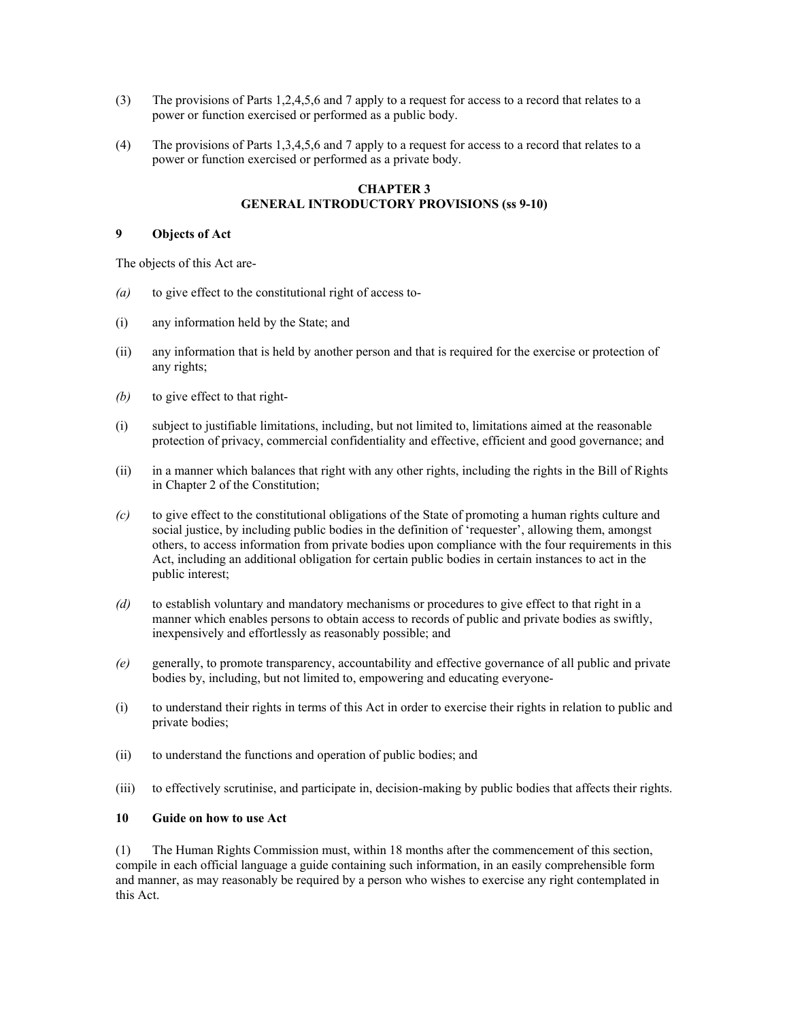- (3) The provisions of Parts 1,2,4,5,6 and 7 apply to a request for access to a record that relates to a power or function exercised or performed as a public body.
- (4) The provisions of Parts 1,3,4,5,6 and 7 apply to a request for access to a record that relates to a power or function exercised or performed as a private body.

## **CHAPTER 3 GENERAL INTRODUCTORY PROVISIONS (ss 9-10)**

# **9 Objects of Act**

The objects of this Act are-

- *(a)* to give effect to the constitutional right of access to-
- (i) any information held by the State; and
- (ii) any information that is held by another person and that is required for the exercise or protection of any rights;
- *(b)* to give effect to that right-
- (i) subject to justifiable limitations, including, but not limited to, limitations aimed at the reasonable protection of privacy, commercial confidentiality and effective, efficient and good governance; and
- (ii) in a manner which balances that right with any other rights, including the rights in the Bill of Rights in Chapter 2 of the Constitution;
- *(c)* to give effect to the constitutional obligations of the State of promoting a human rights culture and social justice, by including public bodies in the definition of 'requester', allowing them, amongst others, to access information from private bodies upon compliance with the four requirements in this Act, including an additional obligation for certain public bodies in certain instances to act in the public interest;
- *(d)* to establish voluntary and mandatory mechanisms or procedures to give effect to that right in a manner which enables persons to obtain access to records of public and private bodies as swiftly, inexpensively and effortlessly as reasonably possible; and
- *(e)* generally, to promote transparency, accountability and effective governance of all public and private bodies by, including, but not limited to, empowering and educating everyone-
- (i) to understand their rights in terms of this Act in order to exercise their rights in relation to public and private bodies;
- (ii) to understand the functions and operation of public bodies; and
- (iii) to effectively scrutinise, and participate in, decision-making by public bodies that affects their rights.

## **10 Guide on how to use Act**

(1) The Human Rights Commission must, within 18 months after the commencement of this section, compile in each official language a guide containing such information, in an easily comprehensible form and manner, as may reasonably be required by a person who wishes to exercise any right contemplated in this Act.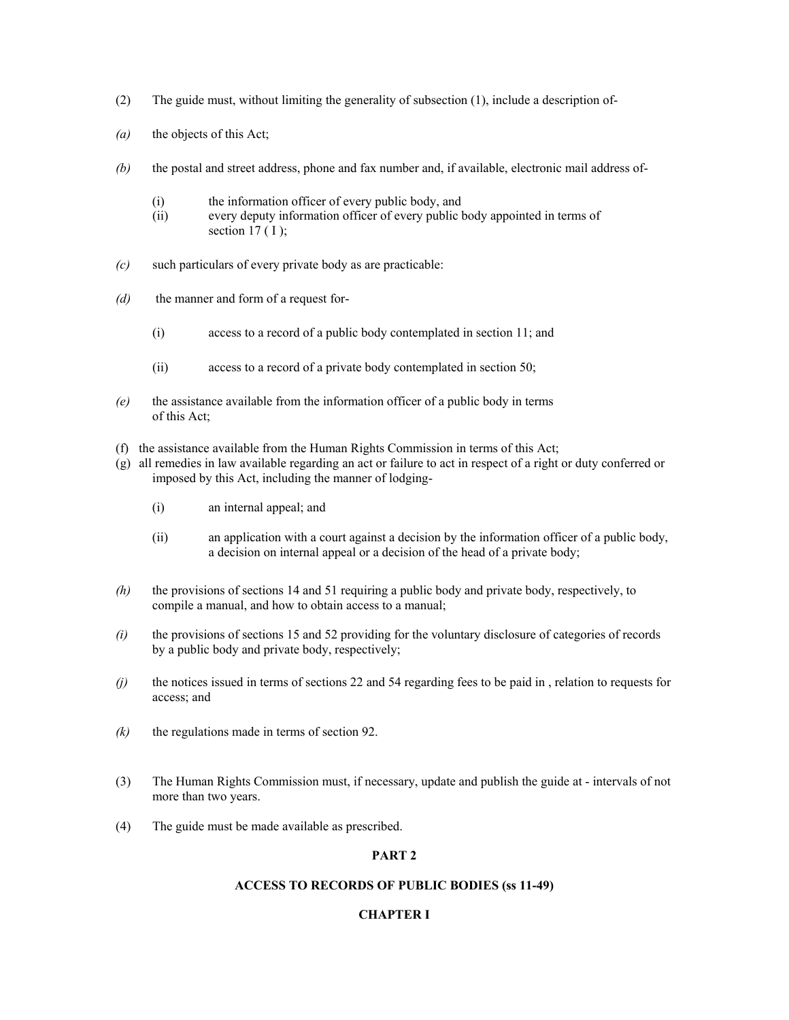- (2) The guide must, without limiting the generality of subsection (1), include a description of-
- *(a)* the objects of this Act;
- *(b)* the postal and street address, phone and fax number and, if available, electronic mail address of-
	- (i) the information officer of every public body, and
	- (ii) every deputy information officer of every public body appointed in terms of section  $17(1)$ ;
- *(c)* such particulars of every private body as are practicable:
- *(d)* the manner and form of a request for-
	- (i) access to a record of a public body contemplated in section 11; and
	- (ii) access to a record of a private body contemplated in section 50;
- *(e)* the assistance available from the information officer of a public body in terms of this Act;
- (f) the assistance available from the Human Rights Commission in terms of this Act;
- (g) all remedies in law available regarding an act or failure to act in respect of a right or duty conferred or imposed by this Act, including the manner of lodging-
	- (i) an internal appeal; and
	- (ii) an application with a court against a decision by the information officer of a public body, a decision on internal appeal or a decision of the head of a private body;
- *(h)* the provisions of sections 14 and 51 requiring a public body and private body, respectively, to compile a manual, and how to obtain access to a manual;
- *(i)* the provisions of sections 15 and 52 providing for the voluntary disclosure of categories of records by a public body and private body, respectively;
- *(j)* the notices issued in terms of sections 22 and 54 regarding fees to be paid in , relation to requests for access; and
- $(k)$  the regulations made in terms of section 92.
- (3) The Human Rights Commission must, if necessary, update and publish the guide at intervals of not more than two years.
- (4) The guide must be made available as prescribed.

## **PART 2**

#### **ACCESS TO RECORDS OF PUBLIC BODIES (ss 11-49)**

## **CHAPTER I**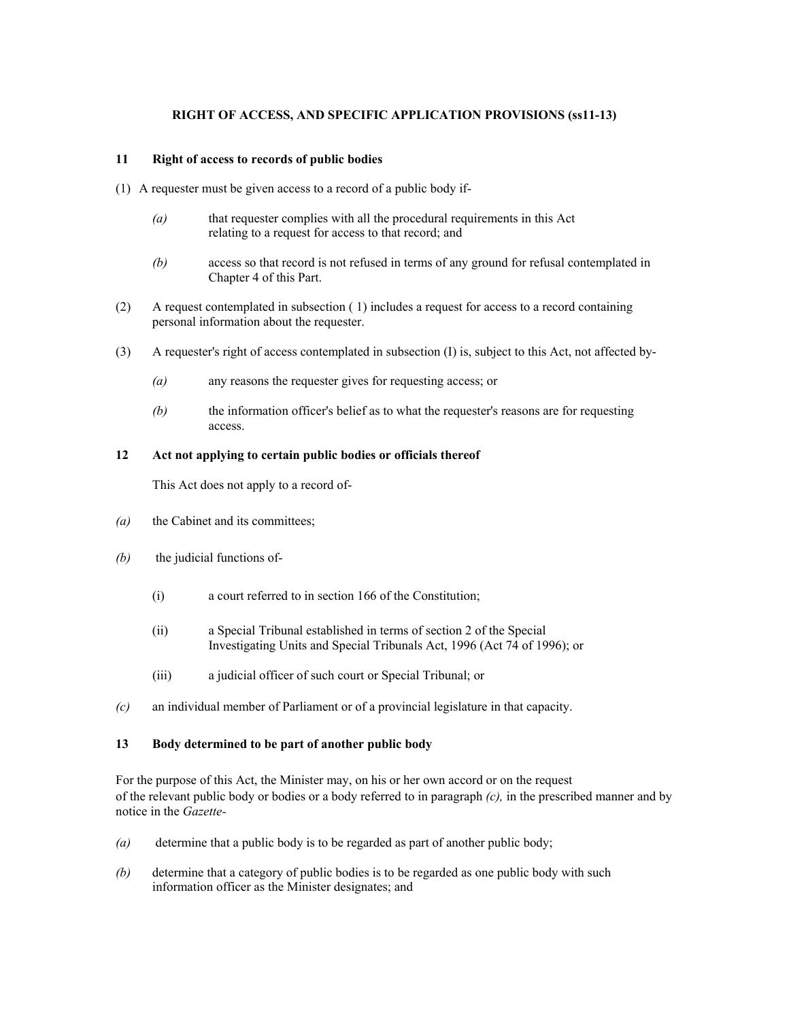## **RIGHT OF ACCESS, AND SPECIFIC APPLICATION PROVISIONS (ss11-13)**

### **11 Right of access to records of public bodies**

- (1) A requester must be given access to a record of a public body if-
	- *(a)* that requester complies with all the procedural requirements in this Act relating to a request for access to that record; and
	- *(b)* access so that record is not refused in terms of any ground for refusal contemplated in Chapter 4 of this Part.
- (2) A request contemplated in subsection ( 1) includes a request for access to a record containing personal information about the requester.
- (3) A requester's right of access contemplated in subsection (I) is, subject to this Act, not affected by-
	- *(a)* any reasons the requester gives for requesting access; or
	- *(b)* the information officer's belief as to what the requester's reasons are for requesting access.

## **12 Act not applying to certain public bodies or officials thereof**

This Act does not apply to a record of-

- *(a)* the Cabinet and its committees;
- *(b)* the judicial functions of-
	- (i) a court referred to in section 166 of the Constitution;
	- (ii) a Special Tribunal established in terms of section 2 of the Special Investigating Units and Special Tribunals Act, 1996 (Act 74 of 1996); or
	- (iii) a judicial officer of such court or Special Tribunal; or
- *(c)* an individual member of Parliament or of a provincial legislature in that capacity.

## **13 Body determined to be part of another public body**

For the purpose of this Act, the Minister may, on his or her own accord or on the request of the relevant public body or bodies or a body referred to in paragraph *(c),* in the prescribed manner and by notice in the *Gazette-* 

- *(a)* determine that a public body is to be regarded as part of another public body;
- *(b)* determine that a category of public bodies is to be regarded as one public body with such information officer as the Minister designates; and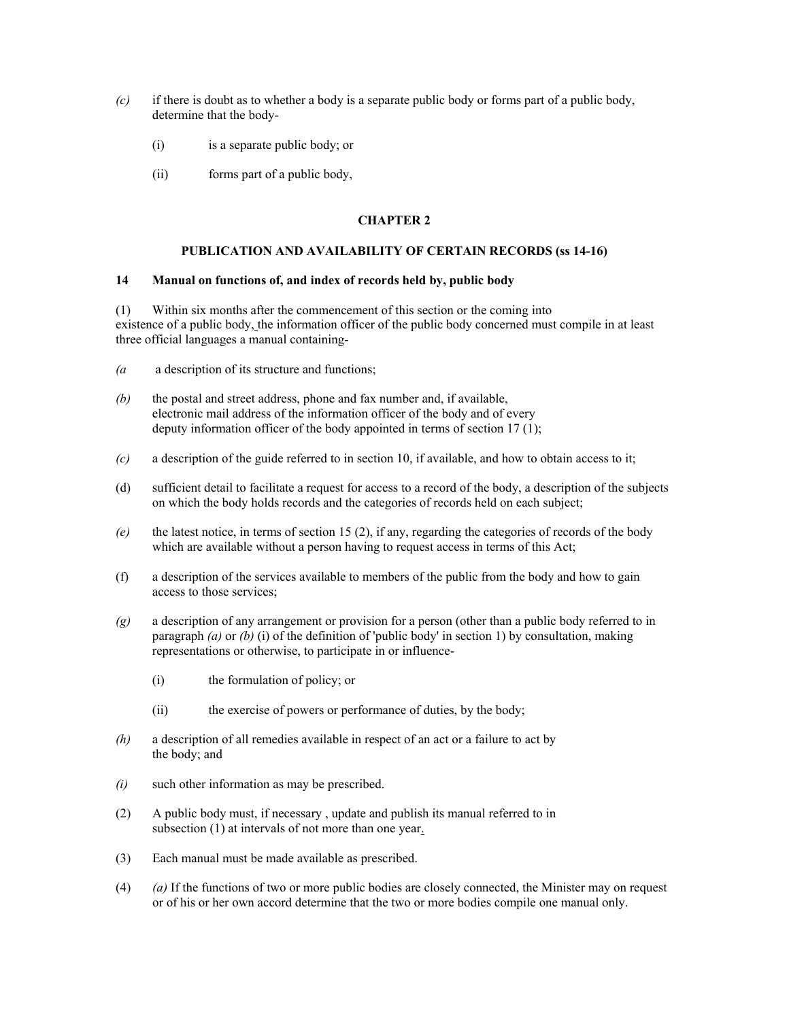- *(c)* if there is doubt as to whether a body is a separate public body or forms part of a public body, determine that the body-
	- (i) is a separate public body; or
	- (ii) forms part of a public body,

# **CHAPTER 2**

## **PUBLICATION AND AVAILABILITY OF CERTAIN RECORDS (ss 14-16)**

### **14 Manual on functions of, and index of records held by, public body**

(1) Within six months after the commencement of this section or the coming into existence of a public body, the information officer of the public body concerned must compile in at least three official languages a manual containing-

- *(a* a description of its structure and functions;
- *(b)* the postal and street address, phone and fax number and, if available, electronic mail address of the information officer of the body and of every deputy information officer of the body appointed in terms of section 17 (1);
- *(c)* a description of the guide referred to in section 10, if available, and how to obtain access to it;
- (d) sufficient detail to facilitate a request for access to a record of the body, a description of the subjects on which the body holds records and the categories of records held on each subject;
- *(e)* the latest notice, in terms of section 15 (2), if any, regarding the categories of records of the body which are available without a person having to request access in terms of this Act;
- (f) a description of the services available to members of the public from the body and how to gain access to those services;
- *(g)* a description of any arrangement or provision for a person (other than a public body referred to in paragraph *(a)* or *(b)* (i) of the definition of 'public body' in section 1) by consultation, making representations or otherwise, to participate in or influence-
	- (i) the formulation of policy; or
	- (ii) the exercise of powers or performance of duties, by the body;
- *(h)* a description of all remedies available in respect of an act or a failure to act by the body; and
- *(i)* such other information as may be prescribed.
- (2) A public body must, if necessary , update and publish its manual referred to in subsection (1) at intervals of not more than one year.
- (3) Each manual must be made available as prescribed.
- (4) *(a)* If the functions of two or more public bodies are closely connected, the Minister may on request or of his or her own accord determine that the two or more bodies compile one manual only.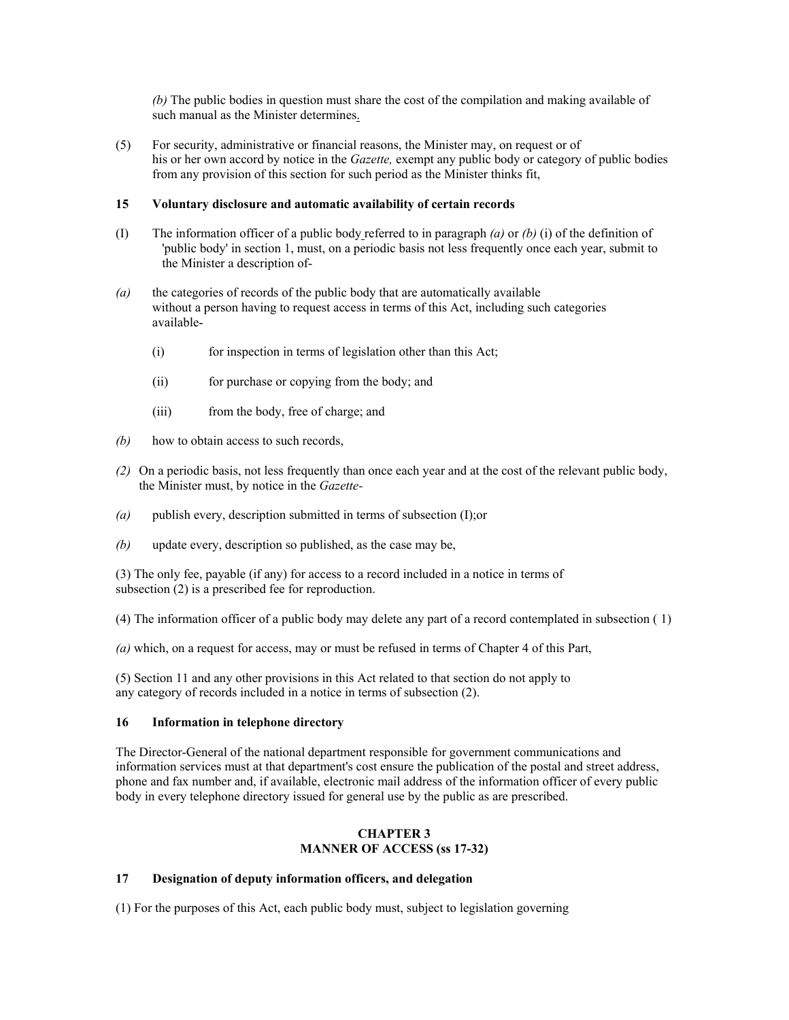*(b)* The public bodies in question must share the cost of the compilation and making available of such manual as the Minister determines.

(5) For security, administrative or financial reasons, the Minister may, on request or of his or her own accord by notice in the *Gazette,* exempt any public body or category of public bodies from any provision of this section for such period as the Minister thinks fit,

## **15 Voluntary disclosure and automatic availability of certain records**

- (I) The information officer of a public body referred to in paragraph *(a)* or *(b)* (i) of the definition of 'public body' in section 1, must, on a periodic basis not less frequently once each year, submit to the Minister a description of-
- *(a)* the categories of records of the public body that are automatically available without a person having to request access in terms of this Act, including such categories available-
	- (i) for inspection in terms of legislation other than this Act;
	- (ii) for purchase or copying from the body; and
	- (iii) from the body, free of charge; and
- *(b)* how to obtain access to such records,
- *(2)* On a periodic basis, not less frequently than once each year and at the cost of the relevant public body, the Minister must, by notice in the *Gazette-*
- *(a)* publish every, description submitted in terms of subsection (I);or
- *(b)* update every, description so published, as the case may be,

(3) The only fee, payable (if any) for access to a record included in a notice in terms of subsection (2) is a prescribed fee for reproduction.

(4) The information officer of a public body may delete any part of a record contemplated in subsection ( 1)

*(a)* which, on a request for access, may or must be refused in terms of Chapter 4 of this Part,

(5) Section 11 and any other provisions in this Act related to that section do not apply to any category of records included in a notice in terms of subsection (2).

## **16 Information in telephone directory**

The Director-General of the national department responsible for government communications and information services must at that department's cost ensure the publication of the postal and street address, phone and fax number and, if available, electronic mail address of the information officer of every public body in every telephone directory issued for general use by the public as are prescribed.

## **CHAPTER 3 MANNER OF ACCESS (ss 17-32)**

# **17 Designation of deputy information officers, and delegation**

(1) For the purposes of this Act, each public body must, subject to legislation governing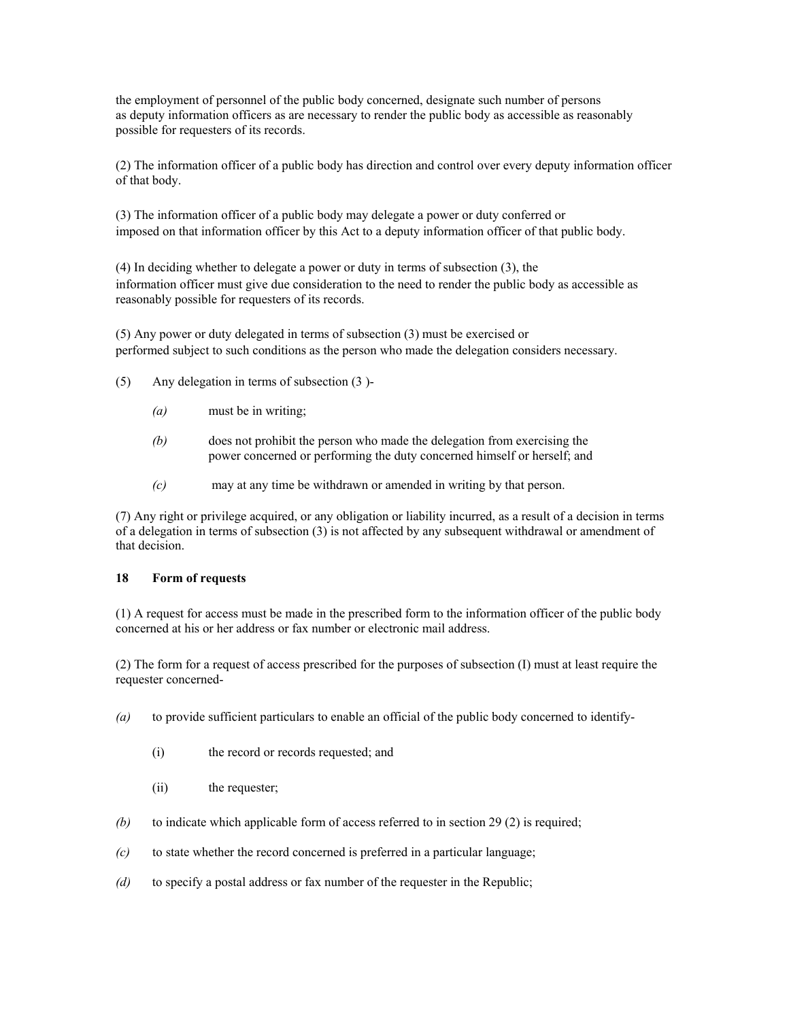the employment of personnel of the public body concerned, designate such number of persons as deputy information officers as are necessary to render the public body as accessible as reasonably possible for requesters of its records.

(2) The information officer of a public body has direction and control over every deputy information officer of that body.

(3) The information officer of a public body may delegate a power or duty conferred or imposed on that information officer by this Act to a deputy information officer of that public body.

(4) In deciding whether to delegate a power or duty in terms of subsection (3), the information officer must give due consideration to the need to render the public body as accessible as reasonably possible for requesters of its records.

(5) Any power or duty delegated in terms of subsection (3) must be exercised or performed subject to such conditions as the person who made the delegation considers necessary.

- (5) Any delegation in terms of subsection (3 )-
	- *(a)* must be in writing;
	- *(b)* does not prohibit the person who made the delegation from exercising the power concerned or performing the duty concerned himself or herself; and
	- *(c)* may at any time be withdrawn or amended in writing by that person.

(7) Any right or privilege acquired, or any obligation or liability incurred, as a result of a decision in terms of a delegation in terms of subsection (3) is not affected by any subsequent withdrawal or amendment of that decision.

#### **18 Form of requests**

(1) A request for access must be made in the prescribed form to the information officer of the public body concerned at his or her address or fax number or electronic mail address.

(2) The form for a request of access prescribed for the purposes of subsection (I) must at least require the requester concerned-

- *(a)* to provide sufficient particulars to enable an official of the public body concerned to identify-
	- (i) the record or records requested; and
	- (ii) the requester;
- *(b)* to indicate which applicable form of access referred to in section 29 (2) is required;
- *(c)* to state whether the record concerned is preferred in a particular language;
- *(d)* to specify a postal address or fax number of the requester in the Republic;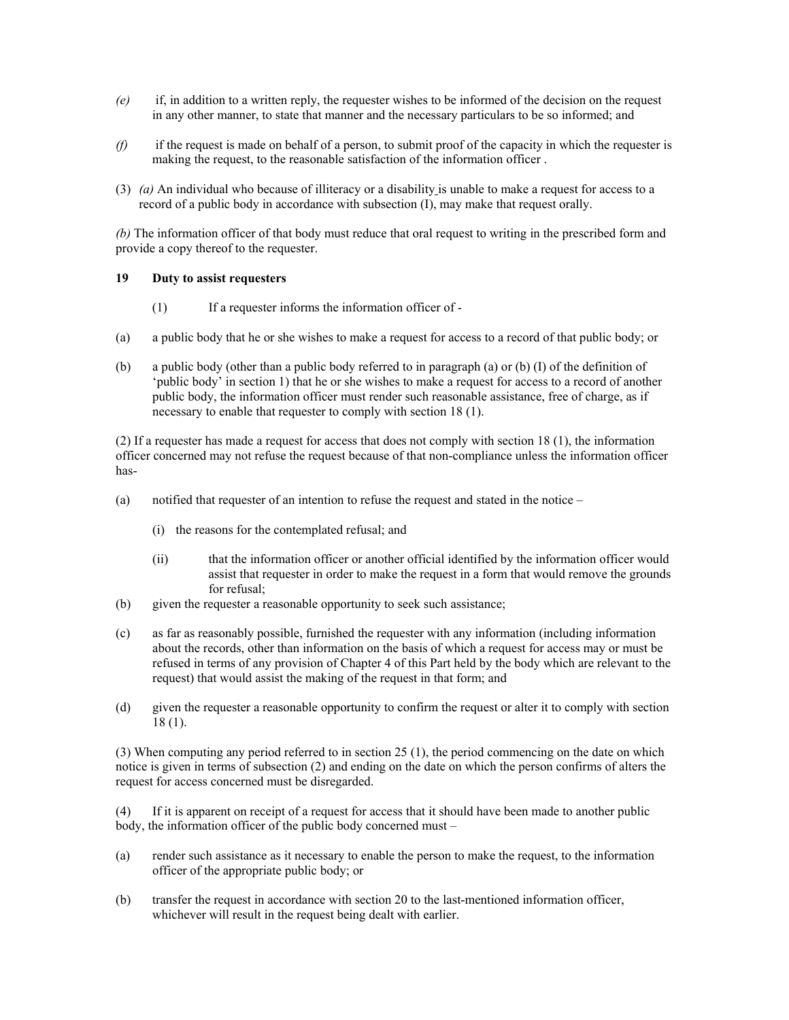- *(e)* if, in addition to a written reply, the requester wishes to be informed of the decision on the request in any other manner, to state that manner and the necessary particulars to be so informed; and
- *(f)* if the request is made on behalf of a person, to submit proof of the capacity in which the requester is making the request, to the reasonable satisfaction of the information officer .
- (3) *(a)* An individual who because of illiteracy or a disability is unable to make a request for access to a record of a public body in accordance with subsection (I), may make that request orally.

*(b)* The information officer of that body must reduce that oral request to writing in the prescribed form and provide a copy thereof to the requester.

## **19 Duty to assist requesters**

- (1) If a requester informs the information officer of -
- (a) a public body that he or she wishes to make a request for access to a record of that public body; or
- (b) a public body (other than a public body referred to in paragraph (a) or (b) (I) of the definition of 'public body' in section 1) that he or she wishes to make a request for access to a record of another public body, the information officer must render such reasonable assistance, free of charge, as if necessary to enable that requester to comply with section 18 (1).

(2) If a requester has made a request for access that does not comply with section 18 (1), the information officer concerned may not refuse the request because of that non-compliance unless the information officer has-

- (a) notified that requester of an intention to refuse the request and stated in the notice
	- (i) the reasons for the contemplated refusal; and
	- (ii) that the information officer or another official identified by the information officer would assist that requester in order to make the request in a form that would remove the grounds for refusal;
- (b) given the requester a reasonable opportunity to seek such assistance;
- (c) as far as reasonably possible, furnished the requester with any information (including information about the records, other than information on the basis of which a request for access may or must be refused in terms of any provision of Chapter 4 of this Part held by the body which are relevant to the request) that would assist the making of the request in that form; and
- (d) given the requester a reasonable opportunity to confirm the request or alter it to comply with section 18 (1).

(3) When computing any period referred to in section 25 (1), the period commencing on the date on which notice is given in terms of subsection (2) and ending on the date on which the person confirms of alters the request for access concerned must be disregarded.

(4) If it is apparent on receipt of a request for access that it should have been made to another public body, the information officer of the public body concerned must –

- (a) render such assistance as it necessary to enable the person to make the request, to the information officer of the appropriate public body; or
- (b) transfer the request in accordance with section 20 to the last-mentioned information officer, whichever will result in the request being dealt with earlier.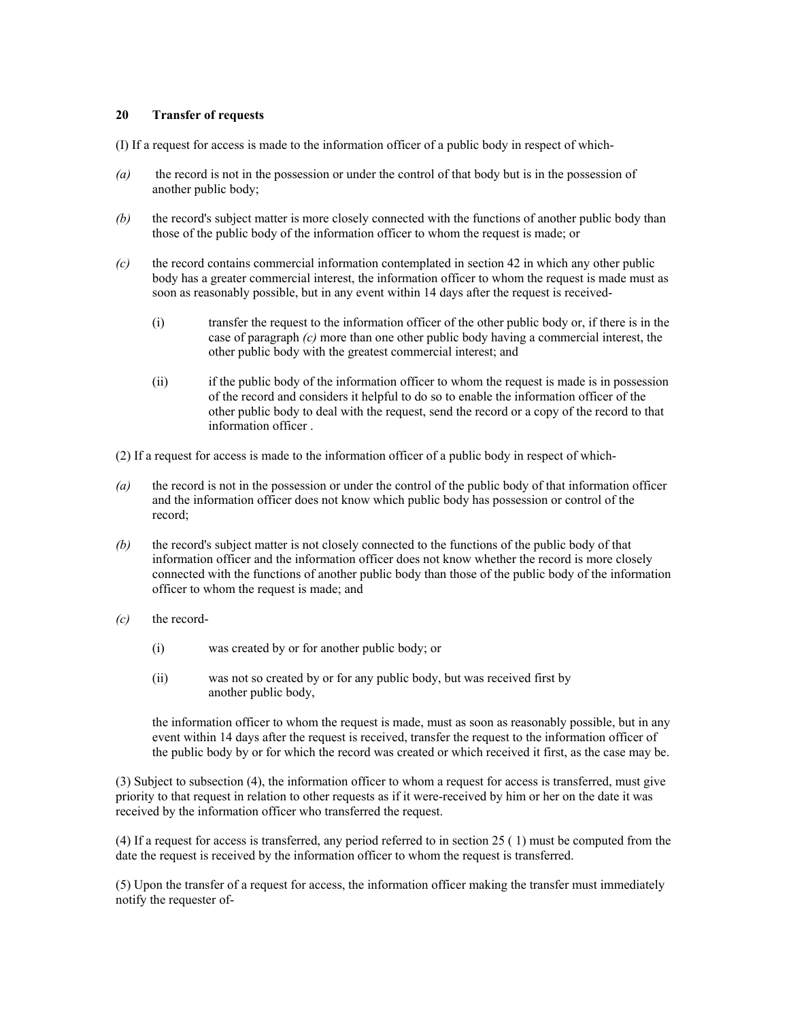#### **20 Transfer of requests**

(I) If a request for access is made to the information officer of a public body in respect of which-

- *(a)* the record is not in the possession or under the control of that body but is in the possession of another public body;
- *(b)* the record's subject matter is more closely connected with the functions of another public body than those of the public body of the information officer to whom the request is made; or
- *(c)* the record contains commercial information contemplated in section 42 in which any other public body has a greater commercial interest, the information officer to whom the request is made must as soon as reasonably possible, but in any event within 14 days after the request is received-
	- (i) transfer the request to the information officer of the other public body or, if there is in the case of paragraph *(c)* more than one other public body having a commercial interest, the other public body with the greatest commercial interest; and
	- (ii) if the public body of the information officer to whom the request is made is in possession of the record and considers it helpful to do so to enable the information officer of the other public body to deal with the request, send the record or a copy of the record to that information officer .
- (2) If a request for access is made to the information officer of a public body in respect of which-
- *(a)* the record is not in the possession or under the control of the public body of that information officer and the information officer does not know which public body has possession or control of the record;
- *(b)* the record's subject matter is not closely connected to the functions of the public body of that information officer and the information officer does not know whether the record is more closely connected with the functions of another public body than those of the public body of the information officer to whom the request is made; and
- *(c)* the record-
	- (i) was created by or for another public body; or
	- (ii) was not so created by or for any public body, but was received first by another public body,

the information officer to whom the request is made, must as soon as reasonably possible, but in any event within 14 days after the request is received, transfer the request to the information officer of the public body by or for which the record was created or which received it first, as the case may be.

(3) Subject to subsection (4), the information officer to whom a request for access is transferred, must give priority to that request in relation to other requests as if it were-received by him or her on the date it was received by the information officer who transferred the request.

(4) If a request for access is transferred, any period referred to in section 25 ( 1) must be computed from the date the request is received by the information officer to whom the request is transferred.

(5) Upon the transfer of a request for access, the information officer making the transfer must immediately notify the requester of-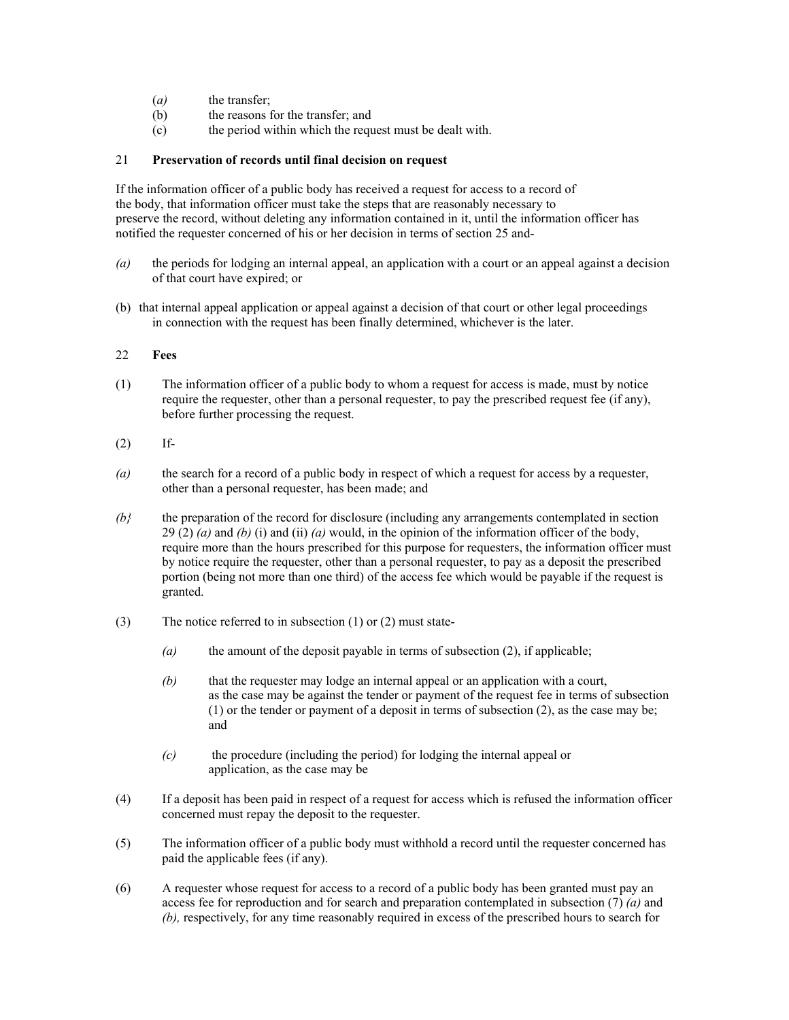- (*a*) the transfer;
- (b) the reasons for the transfer; and
- (c) the period within which the request must be dealt with.

## 21 **Preservation of records until final decision on request**

If the information officer of a public body has received a request for access to a record of the body, that information officer must take the steps that are reasonably necessary to preserve the record, without deleting any information contained in it, until the information officer has notified the requester concerned of his or her decision in terms of section 25 and-

- *(a)* the periods for lodging an internal appeal, an application with a court or an appeal against a decision of that court have expired; or
- (b) that internal appeal application or appeal against a decision of that court or other legal proceedings in connection with the request has been finally determined, whichever is the later.

# 22 **Fees**

- (1) The information officer of a public body to whom a request for access is made, must by notice require the requester, other than a personal requester, to pay the prescribed request fee (if any), before further processing the request.
- (2) If-
- *(a)* the search for a record of a public body in respect of which a request for access by a requester, other than a personal requester, has been made; and
- *(b}* the preparation of the record for disclosure (including any arrangements contemplated in section 29 (2) *(a)* and *(b)* (i) and (ii) *(a)* would, in the opinion of the information officer of the body, require more than the hours prescribed for this purpose for requesters, the information officer must by notice require the requester, other than a personal requester, to pay as a deposit the prescribed portion (being not more than one third) of the access fee which would be payable if the request is granted.
- (3) The notice referred to in subsection (1) or (2) must state-
	- *(a)* the amount of the deposit payable in terms of subsection (2), if applicable;
	- *(b)* that the requester may lodge an internal appeal or an application with a court, as the case may be against the tender or payment of the request fee in terms of subsection (1) or the tender or payment of a deposit in terms of subsection (2), as the case may be; and
	- *(c)* the procedure (including the period) for lodging the internal appeal or application, as the case may be
- (4) If a deposit has been paid in respect of a request for access which is refused the information officer concerned must repay the deposit to the requester.
- (5) The information officer of a public body must withhold a record until the requester concerned has paid the applicable fees (if any).
- (6) A requester whose request for access to a record of a public body has been granted must pay an access fee for reproduction and for search and preparation contemplated in subsection (7) *(a)* and *(b),* respectively, for any time reasonably required in excess of the prescribed hours to search for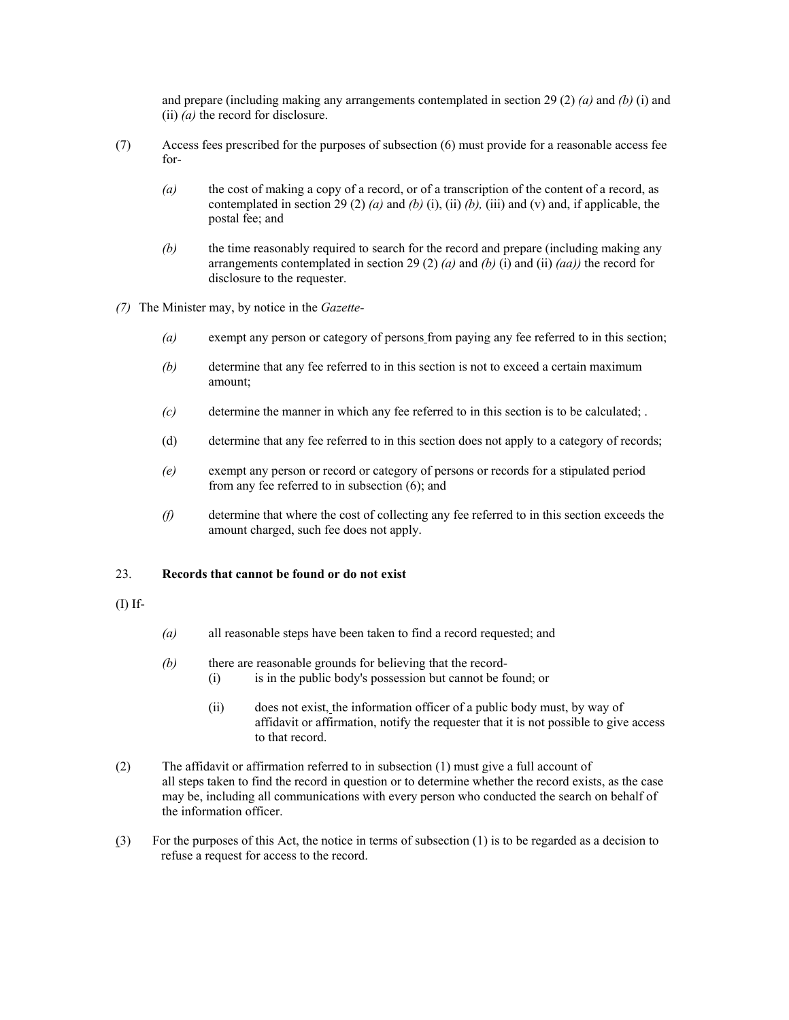and prepare (including making any arrangements contemplated in section 29 (2) *(a)* and *(b)* (i) and (ii) *(a)* the record for disclosure.

- (7) Access fees prescribed for the purposes of subsection (6) must provide for a reasonable access fee for-
	- *(a)* the cost of making a copy of a record, or of a transcription of the content of a record, as contemplated in section 29 (2) *(a)* and *(b)* (i), (ii) *(b)*, (iii) and (v) and, if applicable, the postal fee; and
	- *(b)* the time reasonably required to search for the record and prepare (including making any arrangements contemplated in section 29 (2) *(a)* and *(b)* (i) and (ii) *(aa))* the record for disclosure to the requester.
- *(7)* The Minister may, by notice in the *Gazette-* 
	- *(a)* exempt any person or category of persons from paying any fee referred to in this section;
	- *(b)* determine that any fee referred to in this section is not to exceed a certain maximum amount;
	- *(c)* determine the manner in which any fee referred to in this section is to be calculated; .
	- (d) determine that any fee referred to in this section does not apply to a category of records;
	- *(e)* exempt any person or record or category of persons or records for a stipulated period from any fee referred to in subsection (6); and
	- *(f)* determine that where the cost of collecting any fee referred to in this section exceeds the amount charged, such fee does not apply.

### 23. **Records that cannot be found or do not exist**

#### (I) If-

- *(a)* all reasonable steps have been taken to find a record requested; and
- *(b)* there are reasonable grounds for believing that the record- (i) is in the public body's possession but cannot be found; or
	- (ii) does not exist, the information officer of a public body must, by way of affidavit or affirmation, notify the requester that it is not possible to give access to that record.
- (2) The affidavit or affirmation referred to in subsection (1) must give a full account of all steps taken to find the record in question or to determine whether the record exists, as the case may be, including all communications with every person who conducted the search on behalf of the information officer.
- (3) For the purposes of this Act, the notice in terms of subsection (1) is to be regarded as a decision to refuse a request for access to the record.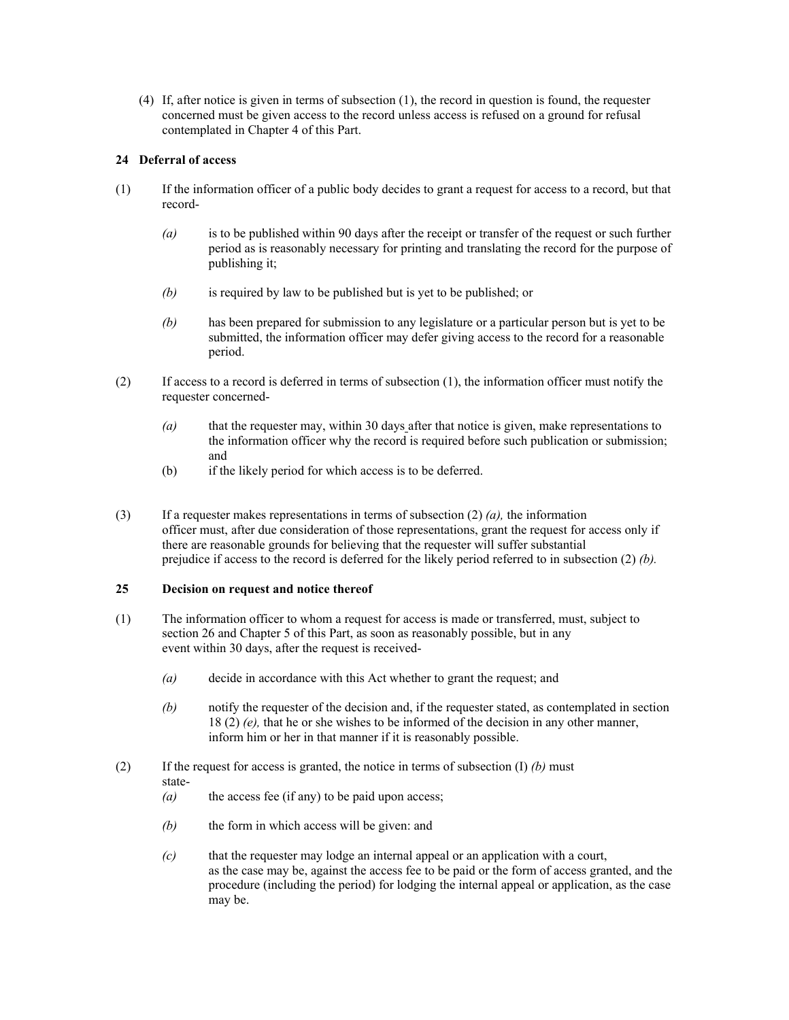(4) If, after notice is given in terms of subsection (1), the record in question is found, the requester concerned must be given access to the record unless access is refused on a ground for refusal contemplated in Chapter 4 of this Part.

# **24 Deferral of access**

- (1) If the information officer of a public body decides to grant a request for access to a record, but that record-
	- *(a)* is to be published within 90 days after the receipt or transfer of the request or such further period as is reasonably necessary for printing and translating the record for the purpose of publishing it;
	- *(b)* is required by law to be published but is yet to be published; or
	- *(b)* has been prepared for submission to any legislature or a particular person but is yet to be submitted, the information officer may defer giving access to the record for a reasonable period.
- (2) If access to a record is deferred in terms of subsection (1), the information officer must notify the requester concerned-
	- *(a)* that the requester may, within 30 days after that notice is given, make representations to the information officer why the record is required before such publication or submission; and
	- (b) if the likely period for which access is to be deferred.
- (3) If a requester makes representations in terms of subsection (2) *(a),* the information officer must, after due consideration of those representations, grant the request for access only if there are reasonable grounds for believing that the requester will suffer substantial prejudice if access to the record is deferred for the likely period referred to in subsection (2) *(b).*

## **25 Decision on request and notice thereof**

- (1) The information officer to whom a request for access is made or transferred, must, subject to section 26 and Chapter 5 of this Part, as soon as reasonably possible, but in any event within 30 days, after the request is received-
	- *(a)* decide in accordance with this Act whether to grant the request; and
	- *(b)* notify the requester of the decision and, if the requester stated, as contemplated in section 18 (2) *(e),* that he or she wishes to be informed of the decision in any other manner, inform him or her in that manner if it is reasonably possible.
- (2) If the request for access is granted, the notice in terms of subsection (I) *(b)* must state-
	- *(a)* the access fee (if any) to be paid upon access;
	- *(b)* the form in which access will be given: and
	- *(c)* that the requester may lodge an internal appeal or an application with a court, as the case may be, against the access fee to be paid or the form of access granted, and the procedure (including the period) for lodging the internal appeal or application, as the case may be.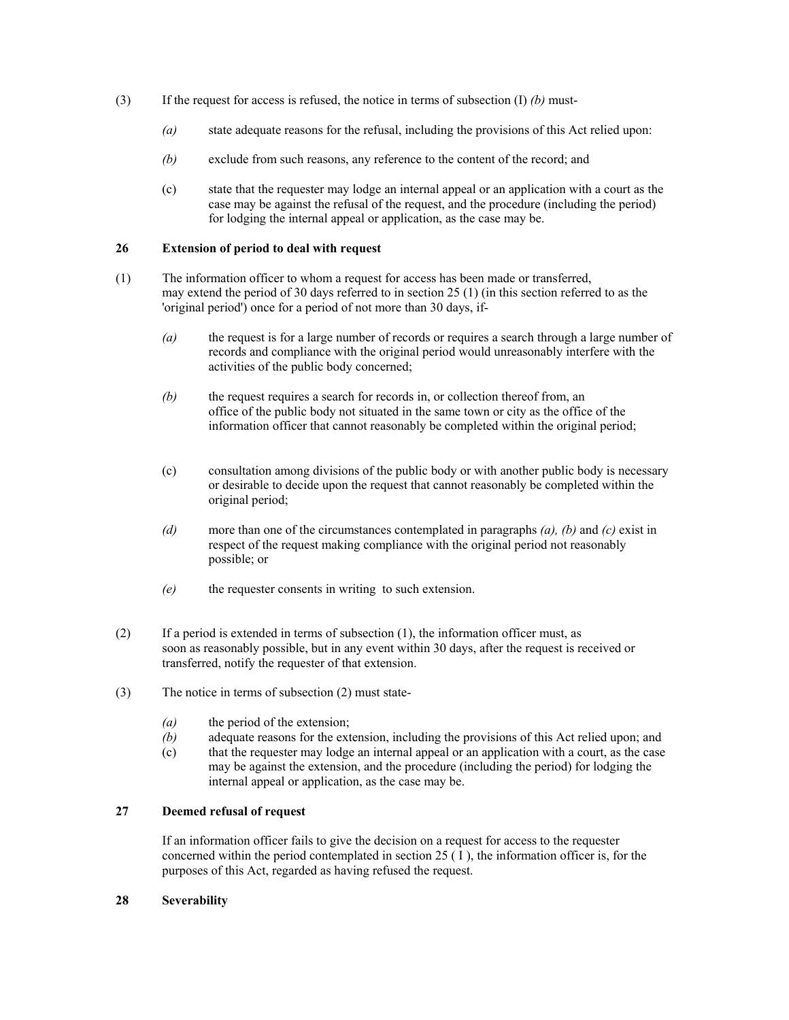- (3) If the request for access is refused, the notice in terms of subsection (I) *(b)* must-
	- *(a)* state adequate reasons for the refusal, including the provisions of this Act relied upon:
	- *(b)* exclude from such reasons, any reference to the content of the record; and
	- (c) state that the requester may lodge an internal appeal or an application with a court as the case may be against the refusal of the request, and the procedure (including the period) for lodging the internal appeal or application, as the case may be.

#### **26 Extension of period to deal with request**

- (1) The information officer to whom a request for access has been made or transferred, may extend the period of 30 days referred to in section 25 (1) (in this section referred to as the 'original period') once for a period of not more than 30 days, if-
	- *(a)* the request is for a large number of records or requires a search through a large number of records and compliance with the original period would unreasonably interfere with the activities of the public body concerned;
	- *(b)* the request requires a search for records in, or collection thereof from, an office of the public body not situated in the same town or city as the office of the information officer that cannot reasonably be completed within the original period;
	- (c) consultation among divisions of the public body or with another public body is necessary or desirable to decide upon the request that cannot reasonably be completed within the original period;
	- *(d)* more than one of the circumstances contemplated in paragraphs *(a), (b)* and *(c)* exist in respect of the request making compliance with the original period not reasonably possible; or
	- *(e)* the requester consents in writing to such extension.
- (2) If a period is extended in terms of subsection (1), the information officer must, as soon as reasonably possible, but in any event within 30 days, after the request is received or transferred, notify the requester of that extension.
- (3) The notice in terms of subsection (2) must state-
	- *(a)* the period of the extension;
	- *(b)* adequate reasons for the extension, including the provisions of this Act relied upon; and
	- (c) that the requester may lodge an internal appeal or an application with a court, as the case may be against the extension, and the procedure (including the period) for lodging the internal appeal or application, as the case may be.

# **27 Deemed refusal of request**

If an information officer fails to give the decision on a request for access to the requester concerned within the period contemplated in section 25  $(1)$ , the information officer is, for the purposes of this Act, regarded as having refused the request.

## **28 Severability**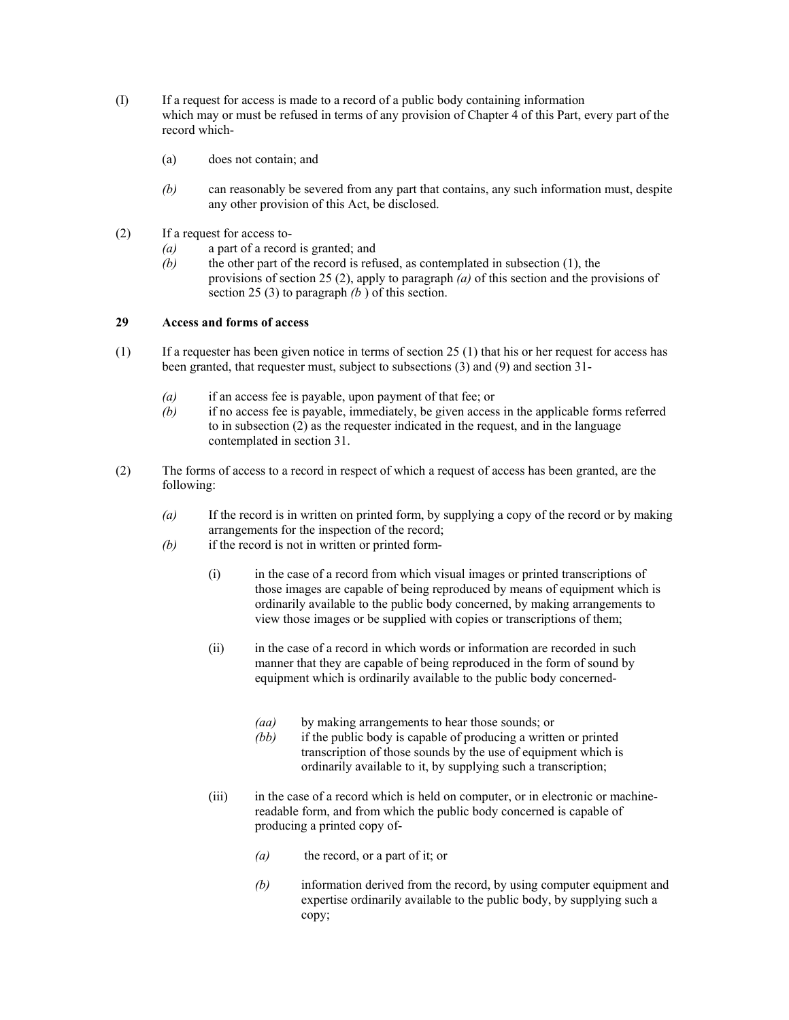- (I) If a request for access is made to a record of a public body containing information which may or must be refused in terms of any provision of Chapter 4 of this Part, every part of the record which-
	- (a) does not contain; and
	- *(b)* can reasonably be severed from any part that contains, any such information must, despite any other provision of this Act, be disclosed.
- (2) If a request for access to-
	- *(a)* a part of a record is granted; and
	- *(b)* the other part of the record is refused, as contemplated in subsection (1), the provisions of section 25 (2), apply to paragraph *(a)* of this section and the provisions of section 25 (3) to paragraph *(b* ) of this section.

# **29 Access and forms of access**

- (1) If a requester has been given notice in terms of section 25 (1) that his or her request for access has been granted, that requester must, subject to subsections (3) and (9) and section 31-
	- *(a)* if an access fee is payable, upon payment of that fee; or
	- *(b)* if no access fee is payable, immediately, be given access in the applicable forms referred to in subsection (2) as the requester indicated in the request, and in the language contemplated in section 31.
- (2) The forms of access to a record in respect of which a request of access has been granted, are the following:
	- *(a)* If the record is in written on printed form, by supplying a copy of the record or by making arrangements for the inspection of the record;
	- *(b)* if the record is not in written or printed form-
		- (i) in the case of a record from which visual images or printed transcriptions of those images are capable of being reproduced by means of equipment which is ordinarily available to the public body concerned, by making arrangements to view those images or be supplied with copies or transcriptions of them;
		- (ii) in the case of a record in which words or information are recorded in such manner that they are capable of being reproduced in the form of sound by equipment which is ordinarily available to the public body concerned-
			- *(aa)* by making arrangements to hear those sounds; or
			- *(bb)* if the public body is capable of producing a written or printed transcription of those sounds by the use of equipment which is ordinarily available to it, by supplying such a transcription;
		- (iii) in the case of a record which is held on computer, or in electronic or machinereadable form, and from which the public body concerned is capable of producing a printed copy of-
			- *(a)* the record, or a part of it; or
			- *(b)* information derived from the record, by using computer equipment and expertise ordinarily available to the public body, by supplying such a copy;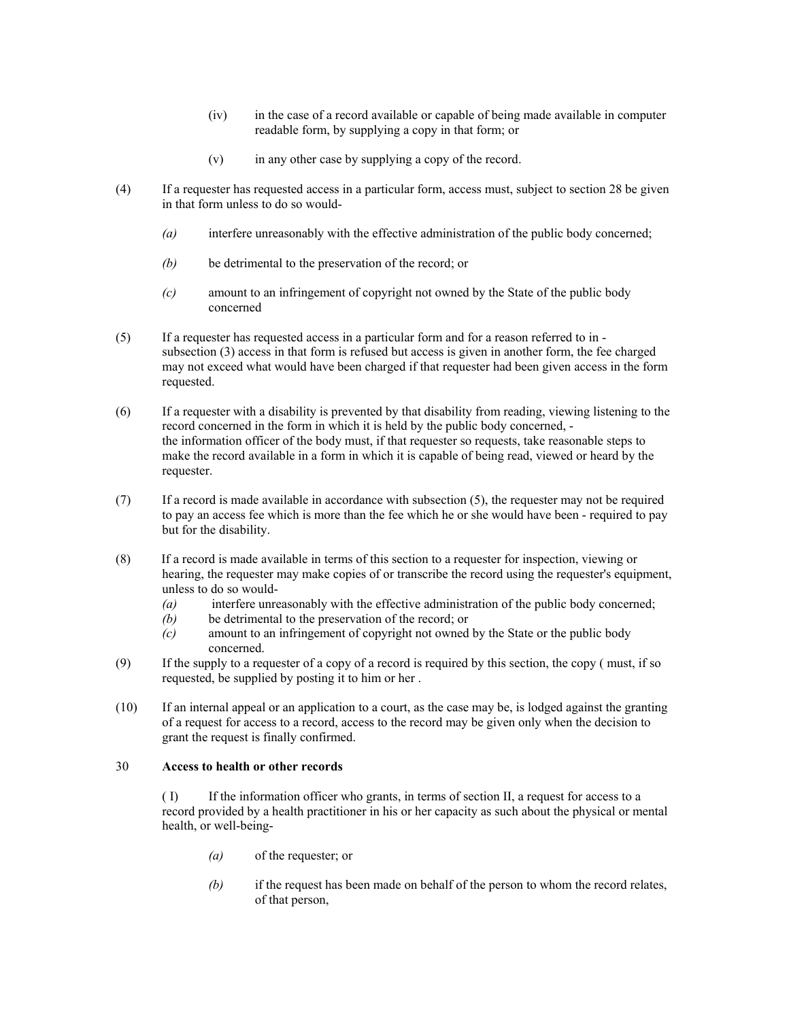- (iv) in the case of a record available or capable of being made available in computer readable form, by supplying a copy in that form; or
- (v) in any other case by supplying a copy of the record.
- (4) If a requester has requested access in a particular form, access must, subject to section 28 be given in that form unless to do so would-
	- *(a)* interfere unreasonably with the effective administration of the public body concerned;
	- *(b)* be detrimental to the preservation of the record; or
	- *(c)* amount to an infringement of copyright not owned by the State of the public body concerned
- (5) If a requester has requested access in a particular form and for a reason referred to in subsection (3) access in that form is refused but access is given in another form, the fee charged may not exceed what would have been charged if that requester had been given access in the form requested.
- (6) If a requester with a disability is prevented by that disability from reading, viewing listening to the record concerned in the form in which it is held by the public body concerned, the information officer of the body must, if that requester so requests, take reasonable steps to make the record available in a form in which it is capable of being read, viewed or heard by the requester.
- (7) If a record is made available in accordance with subsection (5), the requester may not be required to pay an access fee which is more than the fee which he or she would have been - required to pay but for the disability.
- (8) If a record is made available in terms of this section to a requester for inspection, viewing or hearing, the requester may make copies of or transcribe the record using the requester's equipment, unless to do so would-
	- *(a)* interfere unreasonably with the effective administration of the public body concerned;
	- *(b)* be detrimental to the preservation of the record; or
	- *(c)* amount to an infringement of copyright not owned by the State or the public body concerned.
- (9) If the supply to a requester of a copy of a record is required by this section, the copy ( must, if so requested, be supplied by posting it to him or her .
- (10) If an internal appeal or an application to a court, as the case may be, is lodged against the granting of a request for access to a record, access to the record may be given only when the decision to grant the request is finally confirmed.

### 30 **Access to health or other records**

( I) If the information officer who grants, in terms of section II, a request for access to a record provided by a health practitioner in his or her capacity as such about the physical or mental health, or well-being-

- *(a)* of the requester; or
- *(b)* if the request has been made on behalf of the person to whom the record relates, of that person,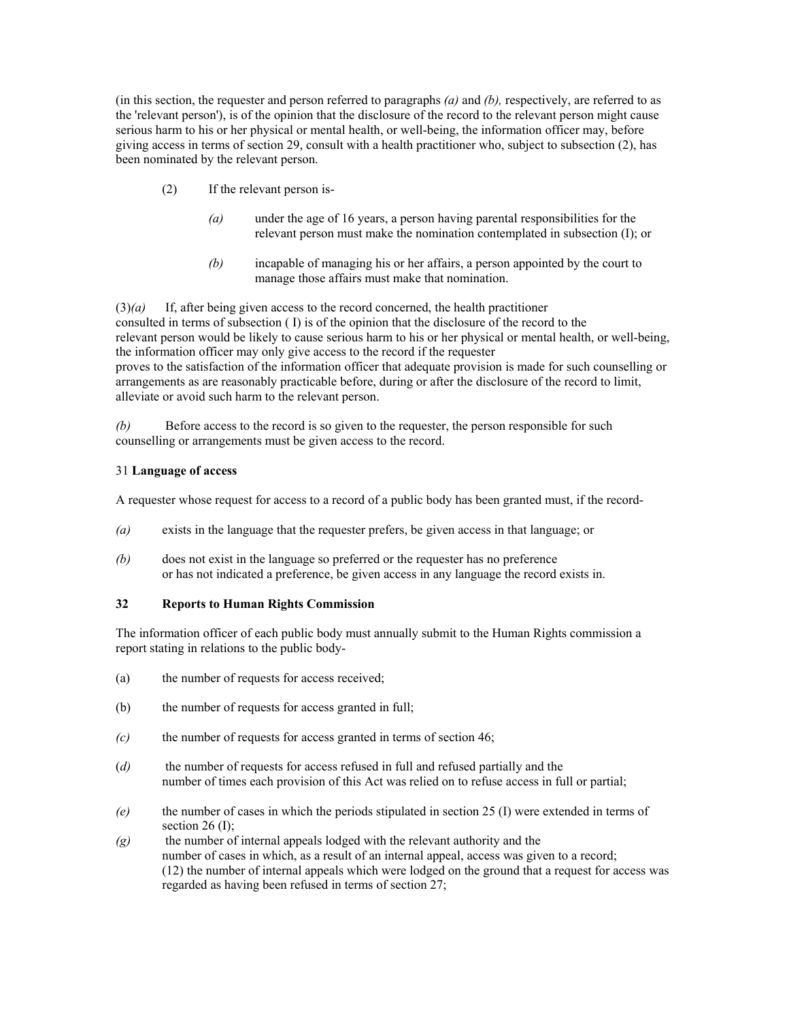(in this section, the requester and person referred to paragraphs *(a)* and *(b),* respectively, are referred to as the 'relevant person'), is of the opinion that the disclosure of the record to the relevant person might cause serious harm to his or her physical or mental health, or well-being, the information officer may, before giving access in terms of section 29, consult with a health practitioner who, subject to subsection (2), has been nominated by the relevant person.

- (2) If the relevant person is-
	- *(a)* under the age of 16 years, a person having parental responsibilities for the relevant person must make the nomination contemplated in subsection (I); or
	- *(b)* incapable of managing his or her affairs, a person appointed by the court to manage those affairs must make that nomination.

(3)*(a)* If, after being given access to the record concerned, the health practitioner consulted in terms of subsection ( I) is of the opinion that the disclosure of the record to the relevant person would be likely to cause serious harm to his or her physical or mental health, or well-being, the information officer may only give access to the record if the requester proves to the satisfaction of the information officer that adequate provision is made for such counselling or arrangements as are reasonably practicable before, during or after the disclosure of the record to limit, alleviate or avoid such harm to the relevant person.

*(b)* Before access to the record is so given to the requester, the person responsible for such counselling or arrangements must be given access to the record.

## 31 **Language of access**

A requester whose request for access to a record of a public body has been granted must, if the record-

- *(a)* exists in the language that the requester prefers, be given access in that language; or
- *(b)* does not exist in the language so preferred or the requester has no preference or has not indicated a preference, be given access in any language the record exists in.

# **32 Reports to Human Rights Commission**

The information officer of each public body must annually submit to the Human Rights commission a report stating in relations to the public body-

- (a) the number of requests for access received;
- (b) the number of requests for access granted in full;
- *(c)* the number of requests for access granted in terms of section 46;
- (*d)* the number of requests for access refused in full and refused partially and the number of times each provision of this Act was relied on to refuse access in full or partial;
- *(e)* the number of cases in which the periods stipulated in section 25 (I) were extended in terms of section  $26$  (I);
- *(g)* the number of internal appeals lodged with the relevant authority and the number of cases in which, as a result of an internal appeal, access was given to a record; (12) the number of internal appeals which were lodged on the ground that a request for access was regarded as having been refused in terms of section 27;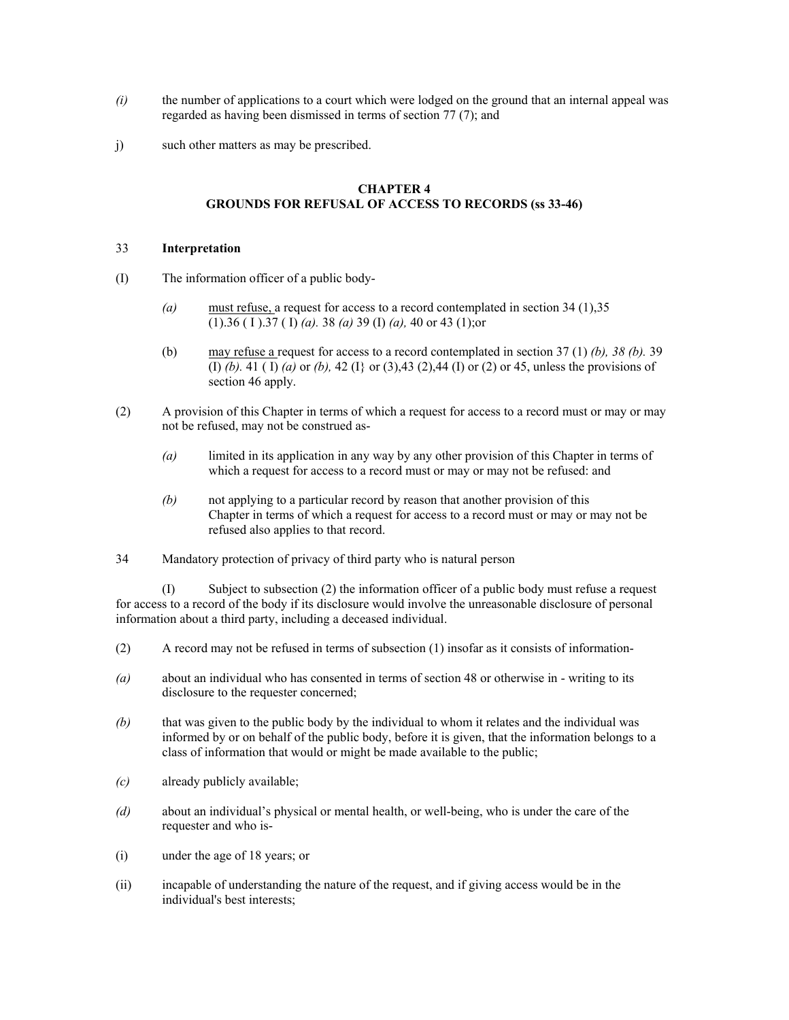- *(i)* the number of applications to a court which were lodged on the ground that an internal appeal was regarded as having been dismissed in terms of section 77 (7); and
- j) such other matters as may be prescribed.

## **CHAPTER 4 GROUNDS FOR REFUSAL OF ACCESS TO RECORDS (ss 33-46)**

### 33 **Interpretation**

- (I) The information officer of a public body-
	- *(a)* must refuse, a request for access to a record contemplated in section 34 (1),35 (1).36 ( I ).37 ( I) *(a).* 38 *(a)* 39 (I) *(a),* 40 or 43 (1);or
	- (b) may refuse a request for access to a record contemplated in section 37 (1) *(b), 38 (b).* 39 (I) *(b).* 41 ( I) *(a)* or *(b),* 42 (I} or (3),43 (2),44 (I) or (2) or 45, unless the provisions of section 46 apply.
- (2) A provision of this Chapter in terms of which a request for access to a record must or may or may not be refused, may not be construed as-
	- *(a)* limited in its application in any way by any other provision of this Chapter in terms of which a request for access to a record must or may or may not be refused: and
	- *(b)* not applying to a particular record by reason that another provision of this Chapter in terms of which a request for access to a record must or may or may not be refused also applies to that record.
- 34 Mandatory protection of privacy of third party who is natural person

(I) Subject to subsection (2) the information officer of a public body must refuse a request for access to a record of the body if its disclosure would involve the unreasonable disclosure of personal information about a third party, including a deceased individual.

- (2) A record may not be refused in terms of subsection (1) insofar as it consists of information-
- *(a)* about an individual who has consented in terms of section 48 or otherwise in writing to its disclosure to the requester concerned;
- *(b)* that was given to the public body by the individual to whom it relates and the individual was informed by or on behalf of the public body, before it is given, that the information belongs to a class of information that would or might be made available to the public;
- *(c)* already publicly available;
- *(d)* about an individual's physical or mental health, or well-being, who is under the care of the requester and who is-
- (i) under the age of 18 years; or
- (ii) incapable of understanding the nature of the request, and if giving access would be in the individual's best interests;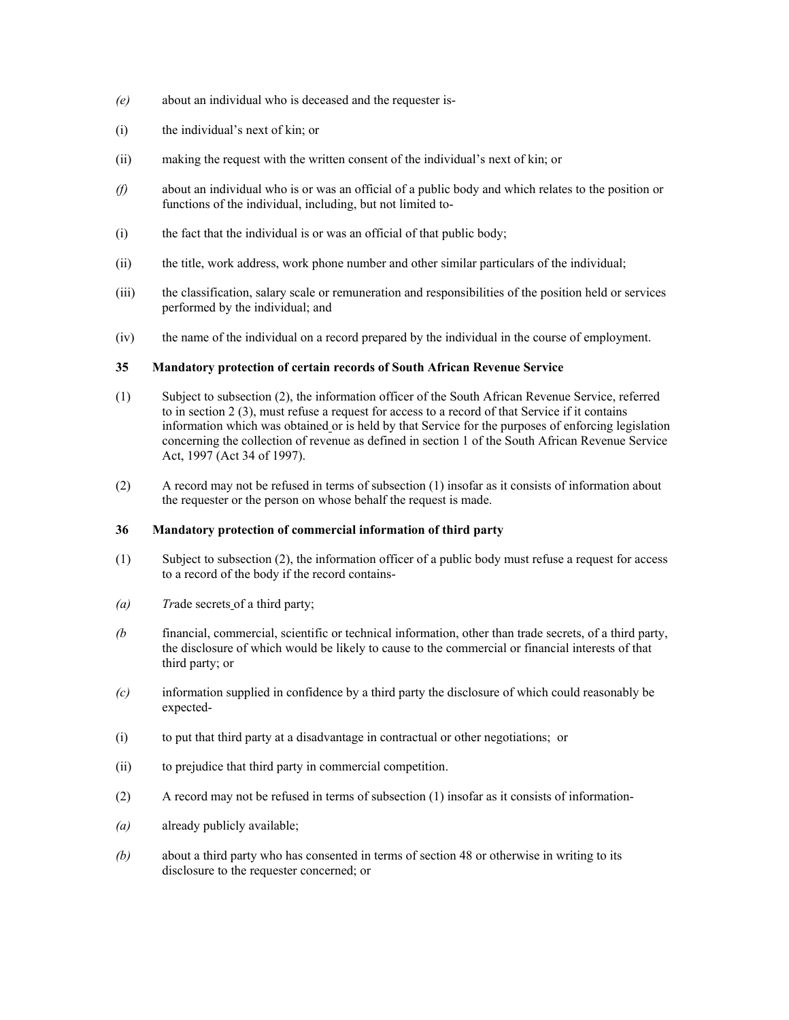- *(e)* about an individual who is deceased and the requester is-
- (i) the individual's next of kin; or
- (ii) making the request with the written consent of the individual's next of kin; or
- *(f)* about an individual who is or was an official of a public body and which relates to the position or functions of the individual, including, but not limited to-
- (i) the fact that the individual is or was an official of that public body;
- (ii) the title, work address, work phone number and other similar particulars of the individual;
- (iii) the classification, salary scale or remuneration and responsibilities of the position held or services performed by the individual; and
- (iv) the name of the individual on a record prepared by the individual in the course of employment.

## **35 Mandatory protection of certain records of South African Revenue Service**

- (1) Subject to subsection (2), the information officer of the South African Revenue Service, referred to in section 2 (3), must refuse a request for access to a record of that Service if it contains information which was obtained or is held by that Service for the purposes of enforcing legislation concerning the collection of revenue as defined in section 1 of the South African Revenue Service Act, 1997 (Act 34 of 1997).
- (2) A record may not be refused in terms of subsection (1) insofar as it consists of information about the requester or the person on whose behalf the request is made.

### **36 Mandatory protection of commercial information of third party**

- (1) Subject to subsection (2), the information officer of a public body must refuse a request for access to a record of the body if the record contains-
- *(a) Tr*ade secrets of a third party;
- *(b* financial, commercial, scientific or technical information, other than trade secrets, of a third party, the disclosure of which would be likely to cause to the commercial or financial interests of that third party; or
- *(c)* information supplied in confidence by a third party the disclosure of which could reasonably be expected-
- (i) to put that third party at a disadvantage in contractual or other negotiations; or
- (ii) to prejudice that third party in commercial competition.
- (2) A record may not be refused in terms of subsection (1) insofar as it consists of information-
- *(a)* already publicly available;
- *(b)* about a third party who has consented in terms of section 48 or otherwise in writing to its disclosure to the requester concerned; or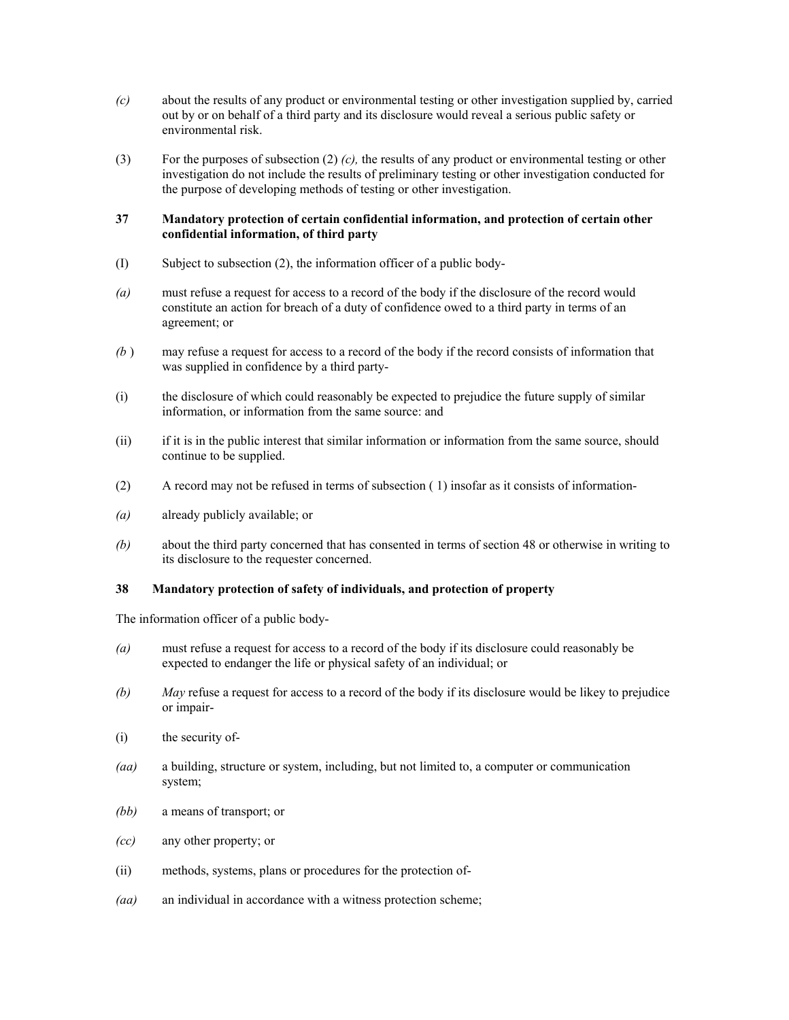- *(c)* about the results of any product or environmental testing or other investigation supplied by, carried out by or on behalf of a third party and its disclosure would reveal a serious public safety or environmental risk.
- (3) For the purposes of subsection (2) *(c),* the results of any product or environmental testing or other investigation do not include the results of preliminary testing or other investigation conducted for the purpose of developing methods of testing or other investigation.

## **37 Mandatory protection of certain confidential information, and protection of certain other confidential information, of third party**

- (I) Subject to subsection (2), the information officer of a public body-
- *(a)* must refuse a request for access to a record of the body if the disclosure of the record would constitute an action for breach of a duty of confidence owed to a third party in terms of an agreement; or
- *(b* ) may refuse a request for access to a record of the body if the record consists of information that was supplied in confidence by a third party-
- (i) the disclosure of which could reasonably be expected to prejudice the future supply of similar information, or information from the same source: and
- (ii) if it is in the public interest that similar information or information from the same source, should continue to be supplied.
- (2) A record may not be refused in terms of subsection ( 1) insofar as it consists of information-
- *(a)* already publicly available; or
- *(b)* about the third party concerned that has consented in terms of section 48 or otherwise in writing to its disclosure to the requester concerned.

## **38 Mandatory protection of safety of individuals, and protection of property**

The information officer of a public body-

- *(a)* must refuse a request for access to a record of the body if its disclosure could reasonably be expected to endanger the life or physical safety of an individual; or
- *(b) May* refuse a request for access to a record of the body if its disclosure would be likey to prejudice or impair-
- (i) the security of-
- *(aa)* a building, structure or system, including, but not limited to, a computer or communication system;
- *(bb)* a means of transport; or
- *(cc)* any other property; or
- (ii) methods, systems, plans or procedures for the protection of-
- *(aa)* an individual in accordance with a witness protection scheme;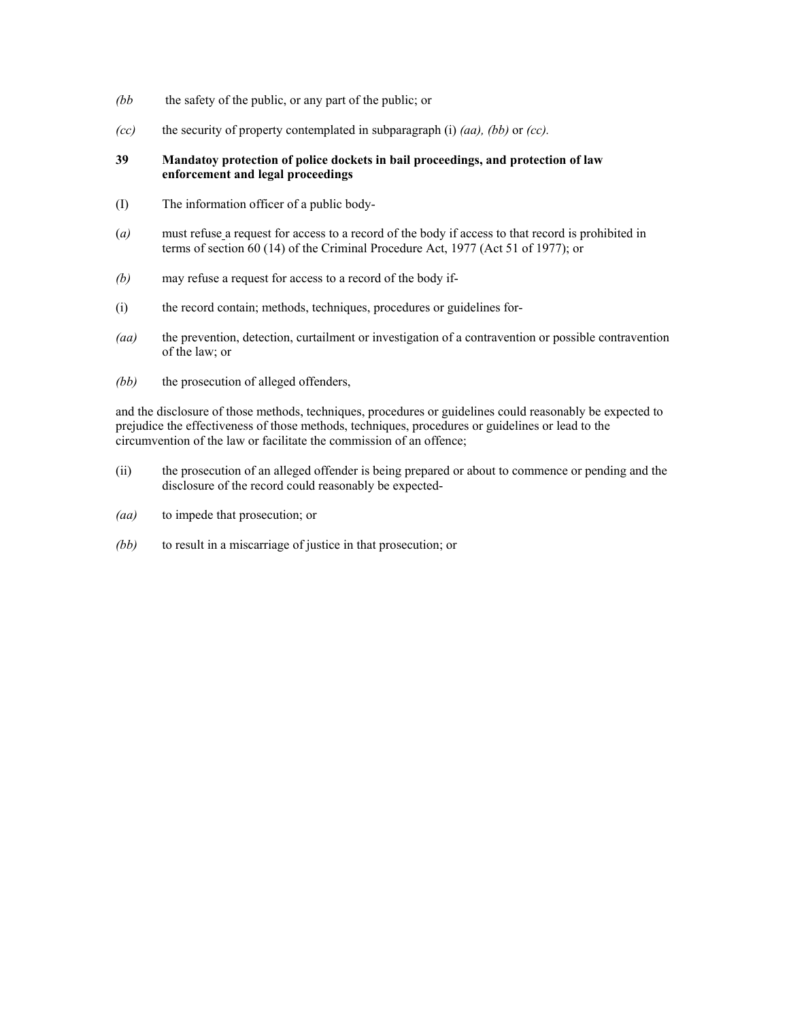- *(bb* the safety of the public, or any part of the public; or
- *(cc)* the security of property contemplated in subparagraph (i) *(aa), (bb)* or *(cc).*

## **39 Mandatoy protection of police dockets in bail proceedings, and protection of law enforcement and legal proceedings**

- (I) The information officer of a public body-
- (*a)* must refuse a request for access to a record of the body if access to that record is prohibited in terms of section 60 (14) of the Criminal Procedure Act, 1977 (Act 51 of 1977); or
- *(b)* may refuse a request for access to a record of the body if-
- (i) the record contain; methods, techniques, procedures or guidelines for-
- *(aa)* the prevention, detection, curtailment or investigation of a contravention or possible contravention of the law; or
- *(bb)* the prosecution of alleged offenders,

and the disclosure of those methods, techniques, procedures or guidelines could reasonably be expected to prejudice the effectiveness of those methods, techniques, procedures or guidelines or lead to the circumvention of the law or facilitate the commission of an offence;

- (ii) the prosecution of an alleged offender is being prepared or about to commence or pending and the disclosure of the record could reasonably be expected-
- *(aa)* to impede that prosecution; or
- *(bb)* to result in a miscarriage of justice in that prosecution; or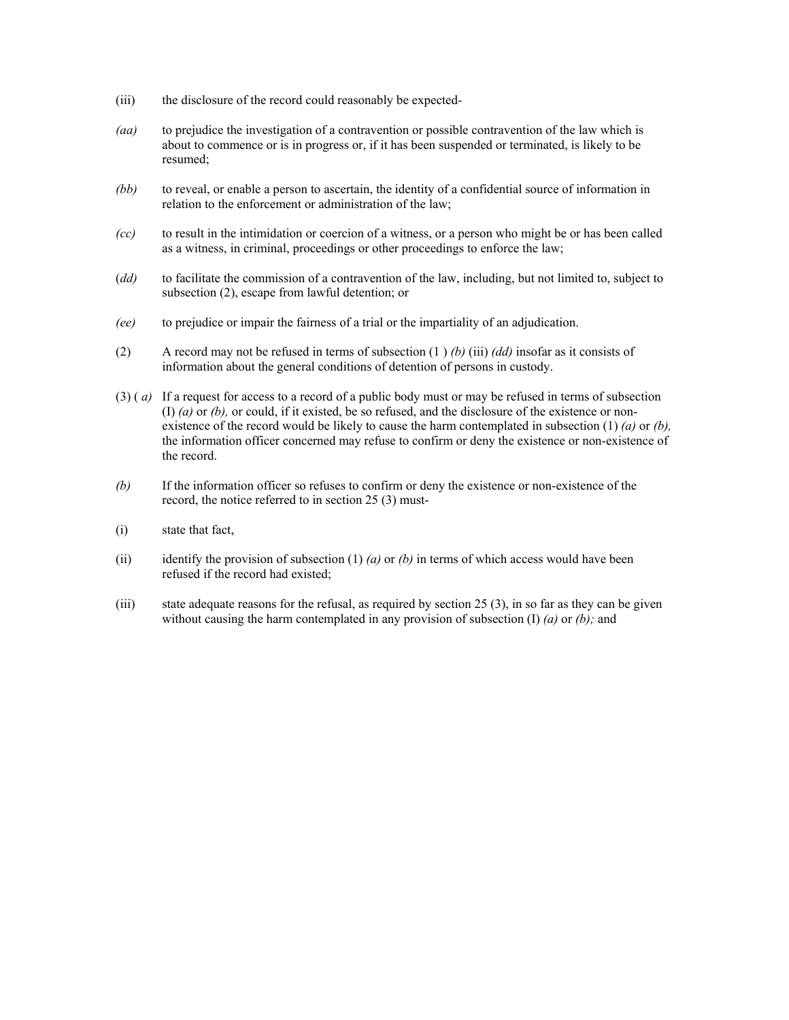- (iii) the disclosure of the record could reasonably be expected-
- *(aa)* to prejudice the investigation of a contravention or possible contravention of the law which is about to commence or is in progress or, if it has been suspended or terminated, is likely to be resumed;
- *(bb)* to reveal, or enable a person to ascertain, the identity of a confidential source of information in relation to the enforcement or administration of the law;
- *(cc)* to result in the intimidation or coercion of a witness, or a person who might be or has been called as a witness, in criminal, proceedings or other proceedings to enforce the law;
- (*dd)* to facilitate the commission of a contravention of the law, including, but not limited to, subject to subsection (2), escape from lawful detention; or
- *(ee)* to prejudice or impair the fairness of a trial or the impartiality of an adjudication.
- (2) A record may not be refused in terms of subsection (1 ) *(b)* (iii) *(dd)* insofar as it consists of information about the general conditions of detention of persons in custody.
- (3) ( *a)* If a request for access to a record of a public body must or may be refused in terms of subsection (I) *(a)* or *(b),* or could, if it existed, be so refused, and the disclosure of the existence or nonexistence of the record would be likely to cause the harm contemplated in subsection (1) *(a)* or *(b),*  the information officer concerned may refuse to confirm or deny the existence or non-existence of the record.
- *(b)* If the information officer so refuses to confirm or deny the existence or non-existence of the record, the notice referred to in section 25 (3) must-
- (i) state that fact,
- (ii) identify the provision of subsection  $(1)$  *(a)* or *(b)* in terms of which access would have been refused if the record had existed;
- (iii) state adequate reasons for the refusal, as required by section 25 (3), in so far as they can be given without causing the harm contemplated in any provision of subsection (I) *(a)* or *(b);* and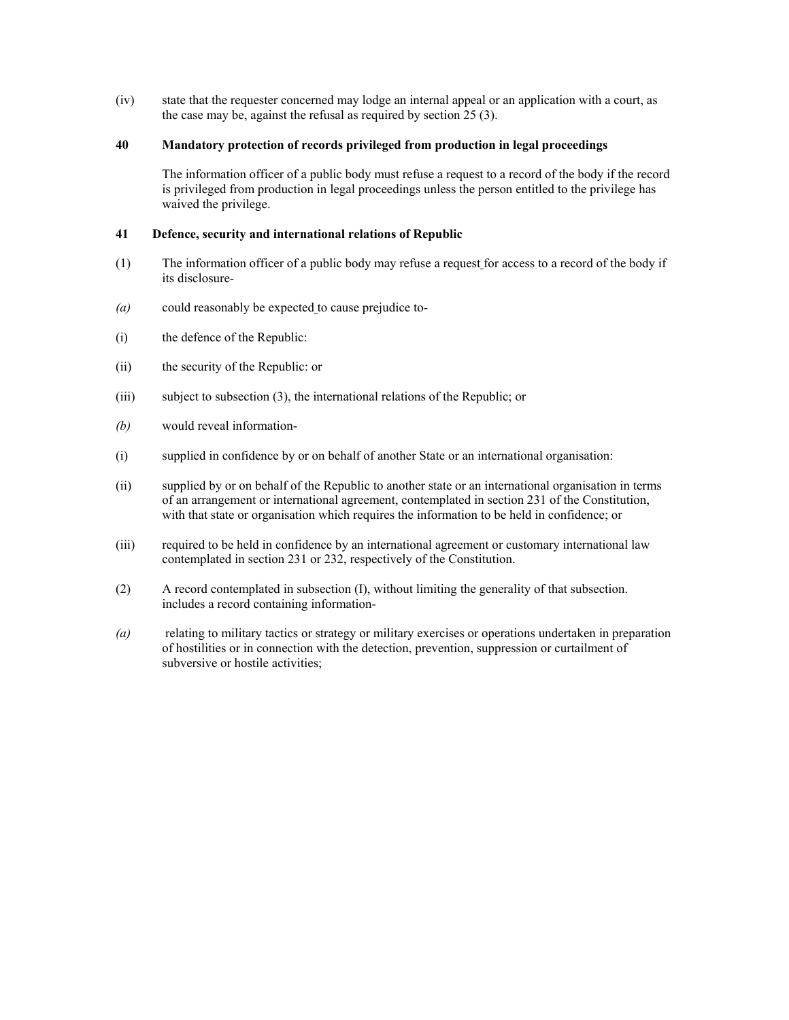(iv) state that the requester concerned may lodge an internal appeal or an application with a court, as the case may be, against the refusal as required by section 25 (3).

## **40 Mandatory protection of records privileged from production in legal proceedings**

The information officer of a public body must refuse a request to a record of the body if the record is privileged from production in legal proceedings unless the person entitled to the privilege has waived the privilege.

# **41 Defence, security and international relations of Republic**

- (1) The information officer of a public body may refuse a request for access to a record of the body if its disclosure-
- *(a)* could reasonably be expected to cause prejudice to-
- (i) the defence of the Republic:
- (ii) the security of the Republic: or
- (iii) subject to subsection (3), the international relations of the Republic; or
- *(b)* would reveal information-
- (i) supplied in confidence by or on behalf of another State or an international organisation:
- (ii) supplied by or on behalf of the Republic to another state or an international organisation in terms of an arrangement or international agreement, contemplated in section 231 of the Constitution, with that state or organisation which requires the information to be held in confidence; or
- (iii) required to be held in confidence by an international agreement or customary international law contemplated in section 231 or 232, respectively of the Constitution.
- (2) A record contemplated in subsection (I), without limiting the generality of that subsection. includes a record containing information-
- *(a)* relating to military tactics or strategy or military exercises or operations undertaken in preparation of hostilities or in connection with the detection, prevention, suppression or curtailment of subversive or hostile activities;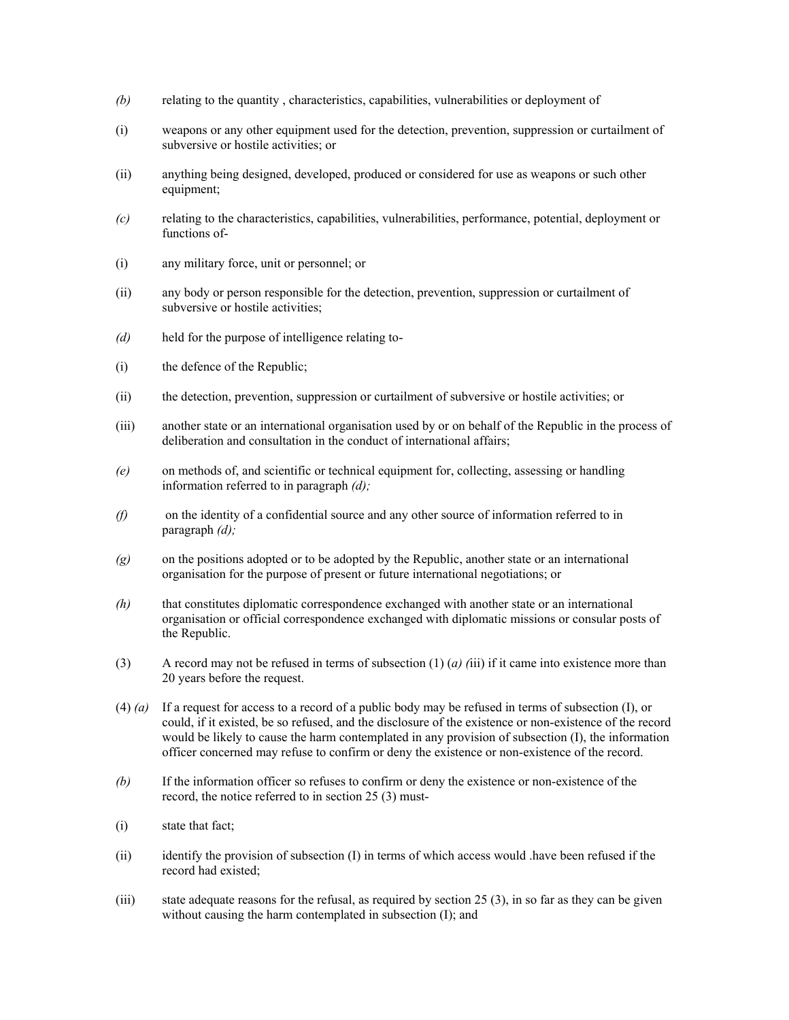- *(b)* relating to the quantity , characteristics, capabilities, vulnerabilities or deployment of
- (i) weapons or any other equipment used for the detection, prevention, suppression or curtailment of subversive or hostile activities; or
- (ii) anything being designed, developed, produced or considered for use as weapons or such other equipment;
- *(c)* relating to the characteristics, capabilities, vulnerabilities, performance, potential, deployment or functions of-
- (i) any military force, unit or personnel; or
- (ii) any body or person responsible for the detection, prevention, suppression or curtailment of subversive or hostile activities;
- *(d)* held for the purpose of intelligence relating to-
- (i) the defence of the Republic;
- (ii) the detection, prevention, suppression or curtailment of subversive or hostile activities; or
- (iii) another state or an international organisation used by or on behalf of the Republic in the process of deliberation and consultation in the conduct of international affairs;
- *(e)* on methods of, and scientific or technical equipment for, collecting, assessing or handling information referred to in paragraph *(d);*
- *(f)* on the identity of a confidential source and any other source of information referred to in paragraph *(d);*
- *(g)* on the positions adopted or to be adopted by the Republic, another state or an international organisation for the purpose of present or future international negotiations; or
- *(h)* that constitutes diplomatic correspondence exchanged with another state or an international organisation or official correspondence exchanged with diplomatic missions or consular posts of the Republic.
- (3) A record may not be refused in terms of subsection  $(1)$  (*a)* (*i*ii) if it came into existence more than 20 years before the request.
- (4) *(a)* If a request for access to a record of a public body may be refused in terms of subsection (I), or could, if it existed, be so refused, and the disclosure of the existence or non-existence of the record would be likely to cause the harm contemplated in any provision of subsection (I), the information officer concerned may refuse to confirm or deny the existence or non-existence of the record.
- *(b)* If the information officer so refuses to confirm or deny the existence or non-existence of the record, the notice referred to in section 25 (3) must-
- (i) state that fact;
- (ii) identify the provision of subsection (I) in terms of which access would .have been refused if the record had existed;
- (iii) state adequate reasons for the refusal, as required by section 25 (3), in so far as they can be given without causing the harm contemplated in subsection (I); and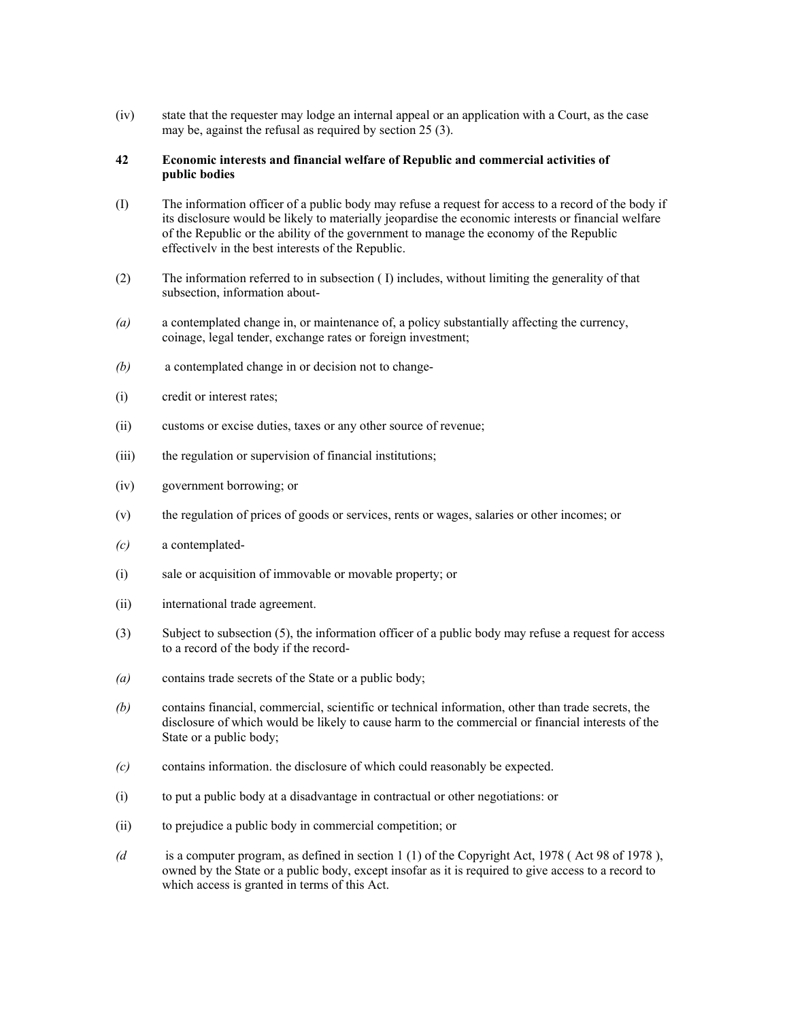(iv) state that the requester may lodge an internal appeal or an application with a Court, as the case may be, against the refusal as required by section 25 (3).

### **42 Economic interests and financial welfare of Republic and commercial activities of public bodies**

- (I) The information officer of a public body may refuse a request for access to a record of the body if its disclosure would be likely to materially jeopardise the economic interests or financial welfare of the Republic or the ability of the government to manage the economy of the Republic effectivelv in the best interests of the Republic.
- (2) The information referred to in subsection ( I) includes, without limiting the generality of that subsection, information about-
- *(a)* a contemplated change in, or maintenance of, a policy substantially affecting the currency, coinage, legal tender, exchange rates or foreign investment;
- *(b)* a contemplated change in or decision not to change-
- (i) credit or interest rates;
- (ii) customs or excise duties, taxes or any other source of revenue;
- (iii) the regulation or supervision of financial institutions;
- (iv) government borrowing; or
- (v) the regulation of prices of goods or services, rents or wages, salaries or other incomes; or
- *(c)* a contemplated-
- (i) sale or acquisition of immovable or movable property; or
- (ii) international trade agreement.
- (3) Subject to subsection (5), the information officer of a public body may refuse a request for access to a record of the body if the record-
- *(a)* contains trade secrets of the State or a public body;
- *(b)* contains financial, commercial, scientific or technical information, other than trade secrets, the disclosure of which would be likely to cause harm to the commercial or financial interests of the State or a public body;
- *(c)* contains information. the disclosure of which could reasonably be expected.
- (i) to put a public body at a disadvantage in contractual or other negotiations: or
- (ii) to prejudice a public body in commercial competition; or
- *(d* is a computer program, as defined in section 1 (1) of the Copyright Act, 1978 ( Act 98 of 1978 ), owned by the State or a public body, except insofar as it is required to give access to a record to which access is granted in terms of this Act.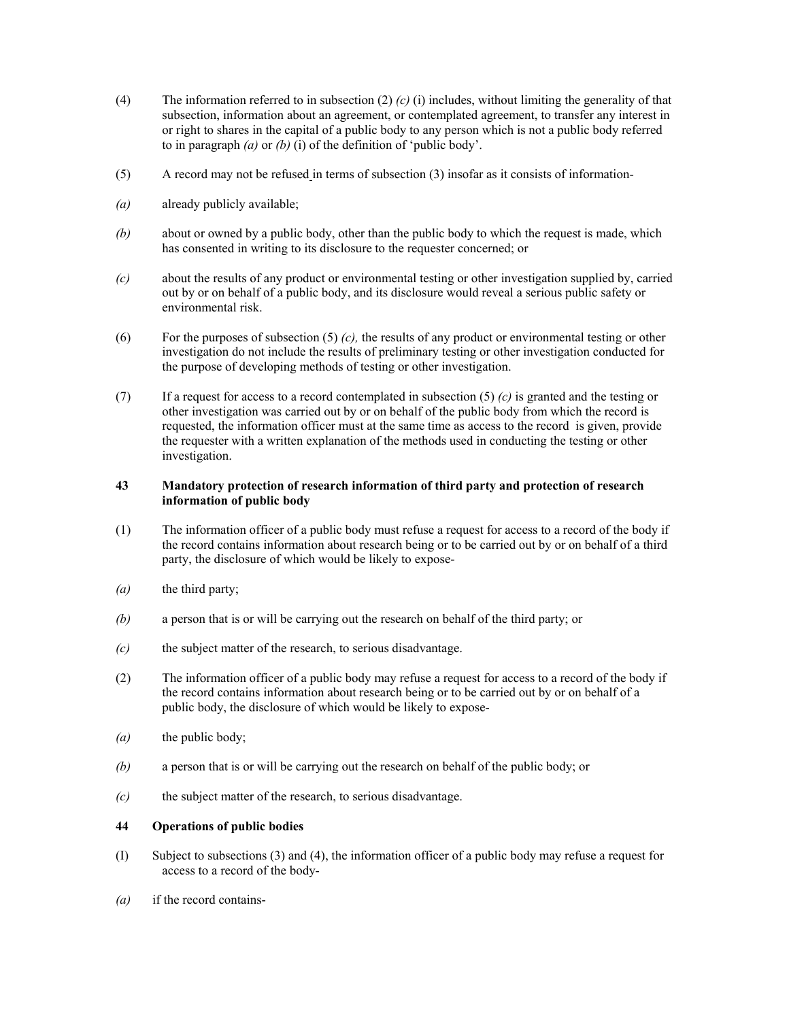- (4) The information referred to in subsection (2) *(c)* (i) includes, without limiting the generality of that subsection, information about an agreement, or contemplated agreement, to transfer any interest in or right to shares in the capital of a public body to any person which is not a public body referred to in paragraph *(a)* or *(b)* (i) of the definition of 'public body'.
- (5) A record may not be refused in terms of subsection (3) insofar as it consists of information-
- *(a)* already publicly available;
- *(b)* about or owned by a public body, other than the public body to which the request is made, which has consented in writing to its disclosure to the requester concerned; or
- *(c)* about the results of any product or environmental testing or other investigation supplied by, carried out by or on behalf of a public body, and its disclosure would reveal a serious public safety or environmental risk.
- (6) For the purposes of subsection (5) *(c),* the results of any product or environmental testing or other investigation do not include the results of preliminary testing or other investigation conducted for the purpose of developing methods of testing or other investigation.
- (7) If a request for access to a record contemplated in subsection (5) *(c)* is granted and the testing or other investigation was carried out by or on behalf of the public body from which the record is requested, the information officer must at the same time as access to the record is given, provide the requester with a written explanation of the methods used in conducting the testing or other investigation.

## **43 Mandatory protection of research information of third party and protection of research information of public body**

- (1) The information officer of a public body must refuse a request for access to a record of the body if the record contains information about research being or to be carried out by or on behalf of a third party, the disclosure of which would be likely to expose-
- *(a)* the third party;
- *(b)* a person that is or will be carrying out the research on behalf of the third party; or
- *(c)* the subject matter of the research, to serious disadvantage.
- (2) The information officer of a public body may refuse a request for access to a record of the body if the record contains information about research being or to be carried out by or on behalf of a public body, the disclosure of which would be likely to expose-
- *(a)* the public body;
- *(b)* a person that is or will be carrying out the research on behalf of the public body; or
- *(c)* the subject matter of the research, to serious disadvantage.

#### **44 Operations of public bodies**

- (I) Subject to subsections (3) and (4), the information officer of a public body may refuse a request for access to a record of the body-
- *(a)* if the record contains-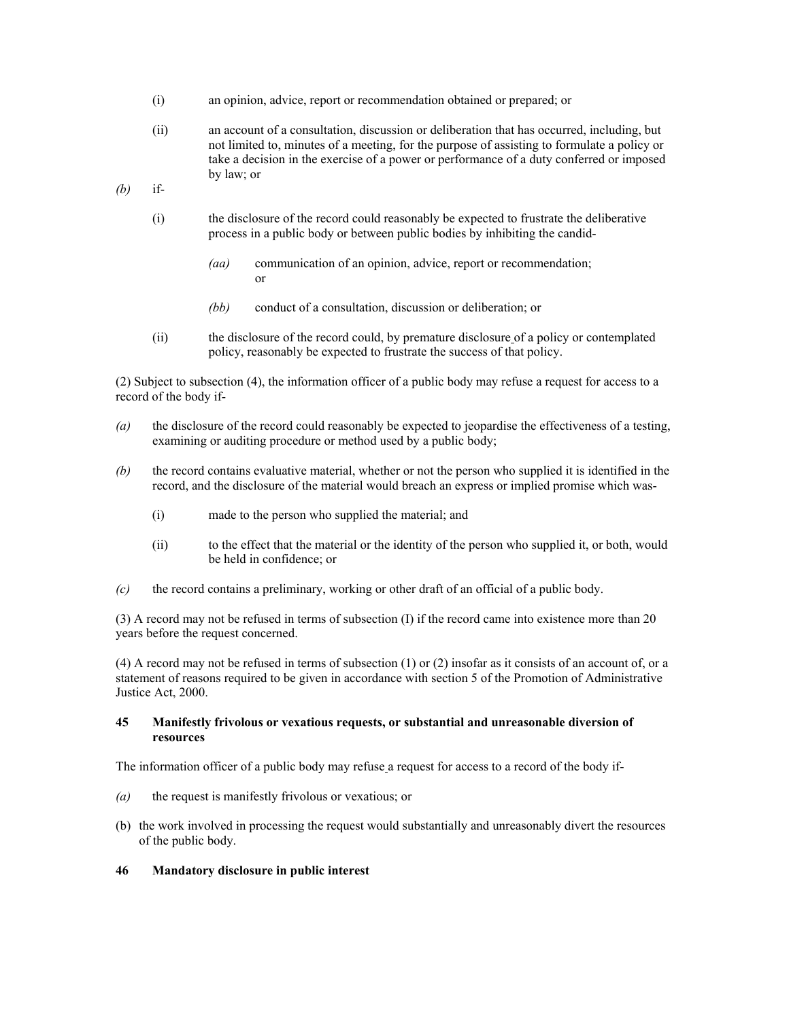- (i) an opinion, advice, report or recommendation obtained or prepared; or
- (ii) an account of a consultation, discussion or deliberation that has occurred, including, but not limited to, minutes of a meeting, for the purpose of assisting to formulate a policy or take a decision in the exercise of a power or performance of a duty conferred or imposed by law; or
- *(b)* if-
	- (i) the disclosure of the record could reasonably be expected to frustrate the deliberative process in a public body or between public bodies by inhibiting the candid-
		- *(aa)* communication of an opinion, advice, report or recommendation; or
		- *(bb)* conduct of a consultation, discussion or deliberation; or
	- (ii) the disclosure of the record could, by premature disclosure of a policy or contemplated policy, reasonably be expected to frustrate the success of that policy.

(2) Subject to subsection (4), the information officer of a public body may refuse a request for access to a record of the body if-

- *(a)* the disclosure of the record could reasonably be expected to jeopardise the effectiveness of a testing, examining or auditing procedure or method used by a public body;
- *(b)* the record contains evaluative material, whether or not the person who supplied it is identified in the record, and the disclosure of the material would breach an express or implied promise which was-
	- (i) made to the person who supplied the material; and
	- (ii) to the effect that the material or the identity of the person who supplied it, or both, would be held in confidence; or
- *(c)* the record contains a preliminary, working or other draft of an official of a public body.

(3) A record may not be refused in terms of subsection (I) if the record came into existence more than 20 years before the request concerned.

(4) A record may not be refused in terms of subsection (1) or (2) insofar as it consists of an account of, or a statement of reasons required to be given in accordance with section 5 of the Promotion of Administrative Justice Act, 2000.

## **45 Manifestly frivolous or vexatious requests, or substantial and unreasonable diversion of resources**

The information officer of a public body may refuse a request for access to a record of the body if-

- *(a)* the request is manifestly frivolous or vexatious; or
- (b) the work involved in processing the request would substantially and unreasonably divert the resources of the public body.
- **46 Mandatory disclosure in public interest**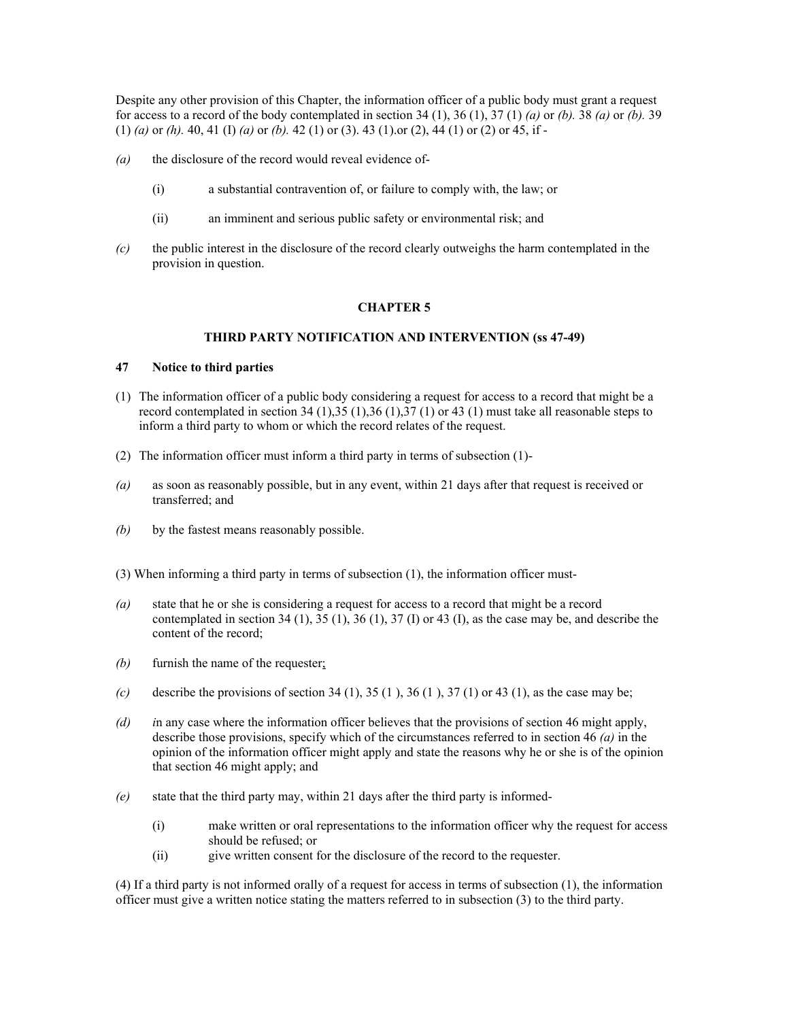Despite any other provision of this Chapter, the information officer of a public body must grant a request for access to a record of the body contemplated in section 34 (1), 36 (1), 37 (1) *(a)* or *(b).* 38 *(a)* or *(b).* 39 (1) *(a)* or *(h).* 40, 41 (I) *(a)* or *(b).* 42 (1) or (3). 43 (1).or (2), 44 (1) or (2) or 45, if -

- *(a)* the disclosure of the record would reveal evidence of-
	- (i) a substantial contravention of, or failure to comply with, the law; or
	- (ii) an imminent and serious public safety or environmental risk; and
- *(c)* the public interest in the disclosure of the record clearly outweighs the harm contemplated in the provision in question.

## **CHAPTER 5**

#### **THIRD PARTY NOTIFICATION AND INTERVENTION (ss 47-49)**

#### **47 Notice to third parties**

- (1) The information officer of a public body considering a request for access to a record that might be a record contemplated in section 34 (1),35 (1),36 (1),37 (1) or 43 (1) must take all reasonable steps to inform a third party to whom or which the record relates of the request.
- (2) The information officer must inform a third party in terms of subsection (1)-
- *(a)* as soon as reasonably possible, but in any event, within 21 days after that request is received or transferred; and
- *(b)* by the fastest means reasonably possible.
- (3) When informing a third party in terms of subsection (1), the information officer must-
- *(a)* state that he or she is considering a request for access to a record that might be a record contemplated in section 34 (1), 35 (1), 36 (1), 37 (I) or 43 (I), as the case may be, and describe the content of the record;
- *(b)* furnish the name of the requester;
- *(c)* describe the provisions of section 34 (1), 35 (1), 36 (1), 37 (1) or 43 (1), as the case may be;
- *(d) i*n any case where the information officer believes that the provisions of section 46 might apply, describe those provisions, specify which of the circumstances referred to in section 46 *(a)* in the opinion of the information officer might apply and state the reasons why he or she is of the opinion that section 46 might apply; and
- *(e)* state that the third party may, within 21 days after the third party is informed-
	- (i) make written or oral representations to the information officer why the request for access should be refused; or
	- (ii) give written consent for the disclosure of the record to the requester.

(4) If a third party is not informed orally of a request for access in terms of subsection (1), the information officer must give a written notice stating the matters referred to in subsection (3) to the third party.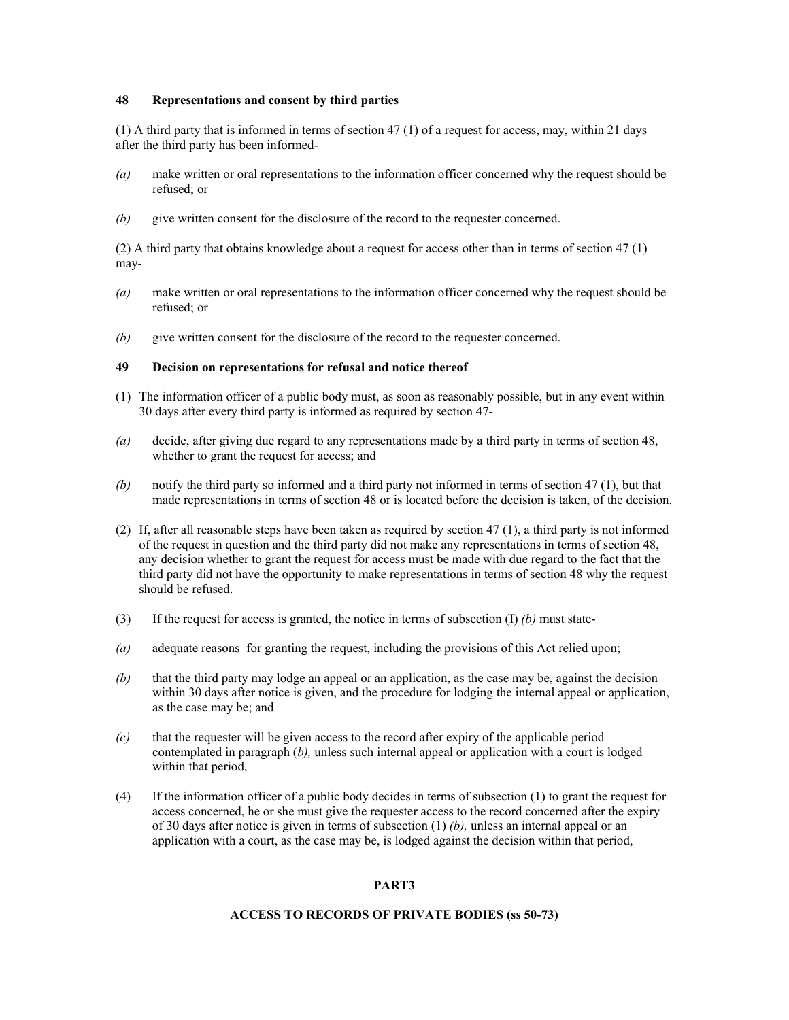### **48 Representations and consent by third parties**

(1) A third party that is informed in terms of section 47 (1) of a request for access, may, within 21 days after the third party has been informed-

- *(a)* make written or oral representations to the information officer concerned why the request should be refused; or
- *(b)* give written consent for the disclosure of the record to the requester concerned.

(2) A third party that obtains knowledge about a request for access other than in terms of section 47 (1) may-

- *(a)* make written or oral representations to the information officer concerned why the request should be refused; or
- *(b)* give written consent for the disclosure of the record to the requester concerned.

#### **49 Decision on representations for refusal and notice thereof**

- (1) The information officer of a public body must, as soon as reasonably possible, but in any event within 30 days after every third party is informed as required by section 47-
- *(a)* decide, after giving due regard to any representations made by a third party in terms of section 48, whether to grant the request for access; and
- *(b)* notify the third party so informed and a third party not informed in terms of section 47 (1), but that made representations in terms of section 48 or is located before the decision is taken, of the decision.
- (2) If, after all reasonable steps have been taken as required by section 47 (1), a third party is not informed of the request in question and the third party did not make any representations in terms of section 48, any decision whether to grant the request for access must be made with due regard to the fact that the third party did not have the opportunity to make representations in terms of section 48 why the request should be refused.
- (3) If the request for access is granted, the notice in terms of subsection  $(I)$  *(b)* must state-
- *(a)* adequate reasons for granting the request, including the provisions of this Act relied upon;
- *(b)* that the third party may lodge an appeal or an application, as the case may be, against the decision within 30 days after notice is given, and the procedure for lodging the internal appeal or application, as the case may be; and
- *(c)* that the requester will be given access to the record after expiry of the applicable period contemplated in paragraph (*b),* unless such internal appeal or application with a court is lodged within that period,
- (4) If the information officer of a public body decides in terms of subsection (1) to grant the request for access concerned, he or she must give the requester access to the record concerned after the expiry of 30 days after notice is given in terms of subsection (1) *(b),* unless an internal appeal or an application with a court, as the case may be, is lodged against the decision within that period,

# **PART3**

## **ACCESS TO RECORDS OF PRIVATE BODIES (ss 50-73)**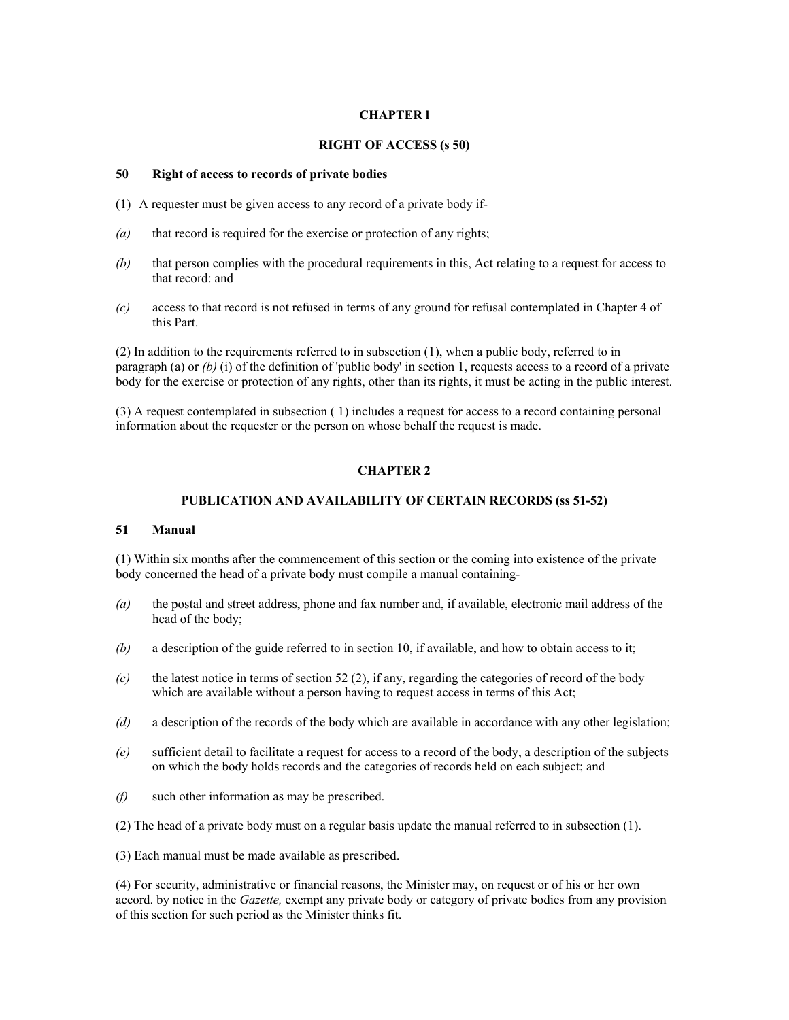## **CHAPTER l**

#### **RIGHT OF ACCESS (s 50)**

### **50 Right of access to records of private bodies**

- (1) A requester must be given access to any record of a private body if-
- *(a)* that record is required for the exercise or protection of any rights;
- *(b)* that person complies with the procedural requirements in this, Act relating to a request for access to that record: and
- *(c)* access to that record is not refused in terms of any ground for refusal contemplated in Chapter 4 of this Part.

(2) In addition to the requirements referred to in subsection (1), when a public body, referred to in paragraph (a) or *(b)* (i) of the definition of 'public body' in section 1, requests access to a record of a private body for the exercise or protection of any rights, other than its rights, it must be acting in the public interest.

(3) A request contemplated in subsection ( 1) includes a request for access to a record containing personal information about the requester or the person on whose behalf the request is made.

## **CHAPTER 2**

#### **PUBLICATION AND AVAILABILITY OF CERTAIN RECORDS (ss 51-52)**

#### **51 Manual**

(1) Within six months after the commencement of this section or the coming into existence of the private body concerned the head of a private body must compile a manual containing-

- *(a)* the postal and street address, phone and fax number and, if available, electronic mail address of the head of the body;
- *(b)* a description of the guide referred to in section 10, if available, and how to obtain access to it;
- *(c)* the latest notice in terms of section 52 (2), if any, regarding the categories of record of the body which are available without a person having to request access in terms of this Act;
- *(d)* a description of the records of the body which are available in accordance with any other legislation;
- *(e)* sufficient detail to facilitate a request for access to a record of the body, a description of the subjects on which the body holds records and the categories of records held on each subject; and
- *(f)* such other information as may be prescribed.
- (2) The head of a private body must on a regular basis update the manual referred to in subsection (1).

(3) Each manual must be made available as prescribed.

(4) For security, administrative or financial reasons, the Minister may, on request or of his or her own accord. by notice in the *Gazette,* exempt any private body or category of private bodies from any provision of this section for such period as the Minister thinks fit.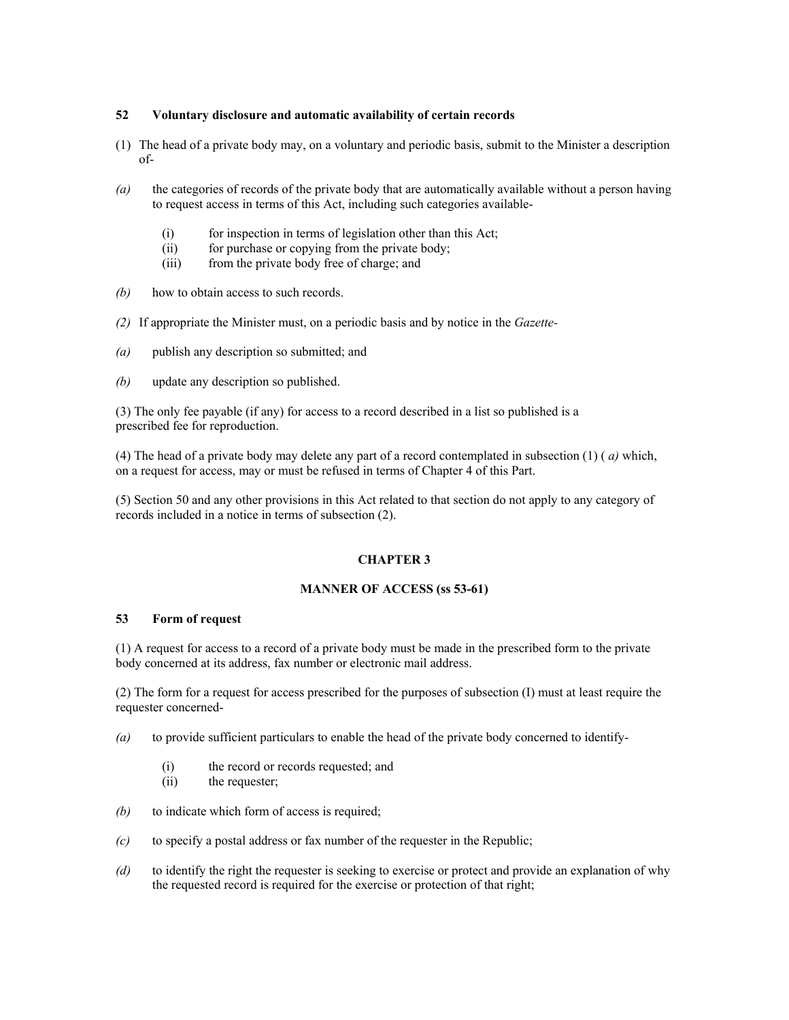## **52 Voluntary disclosure and automatic availability of certain records**

- (1) The head of a private body may, on a voluntary and periodic basis, submit to the Minister a description of-
- *(a)* the categories of records of the private body that are automatically available without a person having to request access in terms of this Act, including such categories available-
	- (i) for inspection in terms of legislation other than this Act;
	- (ii) for purchase or copying from the private body;
	- (iii) from the private body free of charge; and
- *(b)* how to obtain access to such records.
- *(2)* If appropriate the Minister must, on a periodic basis and by notice in the *Gazette-*
- *(a)* publish any description so submitted; and
- *(b)* update any description so published.

(3) The only fee payable (if any) for access to a record described in a list so published is a prescribed fee for reproduction.

(4) The head of a private body may delete any part of a record contemplated in subsection (1) ( *a)* which, on a request for access, may or must be refused in terms of Chapter 4 of this Part.

(5) Section 50 and any other provisions in this Act related to that section do not apply to any category of records included in a notice in terms of subsection (2).

## **CHAPTER 3**

### **MANNER OF ACCESS (ss 53-61)**

#### **53 Form of request**

(1) A request for access to a record of a private body must be made in the prescribed form to the private body concerned at its address, fax number or electronic mail address.

(2) The form for a request for access prescribed for the purposes of subsection (I) must at least require the requester concerned-

- *(a)* to provide sufficient particulars to enable the head of the private body concerned to identify-
	- (i) the record or records requested; and
	- (ii) the requester;
- *(b)* to indicate which form of access is required;
- *(c)* to specify a postal address or fax number of the requester in the Republic;
- *(d)* to identify the right the requester is seeking to exercise or protect and provide an explanation of why the requested record is required for the exercise or protection of that right;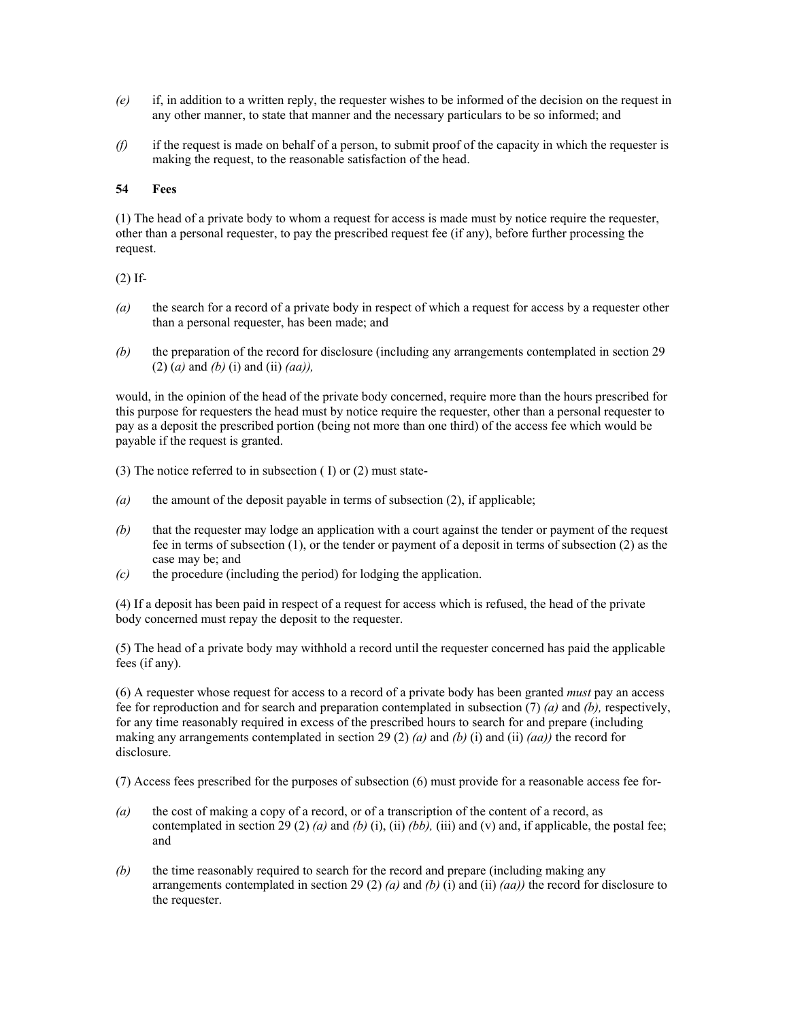- *(e)* if, in addition to a written reply, the requester wishes to be informed of the decision on the request in any other manner, to state that manner and the necessary particulars to be so informed; and
- *(f)* if the request is made on behalf of a person, to submit proof of the capacity in which the requester is making the request, to the reasonable satisfaction of the head.

## **54 Fees**

(1) The head of a private body to whom a request for access is made must by notice require the requester, other than a personal requester, to pay the prescribed request fee (if any), before further processing the request.

### (2) If-

- *(a)* the search for a record of a private body in respect of which a request for access by a requester other than a personal requester, has been made; and
- *(b)* the preparation of the record for disclosure (including any arrangements contemplated in section 29 (2) (*a)* and *(b)* (i) and (ii) *(aa)),*

would, in the opinion of the head of the private body concerned, require more than the hours prescribed for this purpose for requesters the head must by notice require the requester, other than a personal requester to pay as a deposit the prescribed portion (being not more than one third) of the access fee which would be payable if the request is granted.

(3) The notice referred to in subsection ( I) or (2) must state-

- *(a)* the amount of the deposit payable in terms of subsection (2), if applicable;
- *(b)* that the requester may lodge an application with a court against the tender or payment of the request fee in terms of subsection (1), or the tender or payment of a deposit in terms of subsection (2) as the case may be; and
- *(c)* the procedure (including the period) for lodging the application.

(4) If a deposit has been paid in respect of a request for access which is refused, the head of the private body concerned must repay the deposit to the requester.

(5) The head of a private body may withhold a record until the requester concerned has paid the applicable fees (if any).

(6) A requester whose request for access to a record of a private body has been granted *must* pay an access fee for reproduction and for search and preparation contemplated in subsection (7) *(a)* and *(b),* respectively, for any time reasonably required in excess of the prescribed hours to search for and prepare (including making any arrangements contemplated in section 29 (2) *(a)* and *(b)* (i) and *(ii)*  $(aa)$ *)* the record for disclosure.

(7) Access fees prescribed for the purposes of subsection (6) must provide for a reasonable access fee for-

- *(a)* the cost of making a copy of a record, or of a transcription of the content of a record, as contemplated in section 29 (2) *(a)* and *(b)* (i), (ii) *(bb)*, (iii) and (v) and, if applicable, the postal fee; and
- *(b)* the time reasonably required to search for the record and prepare (including making any arrangements contemplated in section 29 (2)  $(a)$  and  $(b)$  (i) and (ii)  $(aa)$  the record for disclosure to the requester.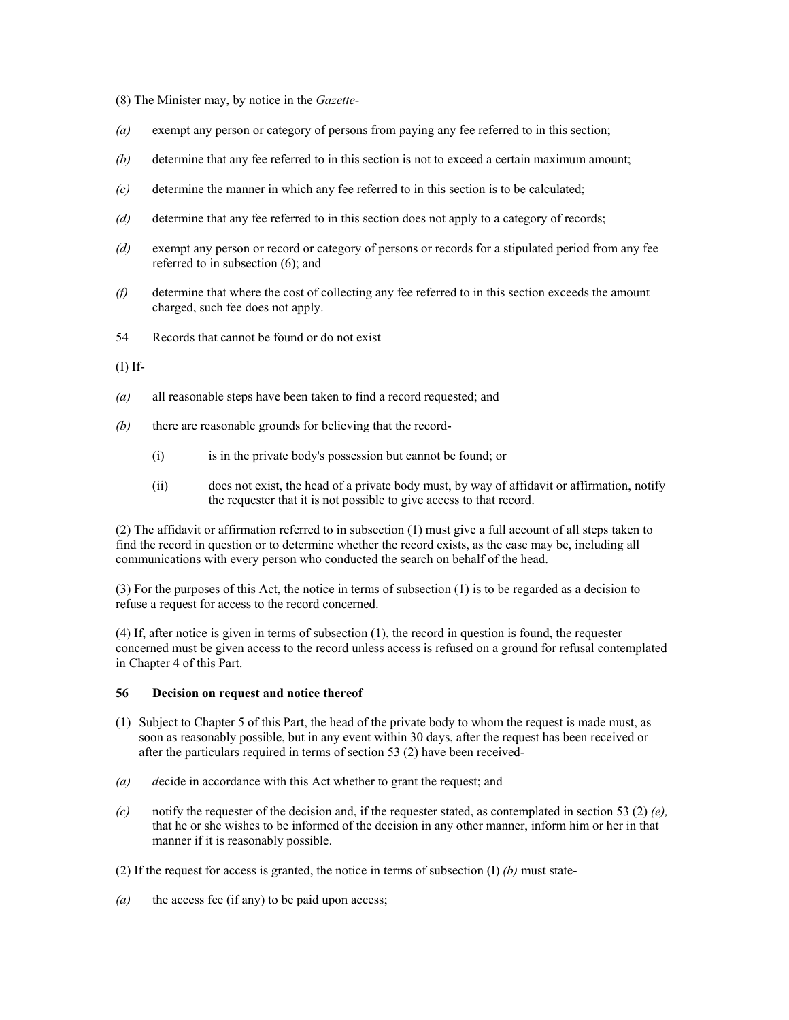(8) The Minister may, by notice in the *Gazette-* 

- *(a)* exempt any person or category of persons from paying any fee referred to in this section;
- *(b)* determine that any fee referred to in this section is not to exceed a certain maximum amount;
- *(c)* determine the manner in which any fee referred to in this section is to be calculated;
- *(d)* determine that any fee referred to in this section does not apply to a category of records;
- *(d)* exempt any person or record or category of persons or records for a stipulated period from any fee referred to in subsection (6); and
- *(f)* determine that where the cost of collecting any fee referred to in this section exceeds the amount charged, such fee does not apply.
- 54 Records that cannot be found or do not exist

(I) If-

- *(a)* all reasonable steps have been taken to find a record requested; and
- *(b)* there are reasonable grounds for believing that the record-
	- (i) is in the private body's possession but cannot be found; or
	- (ii) does not exist, the head of a private body must, by way of affidavit or affirmation, notify the requester that it is not possible to give access to that record.

(2) The affidavit or affirmation referred to in subsection (1) must give a full account of all steps taken to find the record in question or to determine whether the record exists, as the case may be, including all communications with every person who conducted the search on behalf of the head.

(3) For the purposes of this Act, the notice in terms of subsection (1) is to be regarded as a decision to refuse a request for access to the record concerned.

(4) If, after notice is given in terms of subsection (1), the record in question is found, the requester concerned must be given access to the record unless access is refused on a ground for refusal contemplated in Chapter 4 of this Part.

## **56 Decision on request and notice thereof**

- (1) Subject to Chapter 5 of this Part, the head of the private body to whom the request is made must, as soon as reasonably possible, but in any event within 30 days, after the request has been received or after the particulars required in terms of section 53 (2) have been received-
- *(a) d*ecide in accordance with this Act whether to grant the request; and
- *(c)* notify the requester of the decision and, if the requester stated, as contemplated in section 53 (2)  $(e)$ , that he or she wishes to be informed of the decision in any other manner, inform him or her in that manner if it is reasonably possible.
- (2) If the request for access is granted, the notice in terms of subsection (I) *(b)* must state-
- *(a)* the access fee (if any) to be paid upon access;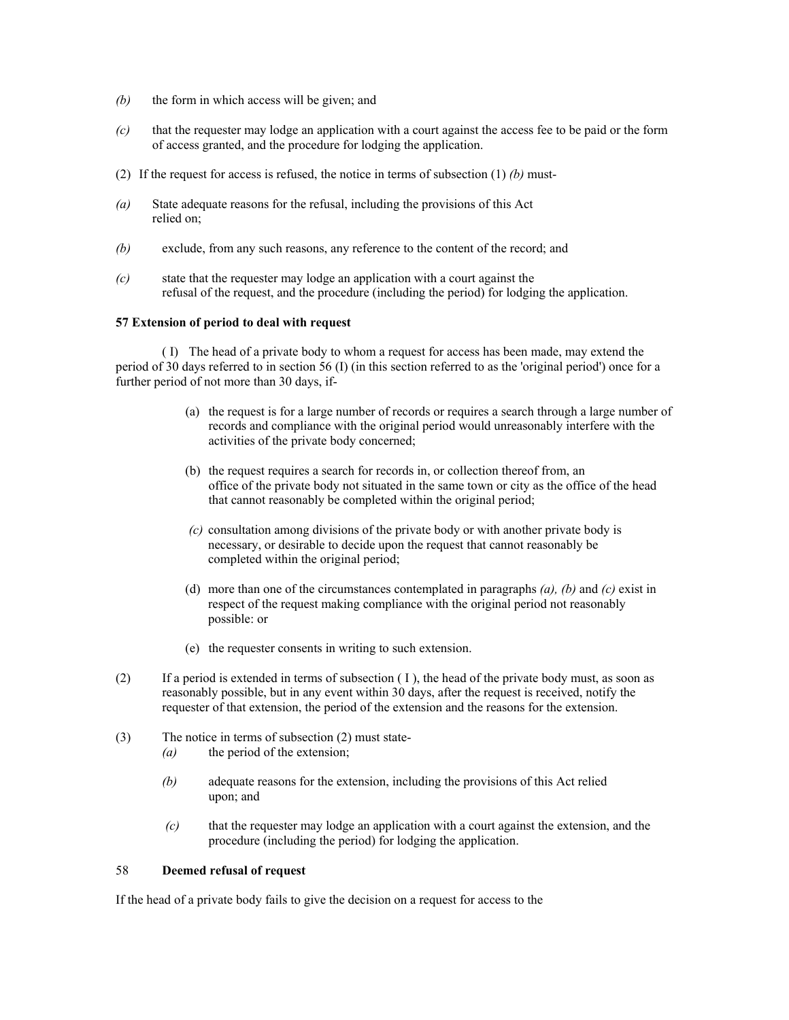- *(b)* the form in which access will be given; and
- *(c)* that the requester may lodge an application with a court against the access fee to be paid or the form of access granted, and the procedure for lodging the application.
- (2) If the request for access is refused, the notice in terms of subsection (1) *(b)* must-
- *(a)* State adequate reasons for the refusal, including the provisions of this Act relied on;
- *(b)* exclude, from any such reasons, any reference to the content of the record; and
- *(c)* state that the requester may lodge an application with a court against the refusal of the request, and the procedure (including the period) for lodging the application.

## **57 Extension of period to deal with request**

( I) The head of a private body to whom a request for access has been made, may extend the period of 30 days referred to in section 56 (I) (in this section referred to as the 'original period') once for a further period of not more than 30 days, if-

- (a) the request is for a large number of records or requires a search through a large number of records and compliance with the original period would unreasonably interfere with the activities of the private body concerned;
- (b) the request requires a search for records in, or collection thereof from, an office of the private body not situated in the same town or city as the office of the head that cannot reasonably be completed within the original period;
- *(c)* consultation among divisions of the private body or with another private body is necessary, or desirable to decide upon the request that cannot reasonably be completed within the original period;
- (d) more than one of the circumstances contemplated in paragraphs *(a), (b)* and *(c)* exist in respect of the request making compliance with the original period not reasonably possible: or
- (e) the requester consents in writing to such extension.
- (2) If a period is extended in terms of subsection ( I ), the head of the private body must, as soon as reasonably possible, but in any event within 30 days, after the request is received, notify the requester of that extension, the period of the extension and the reasons for the extension.
- (3) The notice in terms of subsection (2) must state- *(a)* the period of the extension;
	- *(b)* adequate reasons for the extension, including the provisions of this Act relied upon; and
	- *(c)* that the requester may lodge an application with a court against the extension, and the procedure (including the period) for lodging the application.

## 58 **Deemed refusal of request**

If the head of a private body fails to give the decision on a request for access to the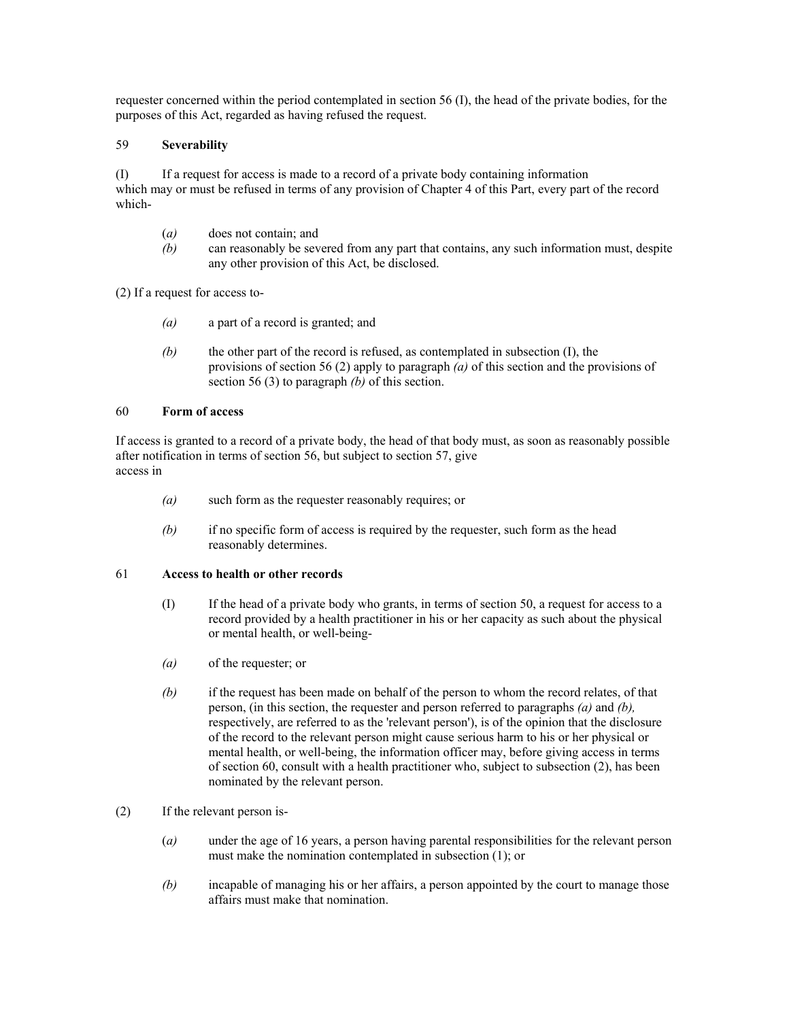requester concerned within the period contemplated in section 56 (I), the head of the private bodies, for the purposes of this Act, regarded as having refused the request.

## 59 **Severability**

(I) If a request for access is made to a record of a private body containing information which may or must be refused in terms of any provision of Chapter 4 of this Part, every part of the record which-

- (*a*) does not contain; and
- *(b)* can reasonably be severed from any part that contains, any such information must, despite any other provision of this Act, be disclosed.

(2) If a request for access to-

- *(a)* a part of a record is granted; and
- *(b)* the other part of the record is refused, as contemplated in subsection (I), the provisions of section 56 (2) apply to paragraph *(a)* of this section and the provisions of section 56 (3) to paragraph *(b)* of this section.

### 60 **Form of access**

If access is granted to a record of a private body, the head of that body must, as soon as reasonably possible after notification in terms of section 56, but subject to section 57, give access in

- *(a)* such form as the requester reasonably requires; or
- *(b)* if no specific form of access is required by the requester, such form as the head reasonably determines.

## 61 **Access to health or other records**

- (I) If the head of a private body who grants, in terms of section 50, a request for access to a record provided by a health practitioner in his or her capacity as such about the physical or mental health, or well-being-
- *(a)* of the requester; or
- *(b)* if the request has been made on behalf of the person to whom the record relates, of that person, (in this section, the requester and person referred to paragraphs *(a)* and *(b),*  respectively, are referred to as the 'relevant person'), is of the opinion that the disclosure of the record to the relevant person might cause serious harm to his or her physical or mental health, or well-being, the information officer may, before giving access in terms of section 60, consult with a health practitioner who, subject to subsection (2), has been nominated by the relevant person.
- (2) If the relevant person is-
	- (*a)* under the age of 16 years, a person having parental responsibilities for the relevant person must make the nomination contemplated in subsection (1); or
	- *(b)* incapable of managing his or her affairs, a person appointed by the court to manage those affairs must make that nomination.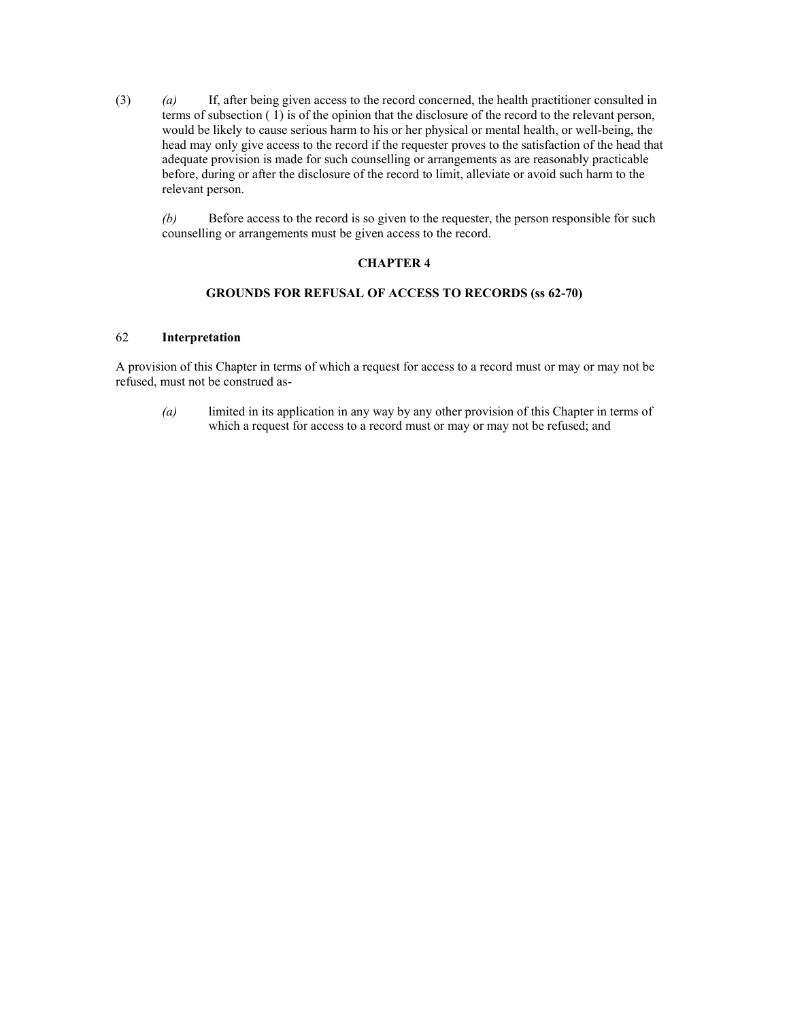(3) *(a)* If, after being given access to the record concerned, the health practitioner consulted in terms of subsection ( 1) is of the opinion that the disclosure of the record to the relevant person, would be likely to cause serious harm to his or her physical or mental health, or well-being, the head may only give access to the record if the requester proves to the satisfaction of the head that adequate provision is made for such counselling or arrangements as are reasonably practicable before, during or after the disclosure of the record to limit, alleviate or avoid such harm to the relevant person.

*(b)* Before access to the record is so given to the requester, the person responsible for such counselling or arrangements must be given access to the record.

# **CHAPTER 4**

## **GROUNDS FOR REFUSAL OF ACCESS TO RECORDS (ss 62-70)**

### 62 **Interpretation**

A provision of this Chapter in terms of which a request for access to a record must or may or may not be refused, must not be construed as-

*(a)* limited in its application in any way by any other provision of this Chapter in terms of which a request for access to a record must or may or may not be refused; and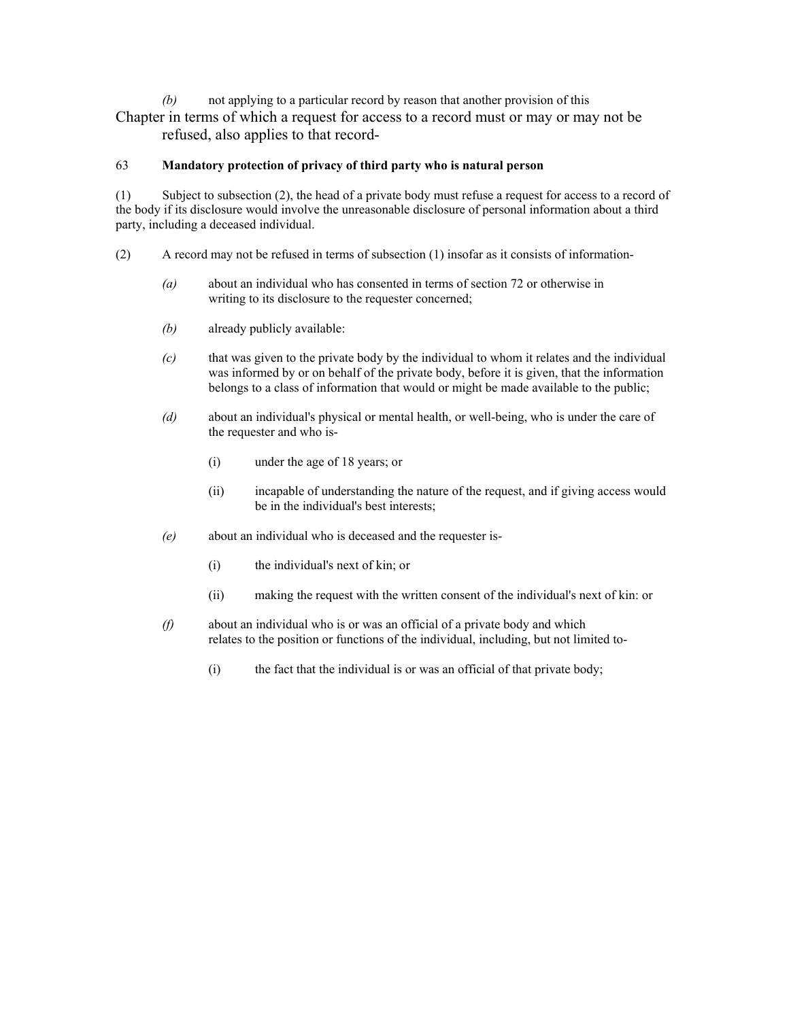*(b)* not applying to a particular record by reason that another provision of this Chapter in terms of which a request for access to a record must or may or may not be refused, also applies to that record-

# 63 **Mandatory protection of privacy of third party who is natural person**

(1) Subject to subsection (2), the head of a private body must refuse a request for access to a record of the body if its disclosure would involve the unreasonable disclosure of personal information about a third party, including a deceased individual.

- (2) A record may not be refused in terms of subsection (1) insofar as it consists of information-
	- *(a)* about an individual who has consented in terms of section 72 or otherwise in writing to its disclosure to the requester concerned;
	- *(b)* already publicly available:
	- *(c)* that was given to the private body by the individual to whom it relates and the individual was informed by or on behalf of the private body, before it is given, that the information belongs to a class of information that would or might be made available to the public;
	- *(d)* about an individual's physical or mental health, or well-being, who is under the care of the requester and who is-
		- (i) under the age of 18 years; or
		- (ii) incapable of understanding the nature of the request, and if giving access would be in the individual's best interests;
	- *(e)* about an individual who is deceased and the requester is-
		- (i) the individual's next of kin; or
		- (ii) making the request with the written consent of the individual's next of kin: or
	- *(f)* about an individual who is or was an official of a private body and which relates to the position or functions of the individual, including, but not limited to-
		- (i) the fact that the individual is or was an official of that private body;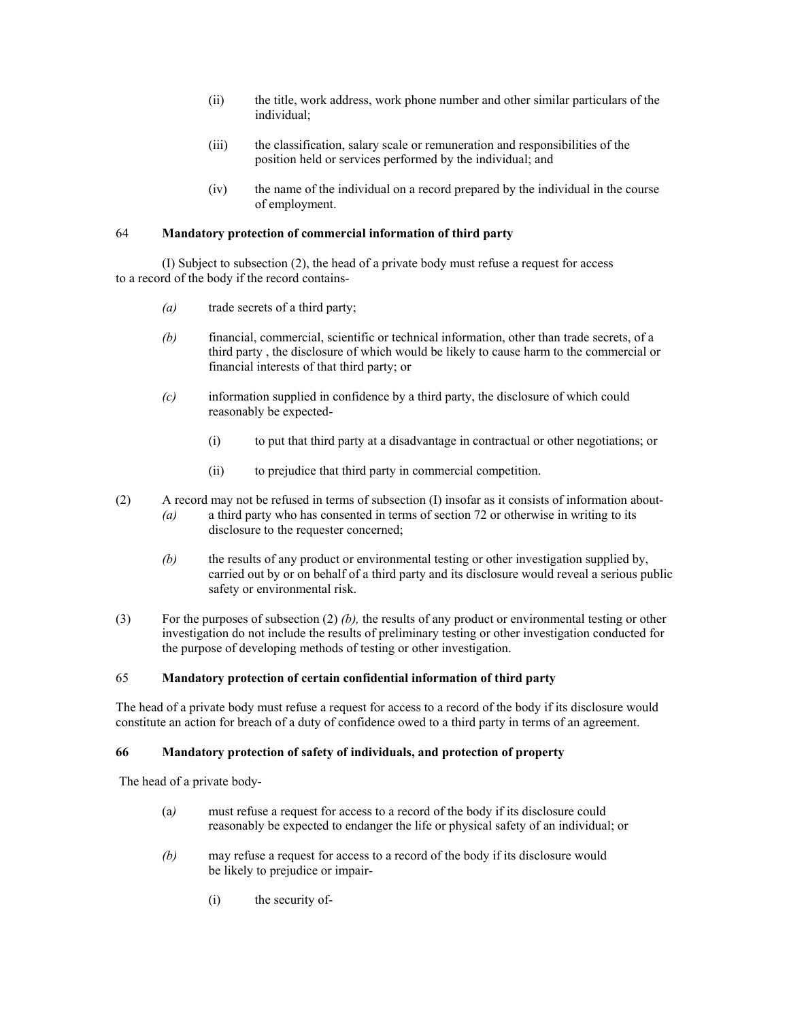- (ii) the title, work address, work phone number and other similar particulars of the individual;
- (iii) the classification, salary scale or remuneration and responsibilities of the position held or services performed by the individual; and
- (iv) the name of the individual on a record prepared by the individual in the course of employment.

# 64 **Mandatory protection of commercial information of third party**

(I) Subject to subsection (2), the head of a private body must refuse a request for access to a record of the body if the record contains-

- *(a)* trade secrets of a third party;
- *(b)* financial, commercial, scientific or technical information, other than trade secrets, of a third party , the disclosure of which would be likely to cause harm to the commercial or financial interests of that third party; or
- *(c)* information supplied in confidence by a third party, the disclosure of which could reasonably be expected-
	- (i) to put that third party at a disadvantage in contractual or other negotiations; or
	- (ii) to prejudice that third party in commercial competition.
- (2) A record may not be refused in terms of subsection (I) insofar as it consists of information about- *(a)* a third party who has consented in terms of section 72 or otherwise in writing to its disclosure to the requester concerned;
	- *(b)* the results of any product or environmental testing or other investigation supplied by, carried out by or on behalf of a third party and its disclosure would reveal a serious public safety or environmental risk.
- (3) For the purposes of subsection (2) *(b),* the results of any product or environmental testing or other investigation do not include the results of preliminary testing or other investigation conducted for the purpose of developing methods of testing or other investigation.

## 65 **Mandatory protection of certain confidential information of third party**

The head of a private body must refuse a request for access to a record of the body if its disclosure would constitute an action for breach of a duty of confidence owed to a third party in terms of an agreement.

### **66 Mandatory protection of safety of individuals, and protection of property**

The head of a private body-

- (a*)* must refuse a request for access to a record of the body if its disclosure could reasonably be expected to endanger the life or physical safety of an individual; or
- *(b)* may refuse a request for access to a record of the body if its disclosure would be likely to prejudice or impair-
	- (i) the security of-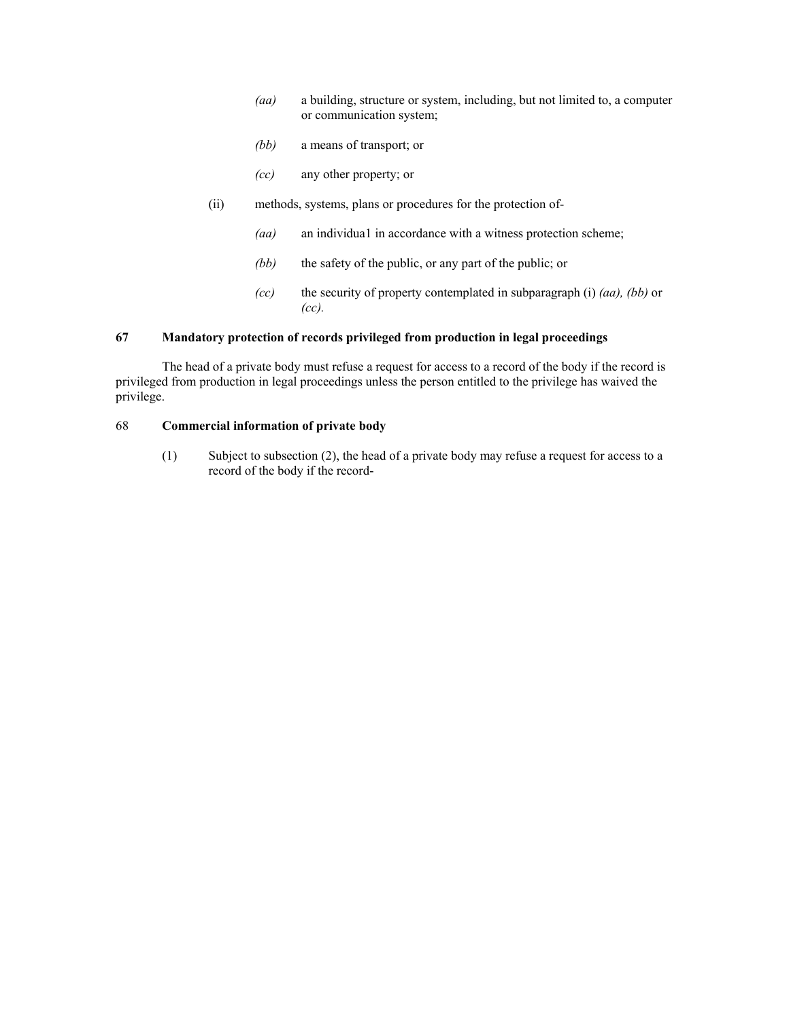- *(aa)* a building, structure or system, including, but not limited to, a computer or communication system;
- *(bb)* a means of transport; or
- *(cc)* any other property; or
- (ii) methods, systems, plans or procedures for the protection of-
	- *(aa)* an individua1 in accordance with a witness protection scheme;
	- *(bb)* the safety of the public, or any part of the public; or
	- *(cc)* the security of property contemplated in subparagraph (i) *(aa), (bb)* or *(cc).*

### **67 Mandatory protection of records privileged from production in legal proceedings**

The head of a private body must refuse a request for access to a record of the body if the record is privileged from production in legal proceedings unless the person entitled to the privilege has waived the privilege.

# 68 **Commercial information of private body**

(1) Subject to subsection (2), the head of a private body may refuse a request for access to a record of the body if the record-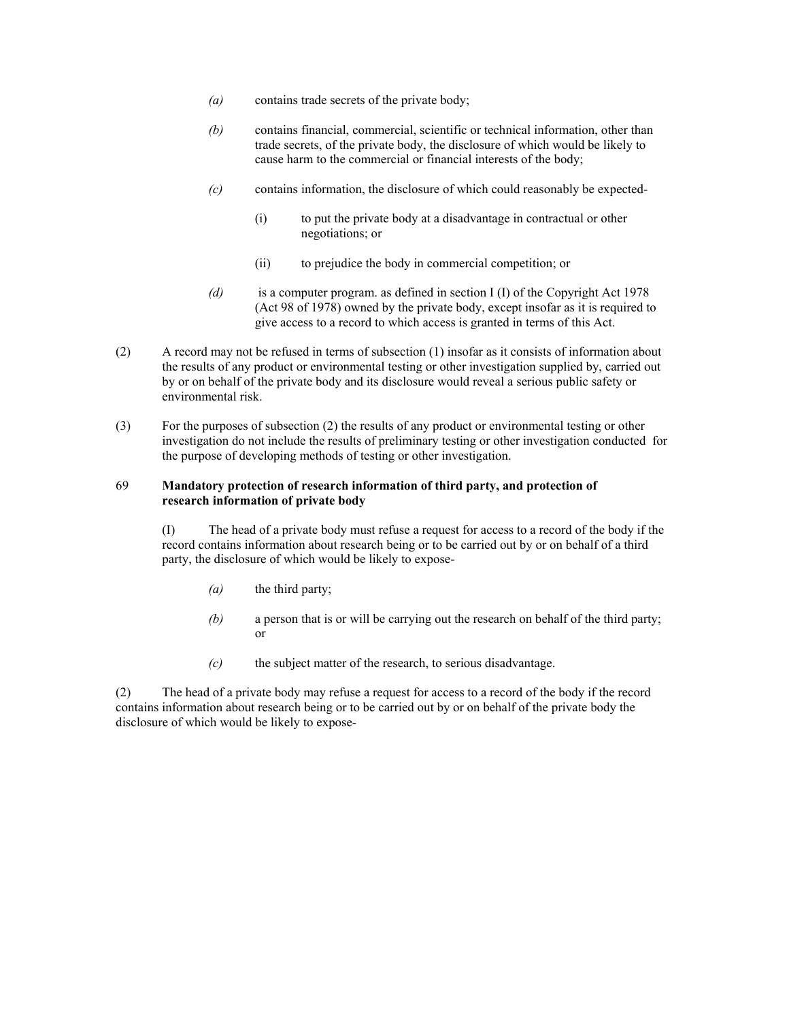- *(a)* contains trade secrets of the private body;
- *(b)* contains financial, commercial, scientific or technical information, other than trade secrets, of the private body, the disclosure of which would be likely to cause harm to the commercial or financial interests of the body;
- *(c)* contains information, the disclosure of which could reasonably be expected-
	- (i) to put the private body at a disadvantage in contractual or other negotiations; or
	- (ii) to prejudice the body in commercial competition; or
- *(d)* is a computer program. as defined in section I (I) of the Copyright Act 1978 (Act 98 of 1978) owned by the private body, except insofar as it is required to give access to a record to which access is granted in terms of this Act.
- (2) A record may not be refused in terms of subsection (1) insofar as it consists of information about the results of any product or environmental testing or other investigation supplied by, carried out by or on behalf of the private body and its disclosure would reveal a serious public safety or environmental risk.
- (3) For the purposes of subsection (2) the results of any product or environmental testing or other investigation do not include the results of preliminary testing or other investigation conducted for the purpose of developing methods of testing or other investigation.

## 69 **Mandatory protection of research information of third party, and protection of research information of private body**

(I) The head of a private body must refuse a request for access to a record of the body if the record contains information about research being or to be carried out by or on behalf of a third party, the disclosure of which would be likely to expose-

- *(a)* the third party;
- *(b)* a person that is or will be carrying out the research on behalf of the third party; or
- *(c)* the subject matter of the research, to serious disadvantage.

(2) The head of a private body may refuse a request for access to a record of the body if the record contains information about research being or to be carried out by or on behalf of the private body the disclosure of which would be likely to expose-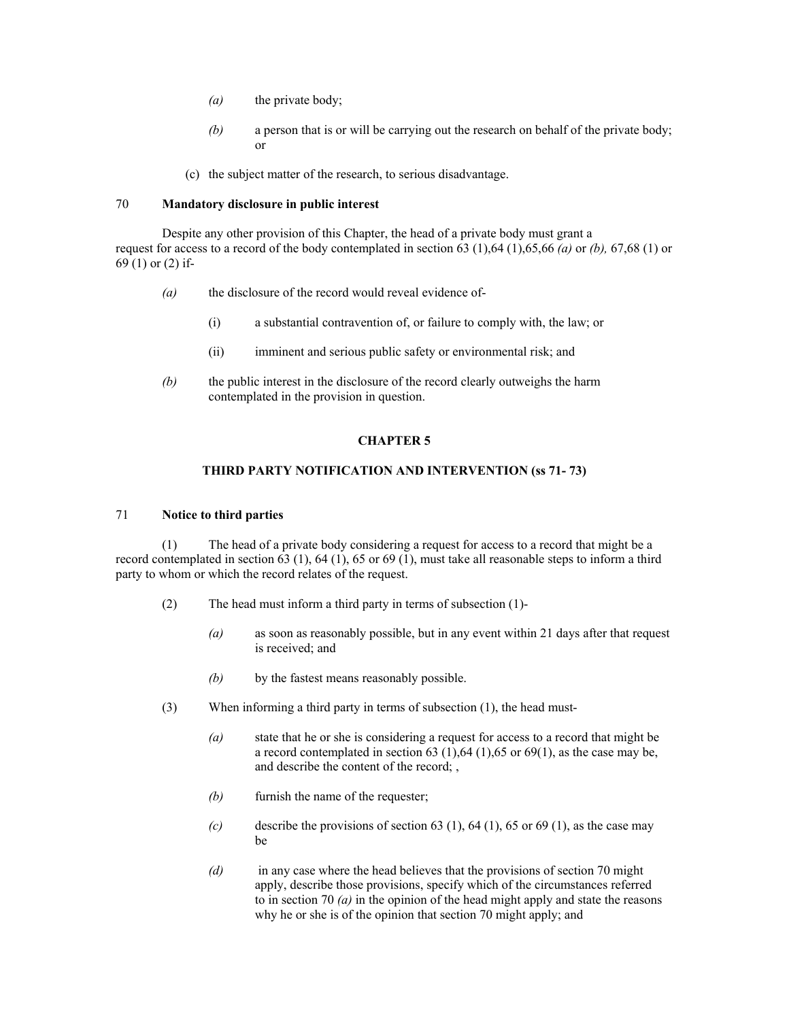- *(a)* the private body;
- *(b)* a person that is or will be carrying out the research on behalf of the private body; or
- (c) the subject matter of the research, to serious disadvantage.

## 70 **Mandatory disclosure in public interest**

Despite any other provision of this Chapter, the head of a private body must grant a request for access to a record of the body contemplated in section 63 (1),64 (1),65,66 *(a)* or *(b),* 67,68 (1) or 69 (1) or (2) if-

- *(a)* the disclosure of the record would reveal evidence of-
	- (i) a substantial contravention of, or failure to comply with, the law; or
	- (ii) imminent and serious public safety or environmental risk; and
- *(b)* the public interest in the disclosure of the record clearly outweighs the harm contemplated in the provision in question.

#### **CHAPTER 5**

## **THIRD PARTY NOTIFICATION AND INTERVENTION (ss 71- 73)**

### 71 **Notice to third parties**

(1) The head of a private body considering a request for access to a record that might be a record contemplated in section 63 (1), 64 (1), 65 or 69 (1), must take all reasonable steps to inform a third party to whom or which the record relates of the request.

- (2) The head must inform a third party in terms of subsection (1)-
	- *(a)* as soon as reasonably possible, but in any event within 21 days after that request is received; and
	- *(b)* by the fastest means reasonably possible.
- (3) When informing a third party in terms of subsection (1), the head must-
	- *(a)* state that he or she is considering a request for access to a record that might be a record contemplated in section  $63$  (1),  $64$  (1),  $65$  or  $69(1)$ , as the case may be, and describe the content of the record; ,
	- *(b)* furnish the name of the requester;
	- $(c)$  describe the provisions of section 63 (1), 64 (1), 65 or 69 (1), as the case may be
	- *(d)* in any case where the head believes that the provisions of section 70 might apply, describe those provisions, specify which of the circumstances referred to in section 70 *(a)* in the opinion of the head might apply and state the reasons why he or she is of the opinion that section 70 might apply; and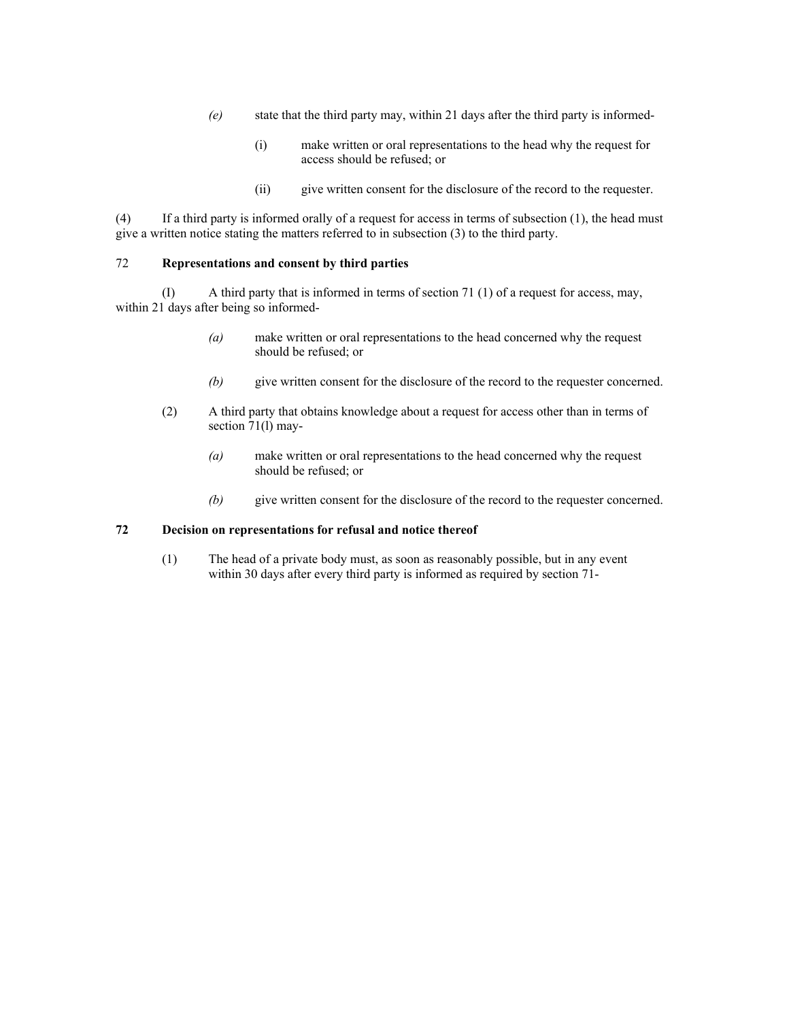- *(e)* state that the third party may, within 21 days after the third party is informed-
	- (i) make written or oral representations to the head why the request for access should be refused; or
	- (ii) give written consent for the disclosure of the record to the requester.

(4) If a third party is informed orally of a request for access in terms of subsection (1), the head must give a written notice stating the matters referred to in subsection (3) to the third party.

#### 72 **Representations and consent by third parties**

(I) A third party that is informed in terms of section 71 (1) of a request for access, may, within 21 days after being so informed-

- *(a)* make written or oral representations to the head concerned why the request should be refused; or
- *(b)* give written consent for the disclosure of the record to the requester concerned.
- (2) A third party that obtains knowledge about a request for access other than in terms of section 71(l) may-
	- *(a)* make written or oral representations to the head concerned why the request should be refused; or
	- *(b)* give written consent for the disclosure of the record to the requester concerned.

### **72 Decision on representations for refusal and notice thereof**

(1) The head of a private body must, as soon as reasonably possible, but in any event within 30 days after every third party is informed as required by section 71-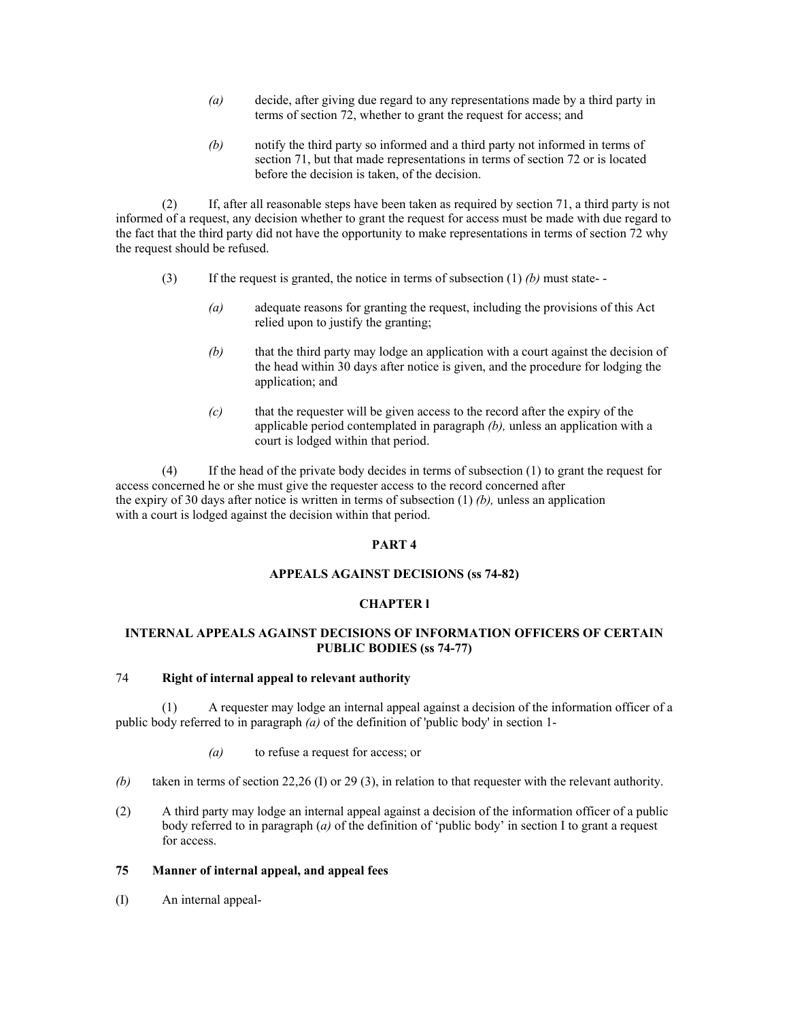- *(a)* decide, after giving due regard to any representations made by a third party in terms of section 72, whether to grant the request for access; and
- *(b)* notify the third party so informed and a third party not informed in terms of section 71, but that made representations in terms of section 72 or is located before the decision is taken, of the decision.

(2) If, after all reasonable steps have been taken as required by section 71, a third party is not informed of a request, any decision whether to grant the request for access must be made with due regard to the fact that the third party did not have the opportunity to make representations in terms of section 72 why the request should be refused.

- (3) If the request is granted, the notice in terms of subsection (1) *(b)* must state-
	- *(a)* adequate reasons for granting the request, including the provisions of this Act relied upon to justify the granting;
	- *(b)* that the third party may lodge an application with a court against the decision of the head within 30 days after notice is given, and the procedure for lodging the application; and
	- *(c)* that the requester will be given access to the record after the expiry of the applicable period contemplated in paragraph *(b),* unless an application with a court is lodged within that period.

(4) If the head of the private body decides in terms of subsection (1) to grant the request for access concerned he or she must give the requester access to the record concerned after the expiry of 30 days after notice is written in terms of subsection (1) *(b),* unless an application with a court is lodged against the decision within that period.

## **PART 4**

## **APPEALS AGAINST DECISIONS (ss 74-82)**

# **CHAPTER l**

# **INTERNAL APPEALS AGAINST DECISIONS OF INFORMATION OFFICERS OF CERTAIN PUBLIC BODIES (ss 74-77)**

#### 74 **Right of internal appeal to relevant authority**

(1) A requester may lodge an internal appeal against a decision of the information officer of a public body referred to in paragraph *(a)* of the definition of 'public body' in section 1-

- *(a)* to refuse a request for access; or
- *(b)* taken in terms of section 22,26 (I) or 29 (3), in relation to that requester with the relevant authority.
- (2) A third party may lodge an internal appeal against a decision of the information officer of a public body referred to in paragraph (*a)* of the definition of 'public body' in section I to grant a request for access.

## **75 Manner of internal appeal, and appeal fees**

(I) An internal appeal-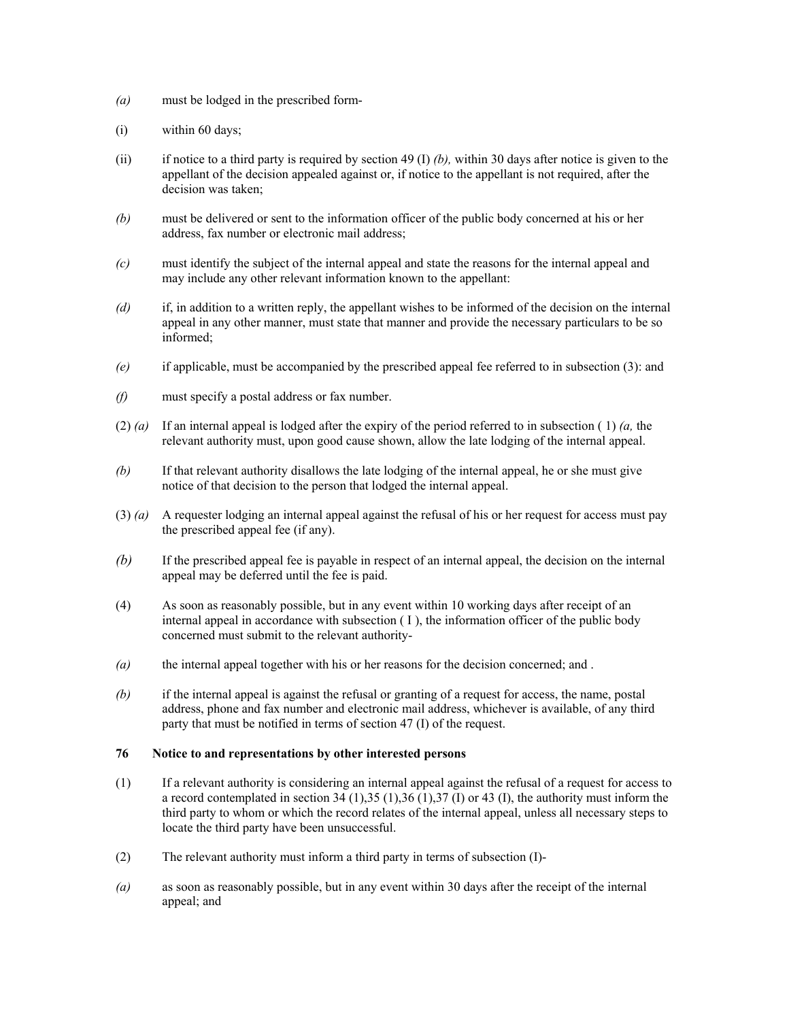- *(a)* must be lodged in the prescribed form-
- (i) within 60 days;
- (ii) if notice to a third party is required by section 49 (I) *(b),* within 30 days after notice is given to the appellant of the decision appealed against or, if notice to the appellant is not required, after the decision was taken;
- *(b)* must be delivered or sent to the information officer of the public body concerned at his or her address, fax number or electronic mail address;
- *(c)* must identify the subject of the internal appeal and state the reasons for the internal appeal and may include any other relevant information known to the appellant:
- *(d)* if, in addition to a written reply, the appellant wishes to be informed of the decision on the internal appeal in any other manner, must state that manner and provide the necessary particulars to be so informed;
- *(e)* if applicable, must be accompanied by the prescribed appeal fee referred to in subsection (3): and
- *(f)* must specify a postal address or fax number.
- (2) *(a)* If an internal appeal is lodged after the expiry of the period referred to in subsection ( 1) *(a,* the relevant authority must, upon good cause shown, allow the late lodging of the internal appeal.
- *(b)* If that relevant authority disallows the late lodging of the internal appeal, he or she must give notice of that decision to the person that lodged the internal appeal.
- (3) *(a)* A requester lodging an internal appeal against the refusal of his or her request for access must pay the prescribed appeal fee (if any).
- *(b)* If the prescribed appeal fee is payable in respect of an internal appeal, the decision on the internal appeal may be deferred until the fee is paid.
- (4) As soon as reasonably possible, but in any event within 10 working days after receipt of an internal appeal in accordance with subsection  $(1)$ , the information officer of the public body concerned must submit to the relevant authority-
- *(a)* the internal appeal together with his or her reasons for the decision concerned; and .
- *(b)* if the internal appeal is against the refusal or granting of a request for access, the name, postal address, phone and fax number and electronic mail address, whichever is available, of any third party that must be notified in terms of section 47 (I) of the request.

### **76 Notice to and representations by other interested persons**

- (1) If a relevant authority is considering an internal appeal against the refusal of a request for access to a record contemplated in section 34 (1),35 (1),36 (1),37 (I) or 43 (I), the authority must inform the third party to whom or which the record relates of the internal appeal, unless all necessary steps to locate the third party have been unsuccessful.
- (2) The relevant authority must inform a third party in terms of subsection (I)-
- *(a)* as soon as reasonably possible, but in any event within 30 days after the receipt of the internal appeal; and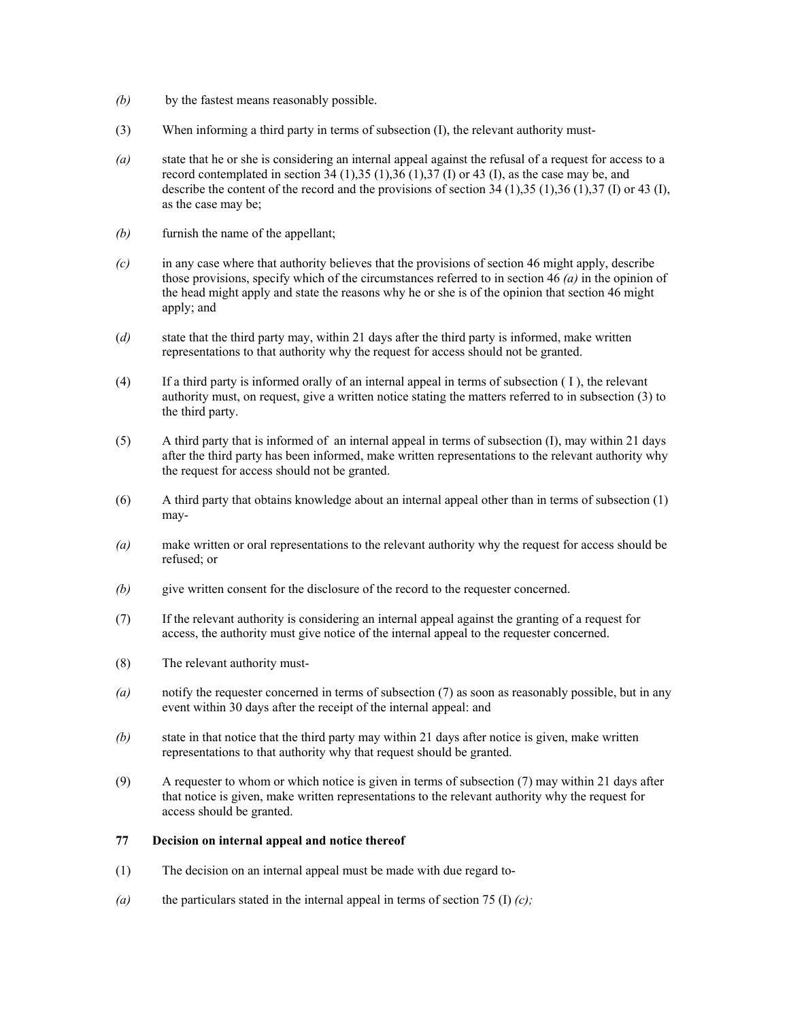- *(b)* by the fastest means reasonably possible.
- (3) When informing a third party in terms of subsection (I), the relevant authority must-
- *(a)* state that he or she is considering an internal appeal against the refusal of a request for access to a record contemplated in section  $34$  (1), $35$  (1), $36$  (1), $37$  (I) or 43 (I), as the case may be, and describe the content of the record and the provisions of section 34 (1),35 (1),36 (1),37 (I) or 43 (I), as the case may be;
- *(b)* furnish the name of the appellant;
- *(c)* in any case where that authority believes that the provisions of section 46 might apply, describe those provisions, specify which of the circumstances referred to in section 46 *(a)* in the opinion of the head might apply and state the reasons why he or she is of the opinion that section 46 might apply; and
- (*d)* state that the third party may, within 21 days after the third party is informed, make written representations to that authority why the request for access should not be granted.
- (4) If a third party is informed orally of an internal appeal in terms of subsection ( I ), the relevant authority must, on request, give a written notice stating the matters referred to in subsection (3) to the third party.
- (5) A third party that is informed of an internal appeal in terms of subsection (I), may within 21 days after the third party has been informed, make written representations to the relevant authority why the request for access should not be granted.
- (6) A third party that obtains knowledge about an internal appeal other than in terms of subsection (1) may-
- *(a)* make written or oral representations to the relevant authority why the request for access should be refused; or
- *(b)* give written consent for the disclosure of the record to the requester concerned.
- (7) If the relevant authority is considering an internal appeal against the granting of a request for access, the authority must give notice of the internal appeal to the requester concerned.
- (8) The relevant authority must-
- *(a)* notify the requester concerned in terms of subsection (7) as soon as reasonably possible, but in any event within 30 days after the receipt of the internal appeal: and
- *(b)* state in that notice that the third party may within 21 days after notice is given, make written representations to that authority why that request should be granted.
- (9) A requester to whom or which notice is given in terms of subsection (7) may within 21 days after that notice is given, make written representations to the relevant authority why the request for access should be granted.

#### **77 Decision on internal appeal and notice thereof**

- (1) The decision on an internal appeal must be made with due regard to-
- *(a)* the particulars stated in the internal appeal in terms of section 75 (I) *(c);*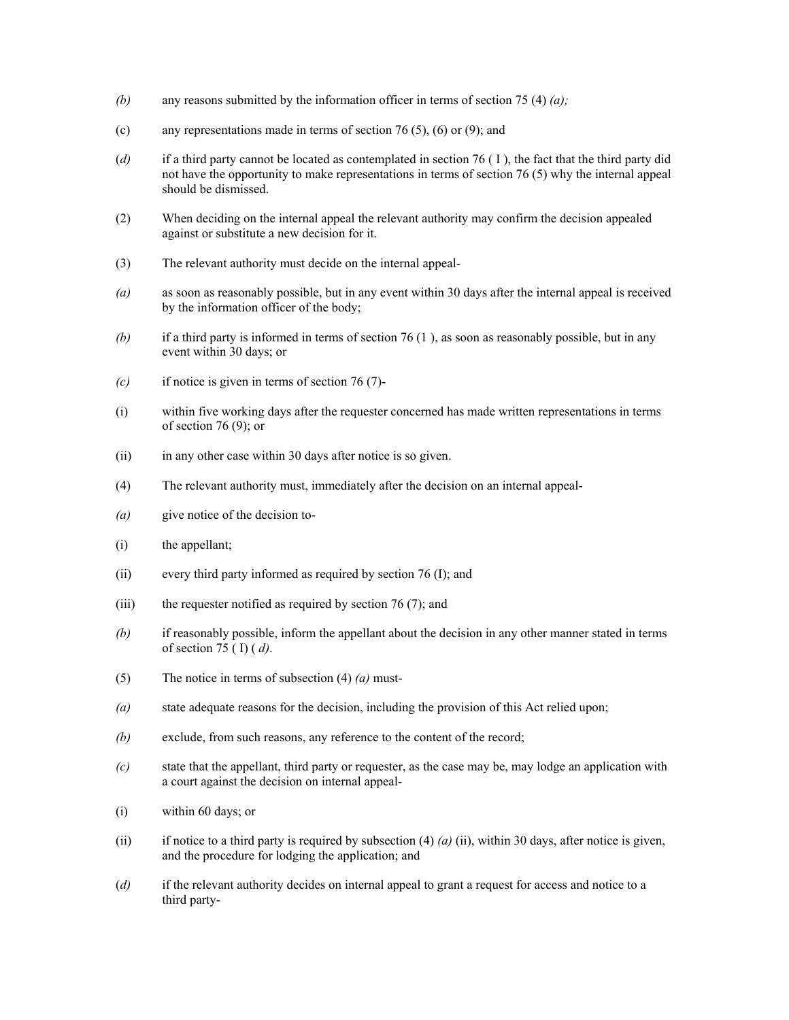- *(b)* any reasons submitted by the information officer in terms of section 75 (4) *(a);*
- (c) any representations made in terms of section 76 (5), (6) or (9); and
- (*d)* if a third party cannot be located as contemplated in section 76 ( I ), the fact that the third party did not have the opportunity to make representations in terms of section 76 (5) why the internal appeal should be dismissed.
- (2) When deciding on the internal appeal the relevant authority may confirm the decision appealed against or substitute a new decision for it.
- (3) The relevant authority must decide on the internal appeal-
- *(a)* as soon as reasonably possible, but in any event within 30 days after the internal appeal is received by the information officer of the body;
- *(b)* if a third party is informed in terms of section 76 (1 ), as soon as reasonably possible, but in any event within 30 days; or
- *(c)* if notice is given in terms of section 76 (7)-
- (i) within five working days after the requester concerned has made written representations in terms of section 76 (9); or
- (ii) in any other case within 30 days after notice is so given.
- (4) The relevant authority must, immediately after the decision on an internal appeal-
- *(a)* give notice of the decision to-
- (i) the appellant;
- (ii) every third party informed as required by section 76 (I); and
- (iii) the requester notified as required by section  $76(7)$ ; and
- *(b)* if reasonably possible, inform the appellant about the decision in any other manner stated in terms of section 75 ( I) ( *d)*.
- (5) The notice in terms of subsection (4) *(a)* must-
- *(a)* state adequate reasons for the decision, including the provision of this Act relied upon;
- *(b)* exclude, from such reasons, any reference to the content of the record;
- *(c)* state that the appellant, third party or requester, as the case may be, may lodge an application with a court against the decision on internal appeal-
- (i) within 60 days; or
- (ii) if notice to a third party is required by subsection  $(4)$   $(a)$   $(ii)$ , within 30 days, after notice is given, and the procedure for lodging the application; and
- (*d)* if the relevant authority decides on internal appeal to grant a request for access and notice to a third party-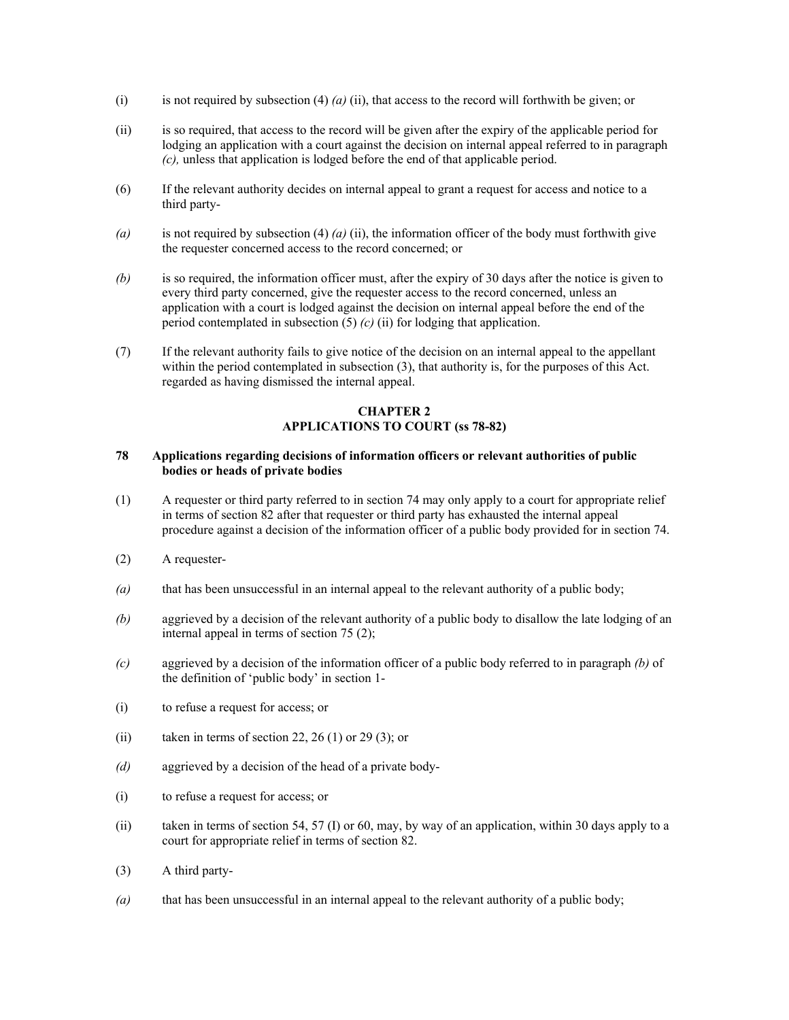- (i) is not required by subsection (4) *(a)* (ii), that access to the record will forthwith be given; or
- (ii) is so required, that access to the record will be given after the expiry of the applicable period for lodging an application with a court against the decision on internal appeal referred to in paragraph *(c),* unless that application is lodged before the end of that applicable period.
- (6) If the relevant authority decides on internal appeal to grant a request for access and notice to a third party-
- *(a)* is not required by subsection (4) *(a)* (ii), the information officer of the body must forthwith give the requester concerned access to the record concerned; or
- *(b)* is so required, the information officer must, after the expiry of 30 days after the notice is given to every third party concerned, give the requester access to the record concerned, unless an application with a court is lodged against the decision on internal appeal before the end of the period contemplated in subsection (5) *(c)* (ii) for lodging that application.
- (7) If the relevant authority fails to give notice of the decision on an internal appeal to the appellant within the period contemplated in subsection (3), that authority is, for the purposes of this Act. regarded as having dismissed the internal appeal.

# **CHAPTER 2 APPLICATIONS TO COURT (ss 78-82)**

## **78 Applications regarding decisions of information officers or relevant authorities of public bodies or heads of private bodies**

- (1) A requester or third party referred to in section 74 may only apply to a court for appropriate relief in terms of section 82 after that requester or third party has exhausted the internal appeal procedure against a decision of the information officer of a public body provided for in section 74.
- (2) A requester-
- *(a)* that has been unsuccessful in an internal appeal to the relevant authority of a public body;
- *(b)* aggrieved by a decision of the relevant authority of a public body to disallow the late lodging of an internal appeal in terms of section 75 (2);
- *(c)* aggrieved by a decision of the information officer of a public body referred to in paragraph *(b)* of the definition of 'public body' in section 1-
- (i) to refuse a request for access; or
- (ii) taken in terms of section 22, 26 (1) or 29 (3); or
- *(d)* aggrieved by a decision of the head of a private body-
- (i) to refuse a request for access; or
- (ii) taken in terms of section 54, 57 (I) or 60, may, by way of an application, within 30 days apply to a court for appropriate relief in terms of section 82.
- (3) A third party-
- *(a)* that has been unsuccessful in an internal appeal to the relevant authority of a public body;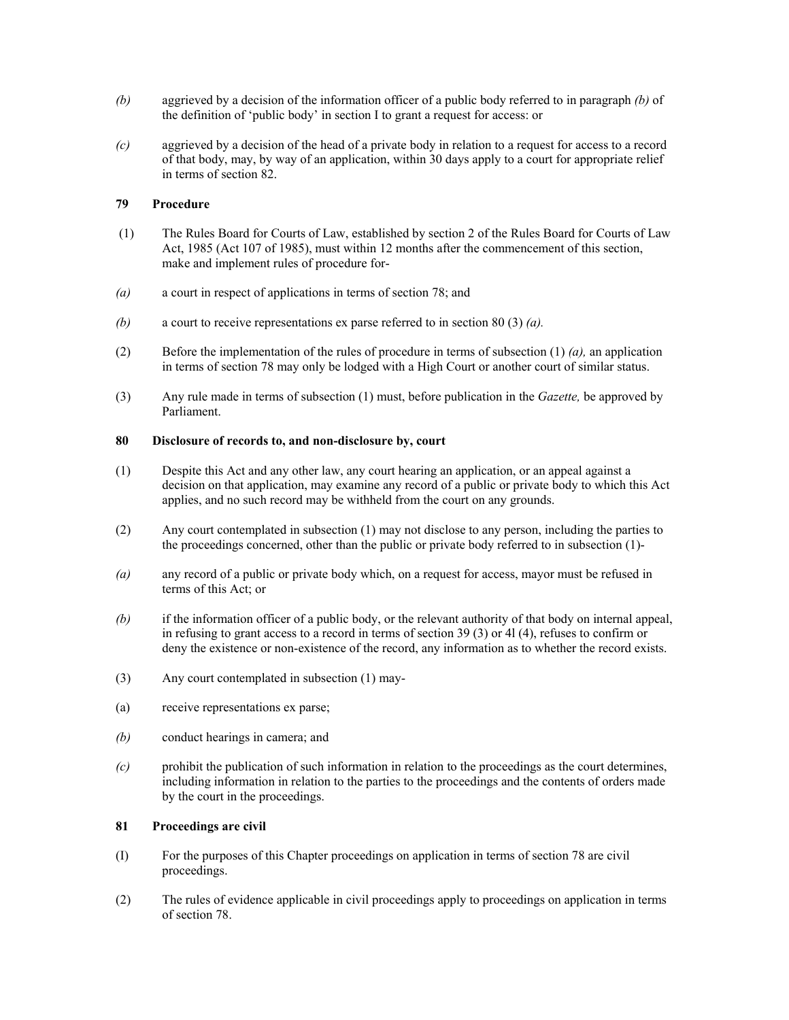- *(b)* aggrieved by a decision of the information officer of a public body referred to in paragraph *(b)* of the definition of 'public body' in section I to grant a request for access: or
- *(c)* aggrieved by a decision of the head of a private body in relation to a request for access to a record of that body, may, by way of an application, within 30 days apply to a court for appropriate relief in terms of section 82.

## **79 Procedure**

- (1) The Rules Board for Courts of Law, established by section 2 of the Rules Board for Courts of Law Act, 1985 (Act 107 of 1985), must within 12 months after the commencement of this section, make and implement rules of procedure for-
- *(a)* a court in respect of applications in terms of section 78; and
- *(b)* a court to receive representations ex parse referred to in section 80 (3) *(a).*
- (2) Before the implementation of the rules of procedure in terms of subsection (1) *(a),* an application in terms of section 78 may only be lodged with a High Court or another court of similar status.
- (3) Any rule made in terms of subsection (1) must, before publication in the *Gazette,* be approved by Parliament.

### **80 Disclosure of records to, and non-disclosure by, court**

- (1) Despite this Act and any other law, any court hearing an application, or an appeal against a decision on that application, may examine any record of a public or private body to which this Act applies, and no such record may be withheld from the court on any grounds.
- (2) Any court contemplated in subsection (1) may not disclose to any person, including the parties to the proceedings concerned, other than the public or private body referred to in subsection (1)-
- *(a)* any record of a public or private body which, on a request for access, mayor must be refused in terms of this Act; or
- *(b)* if the information officer of a public body, or the relevant authority of that body on internal appeal, in refusing to grant access to a record in terms of section 39 (3) or 4l (4), refuses to confirm or deny the existence or non-existence of the record, any information as to whether the record exists.
- (3) Any court contemplated in subsection (1) may-
- (a) receive representations ex parse;
- *(b)* conduct hearings in camera; and
- *(c)* prohibit the publication of such information in relation to the proceedings as the court determines, including information in relation to the parties to the proceedings and the contents of orders made by the court in the proceedings.

#### **81 Proceedings are civil**

- (I) For the purposes of this Chapter proceedings on application in terms of section 78 are civil proceedings.
- (2) The rules of evidence applicable in civil proceedings apply to proceedings on application in terms of section 78.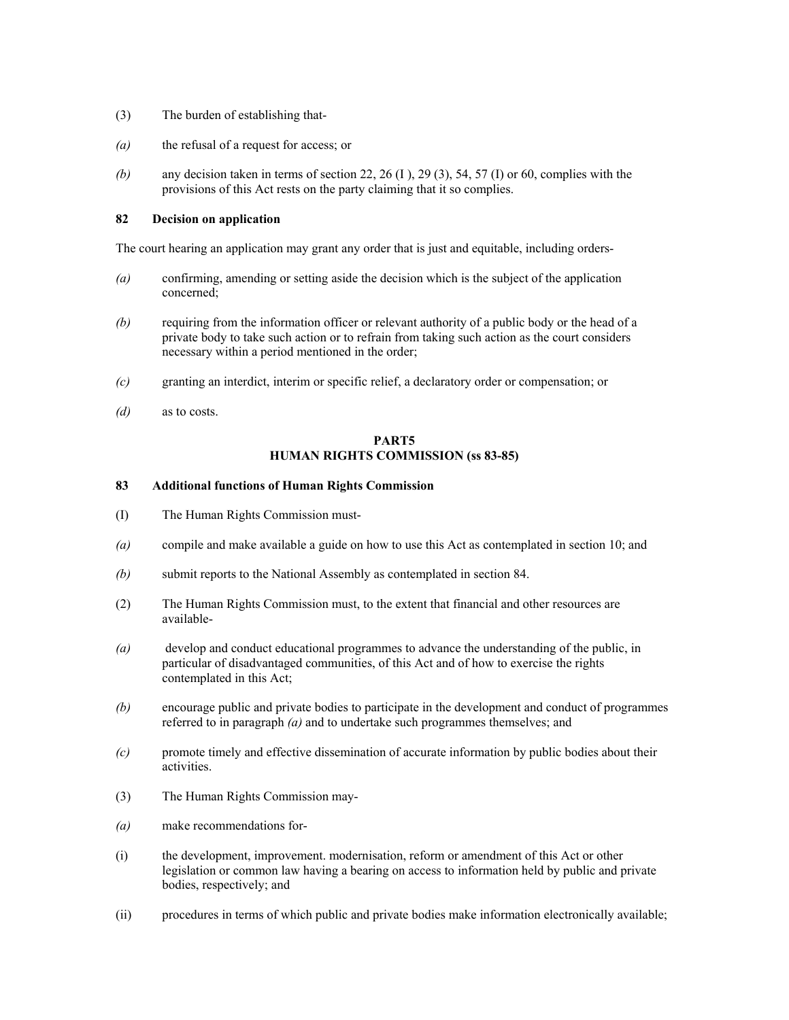- (3) The burden of establishing that-
- *(a)* the refusal of a request for access; or
- *(b)* any decision taken in terms of section 22, 26 (I ), 29 (3), 54, 57 (I) or 60, complies with the provisions of this Act rests on the party claiming that it so complies.

## **82 Decision on application**

The court hearing an application may grant any order that is just and equitable, including orders-

- *(a)* confirming, amending or setting aside the decision which is the subject of the application concerned;
- *(b)* requiring from the information officer or relevant authority of a public body or the head of a private body to take such action or to refrain from taking such action as the court considers necessary within a period mentioned in the order;
- *(c)* granting an interdict, interim or specific relief, a declaratory order or compensation; or
- *(d)* as to costs.

## **PART5 HUMAN RIGHTS COMMISSION (ss 83-85)**

#### **83 Additional functions of Human Rights Commission**

- (I) The Human Rights Commission must-
- *(a)* compile and make available a guide on how to use this Act as contemplated in section 10; and
- *(b)* submit reports to the National Assembly as contemplated in section 84.
- (2) The Human Rights Commission must, to the extent that financial and other resources are available-
- *(a)* develop and conduct educational programmes to advance the understanding of the public, in particular of disadvantaged communities, of this Act and of how to exercise the rights contemplated in this Act;
- *(b)* encourage public and private bodies to participate in the development and conduct of programmes referred to in paragraph *(a)* and to undertake such programmes themselves; and
- *(c)* promote timely and effective dissemination of accurate information by public bodies about their activities.
- (3) The Human Rights Commission may-
- *(a)* make recommendations for-
- (i) the development, improvement. modernisation, reform or amendment of this Act or other legislation or common law having a bearing on access to information held by public and private bodies, respectively; and
- (ii) procedures in terms of which public and private bodies make information electronically available;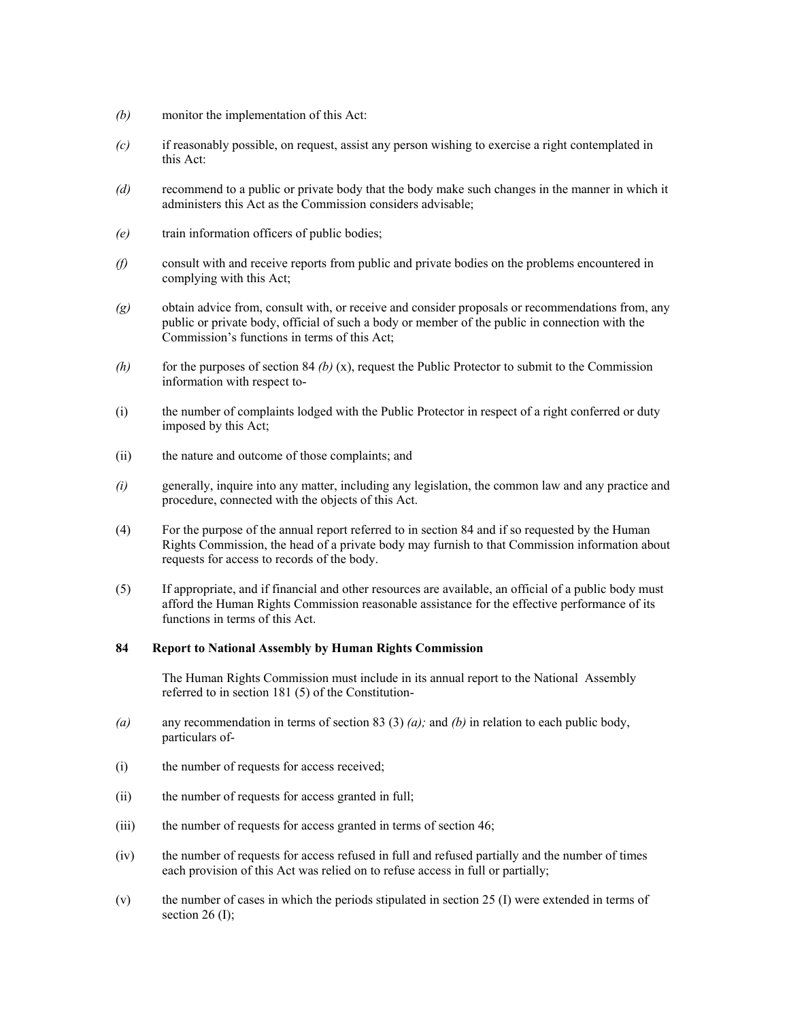- *(b)* monitor the implementation of this Act:
- *(c)* if reasonably possible, on request, assist any person wishing to exercise a right contemplated in this Act:
- *(d)* recommend to a public or private body that the body make such changes in the manner in which it administers this Act as the Commission considers advisable;
- *(e)* train information officers of public bodies;
- *(f)* consult with and receive reports from public and private bodies on the problems encountered in complying with this Act;
- *(g)* obtain advice from, consult with, or receive and consider proposals or recommendations from, any public or private body, official of such a body or member of the public in connection with the Commission's functions in terms of this Act;
- *(h)* for the purposes of section 84 *(b)* (x), request the Public Protector to submit to the Commission information with respect to-
- (i) the number of complaints lodged with the Public Protector in respect of a right conferred or duty imposed by this Act;
- (ii) the nature and outcome of those complaints; and
- *(i)* generally, inquire into any matter, including any legislation, the common law and any practice and procedure, connected with the objects of this Act.
- (4) For the purpose of the annual report referred to in section 84 and if so requested by the Human Rights Commission, the head of a private body may furnish to that Commission information about requests for access to records of the body.
- (5) If appropriate, and if financial and other resources are available, an official of a public body must afford the Human Rights Commission reasonable assistance for the effective performance of its functions in terms of this Act.

## **84 Report to National Assembly by Human Rights Commission**

The Human Rights Commission must include in its annual report to the National Assembly referred to in section 181 (5) of the Constitution-

- *(a)* any recommendation in terms of section 83 (3) *(a);* and *(b)* in relation to each public body, particulars of-
- (i) the number of requests for access received;
- (ii) the number of requests for access granted in full;
- (iii) the number of requests for access granted in terms of section 46;
- (iv) the number of requests for access refused in full and refused partially and the number of times each provision of this Act was relied on to refuse access in full or partially;
- (v) the number of cases in which the periods stipulated in section 25 (I) were extended in terms of section 26 $(I)$ ;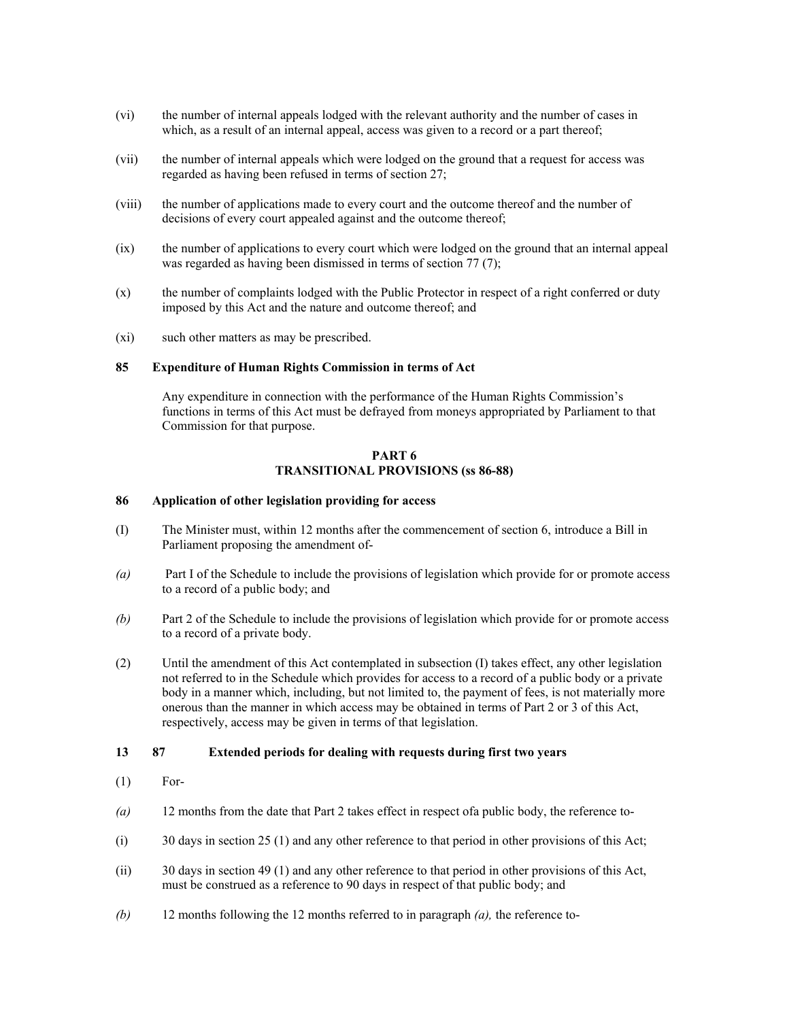- (vi) the number of internal appeals lodged with the relevant authority and the number of cases in which, as a result of an internal appeal, access was given to a record or a part thereof;
- (vii) the number of internal appeals which were lodged on the ground that a request for access was regarded as having been refused in terms of section 27;
- (viii) the number of applications made to every court and the outcome thereof and the number of decisions of every court appealed against and the outcome thereof;
- (ix) the number of applications to every court which were lodged on the ground that an internal appeal was regarded as having been dismissed in terms of section 77 (7);
- (x) the number of complaints lodged with the Public Protector in respect of a right conferred or duty imposed by this Act and the nature and outcome thereof; and
- (xi) such other matters as may be prescribed.

#### **85 Expenditure of Human Rights Commission in terms of Act**

Any expenditure in connection with the performance of the Human Rights Commission's functions in terms of this Act must be defrayed from moneys appropriated by Parliament to that Commission for that purpose.

### **PART 6 TRANSITIONAL PROVISIONS (ss 86-88)**

#### **86 Application of other legislation providing for access**

- (I) The Minister must, within 12 months after the commencement of section 6, introduce a Bill in Parliament proposing the amendment of-
- *(a)* Part I of the Schedule to include the provisions of legislation which provide for or promote access to a record of a public body; and
- *(b)* Part 2 of the Schedule to include the provisions of legislation which provide for or promote access to a record of a private body.
- (2) Until the amendment of this Act contemplated in subsection (I) takes effect, any other legislation not referred to in the Schedule which provides for access to a record of a public body or a private body in a manner which, including, but not limited to, the payment of fees, is not materially more onerous than the manner in which access may be obtained in terms of Part 2 or 3 of this Act, respectively, access may be given in terms of that legislation.

### **13 87 Extended periods for dealing with requests during first two years**

- (1) For-
- *(a)* 12 months from the date that Part 2 takes effect in respect ofa public body, the reference to-
- (i) 30 days in section 25 (1) and any other reference to that period in other provisions of this Act;
- (ii) 30 days in section 49 (1) and any other reference to that period in other provisions of this Act, must be construed as a reference to 90 days in respect of that public body; and
- *(b)* 12 months following the 12 months referred to in paragraph *(a),* the reference to-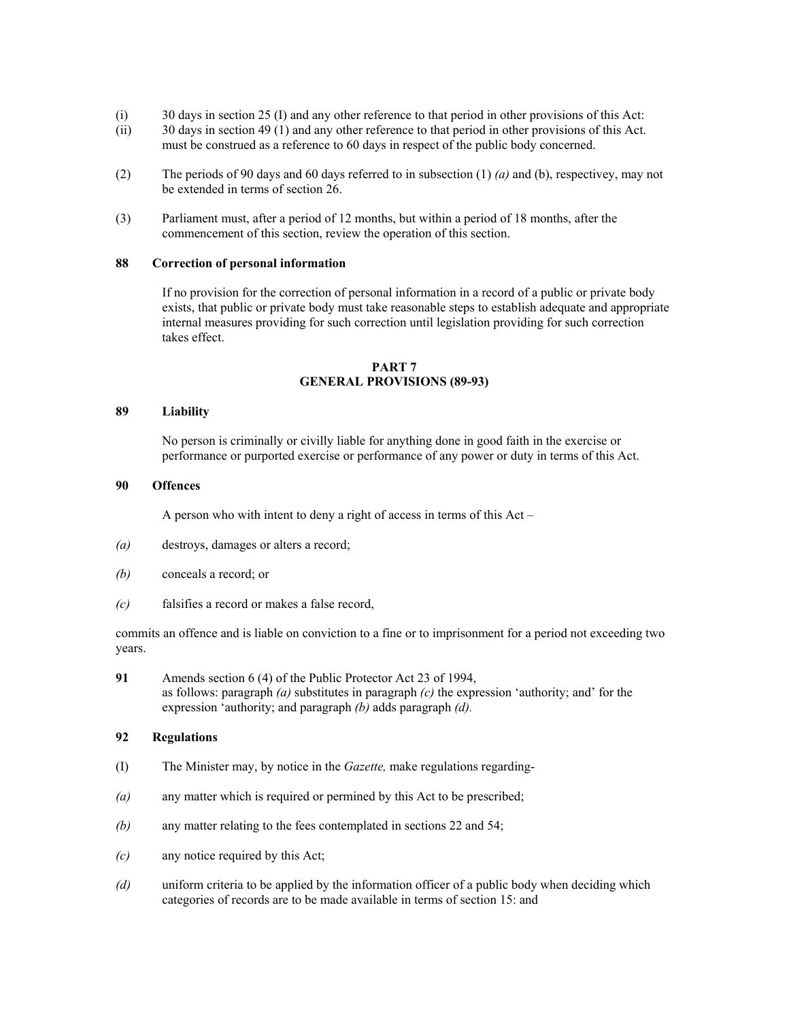- (i) 30 days in section 25 (I) and any other reference to that period in other provisions of this Act:
- (ii) 30 days in section 49 (1) and any other reference to that period in other provisions of this Act. must be construed as a reference to 60 days in respect of the public body concerned.
- (2) The periods of 90 days and 60 days referred to in subsection (1) *(a)* and (b), respectivey, may not be extended in terms of section 26.
- (3) Parliament must, after a period of 12 months, but within a period of 18 months, after the commencement of this section, review the operation of this section.

#### **88 Correction of personal information**

If no provision for the correction of personal information in a record of a public or private body exists, that public or private body must take reasonable steps to establish adequate and appropriate internal measures providing for such correction until legislation providing for such correction takes effect.

#### **PART 7 GENERAL PROVISIONS (89-93)**

#### **89 Liability**

No person is criminally or civilly liable for anything done in good faith in the exercise or performance or purported exercise or performance of any power or duty in terms of this Act.

#### **90 Offences**

A person who with intent to deny a right of access in terms of this Act –

- *(a)* destroys, damages or alters a record;
- *(b)* conceals a record; or
- *(c)* falsifies a record or makes a false record,

commits an offence and is liable on conviction to a fine or to imprisonment for a period not exceeding two years.

**91** Amends section 6 (4) of the Public Protector Act 23 of 1994, as follows: paragraph *(a)* substitutes in paragraph *(c)* the expression 'authority; and' for the expression 'authority; and paragraph *(b)* adds paragraph *(d).* 

### **92 Regulations**

- (I) The Minister may, by notice in the *Gazette,* make regulations regarding-
- *(a)* any matter which is required or permined by this Act to be prescribed;
- *(b)* any matter relating to the fees contemplated in sections 22 and 54;
- *(c)* any notice required by this Act;
- *(d)* uniform criteria to be applied by the information officer of a public body when deciding which categories of records are to be made available in terms of section 15: and